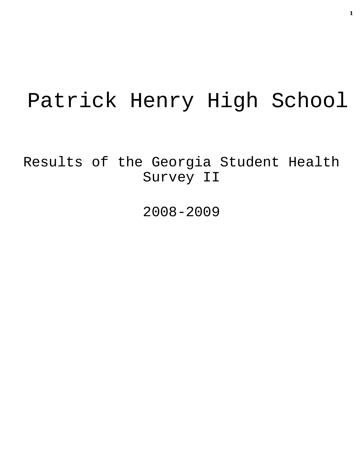# Patrick Henry High School

Results of the Georgia Student Health Survey II

2008-2009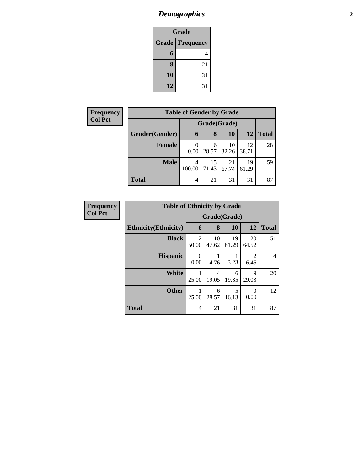## *Demographics* **2**

| <b>Grade</b>                     |    |  |  |  |  |
|----------------------------------|----|--|--|--|--|
| <b>Grade</b><br><b>Frequency</b> |    |  |  |  |  |
| 6                                | 4  |  |  |  |  |
| 8                                | 21 |  |  |  |  |
| 10                               | 31 |  |  |  |  |
| 12                               | 31 |  |  |  |  |

| <b>Frequency</b> | <b>Table of Gender by Grade</b> |              |             |             |             |              |
|------------------|---------------------------------|--------------|-------------|-------------|-------------|--------------|
| <b>Col Pct</b>   |                                 | Grade(Grade) |             |             |             |              |
|                  | Gender(Gender)                  | $\mathbf b$  | 8           | 10          | 12          | <b>Total</b> |
|                  | <b>Female</b>                   | 0<br>0.00    | 6<br>28.57  | 10<br>32.26 | 12<br>38.71 | 28           |
|                  | <b>Male</b>                     | 4<br>100.00  | 15<br>71.43 | 21<br>67.74 | 19<br>61.29 | 59           |
|                  | <b>Total</b>                    | 4            | 21          | 31          | 31          | 87           |

| <b>Frequency</b> | <b>Table of Ethnicity by Grade</b> |                         |             |             |                        |              |  |
|------------------|------------------------------------|-------------------------|-------------|-------------|------------------------|--------------|--|
| <b>Col Pct</b>   |                                    | Grade(Grade)            |             |             |                        |              |  |
|                  | <b>Ethnicity</b> (Ethnicity)       | 6                       | 8           | 10          | 12                     | <b>Total</b> |  |
|                  | <b>Black</b>                       | $\overline{2}$<br>50.00 | 10<br>47.62 | 19<br>61.29 | 20<br>64.52            | 51           |  |
|                  | <b>Hispanic</b>                    | 0<br>0.00               | 4.76        | 3.23        | $\overline{2}$<br>6.45 | 4            |  |
|                  | <b>White</b>                       | 25.00                   | 4<br>19.05  | 6<br>19.35  | 9<br>29.03             | 20           |  |
|                  | <b>Other</b>                       | 25.00                   | 6<br>28.57  | 5<br>16.13  | $\Omega$<br>0.00       | 12           |  |
|                  | <b>Total</b>                       | 4                       | 21          | 31          | 31                     | 87           |  |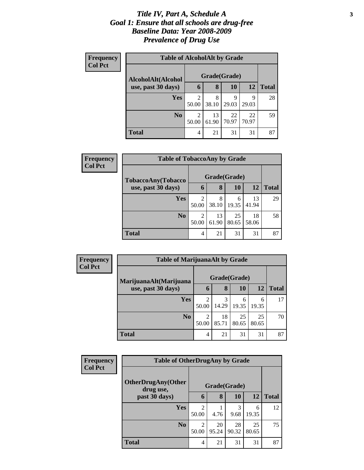#### *Title IV, Part A, Schedule A* **3** *Goal 1: Ensure that all schools are drug-free Baseline Data: Year 2008-2009 Prevalence of Drug Use*

| Frequency<br><b>Col Pct</b> | <b>Table of AlcoholAlt by Grade</b> |              |             |             |             |              |  |  |  |
|-----------------------------|-------------------------------------|--------------|-------------|-------------|-------------|--------------|--|--|--|
|                             | AlcoholAlt(Alcohol                  | Grade(Grade) |             |             |             |              |  |  |  |
|                             | use, past 30 days)                  | 6            | 8           | 10          | 12          | <b>Total</b> |  |  |  |
|                             | <b>Yes</b>                          | 2<br>50.00   | 8<br>38.10  | 9<br>29.03  | q<br>29.03  | 28           |  |  |  |
|                             | N <sub>0</sub>                      | 2<br>50.00   | 13<br>61.90 | 22<br>70.97 | 22<br>70.97 | 59           |  |  |  |
|                             | <b>Total</b>                        | 4            | 21          | 31          | 31          | 87           |  |  |  |

| Frequency<br><b>Col Pct</b> | <b>Table of TobaccoAny by Grade</b> |              |             |             |             |              |  |
|-----------------------------|-------------------------------------|--------------|-------------|-------------|-------------|--------------|--|
|                             | TobaccoAny(Tobacco                  | Grade(Grade) |             |             |             |              |  |
|                             | use, past 30 days)                  | 6            | 8           | <b>10</b>   | 12          | <b>Total</b> |  |
|                             | <b>Yes</b>                          | 2<br>50.00   | 8<br>38.10  | 6<br>19.35  | 13<br>41.94 | 29           |  |
|                             | N <sub>0</sub>                      | 2<br>50.00   | 13<br>61.90 | 25<br>80.65 | 18<br>58.06 | 58           |  |
|                             | <b>Total</b>                        | 4            | 21          | 31          | 31          | 87           |  |

| Frequency      | <b>Table of MarijuanaAlt by Grade</b> |                         |             |             |             |              |
|----------------|---------------------------------------|-------------------------|-------------|-------------|-------------|--------------|
| <b>Col Pct</b> | MarijuanaAlt(Marijuana                | Grade(Grade)            |             |             |             |              |
|                | use, past 30 days)                    | 6                       | 8           | 10          | 12          | <b>Total</b> |
|                | <b>Yes</b>                            | 2<br>50.00              | 3<br>14.29  | 6<br>19.35  | 6<br>19.35  | 17           |
|                | N <sub>0</sub>                        | $\overline{2}$<br>50.00 | 18<br>85.71 | 25<br>80.65 | 25<br>80.65 | 70           |
|                | <b>Total</b>                          | 4                       | 21          | 31          | 31          | 87           |

| <b>Frequency</b> | <b>Table of OtherDrugAny by Grade</b> |                         |              |             |             |              |
|------------------|---------------------------------------|-------------------------|--------------|-------------|-------------|--------------|
| <b>Col Pct</b>   | OtherDrugAny(Other<br>drug use,       |                         | Grade(Grade) |             |             |              |
|                  | past 30 days)                         | 6                       | 8            | 10          | 12          | <b>Total</b> |
|                  | <b>Yes</b>                            | $\overline{c}$<br>50.00 | 4.76         | 3<br>9.68   | 6<br>19.35  | 12           |
|                  | N <sub>o</sub>                        | $\overline{2}$<br>50.00 | 20<br>95.24  | 28<br>90.32 | 25<br>80.65 | 75           |
|                  | <b>Total</b>                          | 4                       | 21           | 31          | 31          | 87           |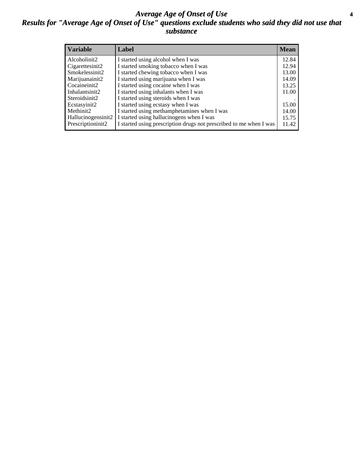#### *Average Age of Onset of Use* **4** *Results for "Average Age of Onset of Use" questions exclude students who said they did not use that substance*

| <b>Variable</b>       | Label                                                              | <b>Mean</b> |
|-----------------------|--------------------------------------------------------------------|-------------|
| Alcoholinit2          | I started using alcohol when I was                                 | 12.84       |
| Cigarettesinit2       | I started smoking tobacco when I was                               | 12.94       |
| Smokelessinit2        | I started chewing tobacco when I was                               | 13.00       |
| Marijuanainit2        | I started using marijuana when I was                               | 14.09       |
| Cocaineinit2          | I started using cocaine when I was                                 | 13.25       |
| Inhalantsinit2        | I started using inhalants when I was                               | 11.00       |
| Steroidsinit2         | I started using steroids when I was                                |             |
| Ecstasyinit2          | I started using ecstasy when I was                                 | 15.00       |
| Methinit <sub>2</sub> | I started using methamphetamines when I was                        | 14.00       |
| Hallucinogensinit2    | I started using hallucinogens when I was                           | 15.75       |
| Prescriptioninit2     | I started using prescription drugs not prescribed to me when I was | 11.42       |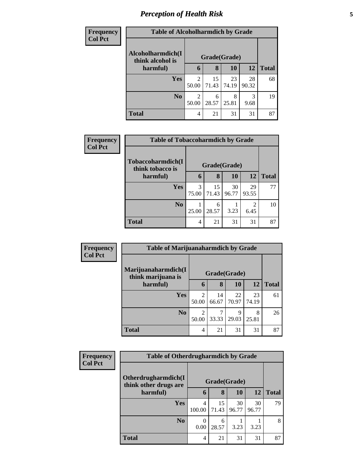# *Perception of Health Risk* **5**

| <b>Frequency</b> | <b>Table of Alcoholharmdich by Grade</b> |                         |             |             |             |              |  |  |
|------------------|------------------------------------------|-------------------------|-------------|-------------|-------------|--------------|--|--|
| <b>Col Pct</b>   | Alcoholharmdich(I)<br>think alcohol is   | Grade(Grade)            |             |             |             |              |  |  |
|                  | harmful)                                 | 6                       | 8           | <b>10</b>   | 12          | <b>Total</b> |  |  |
|                  | Yes                                      | 2<br>50.00              | 15<br>71.43 | 23<br>74.19 | 28<br>90.32 | 68           |  |  |
|                  | N <sub>o</sub>                           | $\mathfrak{D}$<br>50.00 | 6<br>28.57  | 8<br>25.81  | 3<br>9.68   | 19           |  |  |
|                  | <b>Total</b>                             | 4                       | 21          | 31          | 31          | 87           |  |  |

| <b>Frequency</b> | <b>Table of Tobaccoharmdich by Grade</b> |              |             |             |             |              |  |
|------------------|------------------------------------------|--------------|-------------|-------------|-------------|--------------|--|
| <b>Col Pct</b>   | Tobaccoharmdich(I                        | Grade(Grade) |             |             |             |              |  |
|                  | think tobacco is<br>harmful)             | 6            | 8           | 10          | 12          | <b>Total</b> |  |
|                  | Yes                                      | 3<br>75.00   | 15<br>71.43 | 30<br>96.77 | 29<br>93.55 | 77           |  |
|                  | N <sub>0</sub>                           | 25.00        | 6<br>28.57  | 3.23        | 2<br>6.45   | 10           |  |
|                  | <b>Total</b>                             | 4            | 21          | 31          | 31          | 87           |  |

| Frequency      | <b>Table of Marijuanaharmdich by Grade</b> |            |             |              |             |              |
|----------------|--------------------------------------------|------------|-------------|--------------|-------------|--------------|
| <b>Col Pct</b> | Marijuanaharmdich(I<br>think marijuana is  |            |             | Grade(Grade) |             |              |
|                | harmful)                                   | 6          | 8           | 10           | <b>12</b>   | <b>Total</b> |
|                | <b>Yes</b>                                 | 2<br>50.00 | 14<br>66.67 | 22<br>70.97  | 23<br>74.19 | 61           |
|                | N <sub>o</sub>                             | 2<br>50.00 | 33.33       | 9<br>29.03   | 8<br>25.81  | 26           |
|                | <b>Total</b>                               | 4          | 21          | 31           | 31          | 87           |

| Frequency      | <b>Table of Otherdrugharmdich by Grade</b>   |             |              |             |             |              |
|----------------|----------------------------------------------|-------------|--------------|-------------|-------------|--------------|
| <b>Col Pct</b> | Otherdrugharmdich(I<br>think other drugs are |             | Grade(Grade) |             |             |              |
|                | harmful)                                     | 6           | 8            | 10          | 12          | <b>Total</b> |
|                | Yes                                          | 4<br>100.00 | 15<br>71.43  | 30<br>96.77 | 30<br>96.77 | 79           |
|                | N <sub>0</sub>                               | 0.00        | 6<br>28.57   | 3.23        | 3.23        | 8            |
|                | <b>Total</b>                                 | 4           | 21           | 31          | 31          | 87           |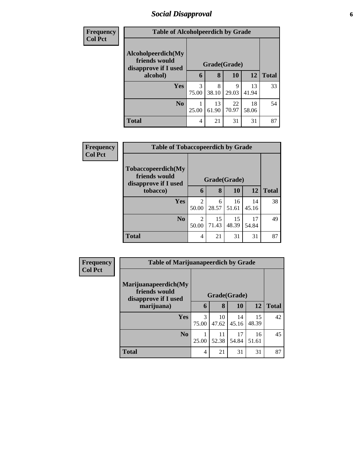## *Social Disapproval* **6**

| <b>Frequency</b> | <b>Table of Alcoholpeerdich by Grade</b>                    |            |              |             |             |              |  |  |
|------------------|-------------------------------------------------------------|------------|--------------|-------------|-------------|--------------|--|--|
| <b>Col Pct</b>   |                                                             |            |              |             |             |              |  |  |
|                  | Alcoholpeerdich(My<br>friends would<br>disapprove if I used |            | Grade(Grade) |             |             |              |  |  |
|                  | alcohol)                                                    | 6          | 8            | 10          | 12          | <b>Total</b> |  |  |
|                  | Yes                                                         | 3<br>75.00 | 8<br>38.10   | 9<br>29.03  | 13<br>41.94 | 33           |  |  |
|                  | N <sub>0</sub>                                              | 25.00      | 13<br>61.90  | 22<br>70.97 | 18<br>58.06 | 54           |  |  |
|                  | <b>Total</b>                                                | 4          | 21           | 31          | 31          | 87           |  |  |

| <b>Frequency</b> | <b>Table of Tobaccopeerdich by Grade</b>                    |                         |              |             |             |              |  |
|------------------|-------------------------------------------------------------|-------------------------|--------------|-------------|-------------|--------------|--|
| <b>Col Pct</b>   | Tobaccopeerdich(My<br>friends would<br>disapprove if I used |                         | Grade(Grade) |             |             |              |  |
|                  | tobacco)                                                    | 6                       | 8            | 10          | 12          | <b>Total</b> |  |
|                  | <b>Yes</b>                                                  | $\mathfrak{D}$<br>50.00 | 6<br>28.57   | 16<br>51.61 | 14<br>45.16 | 38           |  |
|                  | N <sub>o</sub>                                              | 2<br>50.00              | 15<br>71.43  | 15<br>48.39 | 17<br>54.84 | 49           |  |
|                  | <b>Total</b>                                                | 4                       | 21           | 31          | 31          | 87           |  |

| Frequency      | <b>Table of Marijuanapeerdich by Grade</b>                    |            |              |             |             |              |  |
|----------------|---------------------------------------------------------------|------------|--------------|-------------|-------------|--------------|--|
| <b>Col Pct</b> | Marijuanapeerdich(My<br>friends would<br>disapprove if I used |            | Grade(Grade) |             |             |              |  |
|                | marijuana)                                                    | 6          | 8            | 10          | 12          | <b>Total</b> |  |
|                | <b>Yes</b>                                                    | 3<br>75.00 | 10<br>47.62  | 14<br>45.16 | 15<br>48.39 | 42           |  |
|                | N <sub>o</sub>                                                | 25.00      | 11<br>52.38  | 17<br>54.84 | 16<br>51.61 | 45           |  |
|                | <b>Total</b>                                                  | 4          | 21           | 31          | 31          | 87           |  |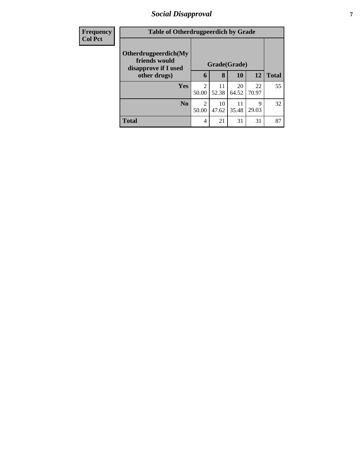## *Social Disapproval* **7**

| <b>Frequency</b> | <b>Table of Otherdrugpeerdich by Grade</b>                    |            |              |             |             |              |
|------------------|---------------------------------------------------------------|------------|--------------|-------------|-------------|--------------|
| <b>Col Pct</b>   | Otherdrugpeerdich(My<br>friends would<br>disapprove if I used |            | Grade(Grade) |             |             |              |
|                  | other drugs)                                                  |            | 8            | <b>10</b>   | <b>12</b>   | <b>Total</b> |
|                  | Yes                                                           | 2<br>50.00 | 11<br>52.38  | 20<br>64.52 | 22<br>70.97 | 55           |
|                  | N <sub>0</sub>                                                | 2<br>50.00 | 10<br>47.62  | 11<br>35.48 | 9<br>29.03  | 32           |
|                  | <b>Total</b>                                                  | 4          | 21           | 31          | 31          | 87           |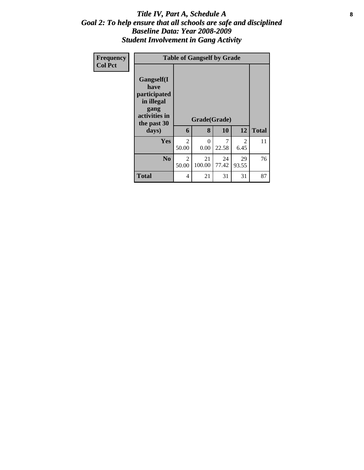#### Title IV, Part A, Schedule A **8** *Goal 2: To help ensure that all schools are safe and disciplined Baseline Data: Year 2008-2009 Student Involvement in Gang Activity*

| Frequency<br><b>Col Pct</b> | <b>Table of Gangself by Grade</b>                                                                 |                                      |                   |             |                        |              |  |  |  |
|-----------------------------|---------------------------------------------------------------------------------------------------|--------------------------------------|-------------------|-------------|------------------------|--------------|--|--|--|
|                             | Gangself(I<br>have<br>participated<br>in illegal<br>gang<br>activities in<br>the past 30<br>days) | 6                                    | Grade(Grade)<br>8 | 10          | 12                     | <b>Total</b> |  |  |  |
|                             | Yes                                                                                               | $\mathcal{D}_{\mathcal{L}}$<br>50.00 | $\theta$<br>0.00  | 7<br>22.58  | $\mathfrak{D}$<br>6.45 | 11           |  |  |  |
|                             | N <sub>0</sub>                                                                                    | $\mathfrak{D}$<br>50.00              | 21<br>100.00      | 24<br>77.42 | 29<br>93.55            | 76           |  |  |  |
|                             | <b>Total</b>                                                                                      | 4                                    | 21                | 31          | 31                     | 87           |  |  |  |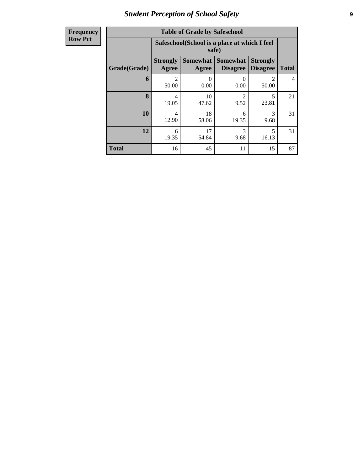# *Student Perception of School Safety* **9**

| <b>Frequency</b> |
|------------------|
| <b>Row Pct</b>   |

| <b>Table of Grade by Safeschool</b> |                          |                                                                                                                      |                        |            |    |  |  |  |  |  |
|-------------------------------------|--------------------------|----------------------------------------------------------------------------------------------------------------------|------------------------|------------|----|--|--|--|--|--|
|                                     |                          | Safeschool (School is a place at which I feel<br>safe)                                                               |                        |            |    |  |  |  |  |  |
| Grade(Grade)                        | <b>Strongly</b><br>Agree | <b>Somewhat</b><br><b>Strongly</b><br><b>Somewhat</b><br><b>Disagree</b><br><b>Total</b><br><b>Disagree</b><br>Agree |                        |            |    |  |  |  |  |  |
| 6                                   | $\mathfrak{D}$<br>50.00  | 0<br>0.00                                                                                                            | 0<br>0.00              | 50.00      | 4  |  |  |  |  |  |
| 8                                   | 4<br>19.05               | 10<br>47.62                                                                                                          | $\mathfrak{D}$<br>9.52 | 5<br>23.81 | 21 |  |  |  |  |  |
| 10                                  | 4<br>12.90               | 18<br>58.06                                                                                                          | 6<br>19.35             | 3<br>9.68  | 31 |  |  |  |  |  |
| 12                                  | 6<br>19.35               | 5<br>17<br>3<br>54.84<br>9.68<br>16.13                                                                               |                        |            |    |  |  |  |  |  |
| <b>Total</b>                        | 16                       | 45                                                                                                                   | 11                     | 15         | 87 |  |  |  |  |  |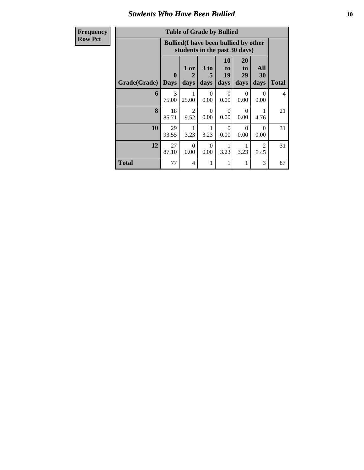#### *Students Who Have Been Bullied* **10**

# $\bf{Rov}$

| <b>Table of Grade by Bullied</b> |  |
|----------------------------------|--|

| <b>Frequency</b> | <b>Table of Grade by Bullied</b>                                              |                             |                        |                   |                        |                        |                        |                |  |  |
|------------------|-------------------------------------------------------------------------------|-----------------------------|------------------------|-------------------|------------------------|------------------------|------------------------|----------------|--|--|
| <b>Row Pct</b>   | <b>Bullied</b> (I have been bullied by other<br>students in the past 30 days) |                             |                        |                   |                        |                        |                        |                |  |  |
|                  | Grade(Grade)                                                                  | $\mathbf{0}$<br><b>Days</b> | 1 or<br>2<br>days      | 3 to<br>5<br>days | 10<br>to<br>19<br>days | 20<br>to<br>29<br>days | All<br>30<br>days      | <b>Total</b>   |  |  |
|                  | 6                                                                             | 3<br>75.00                  | 1<br>25.00             | $\Omega$<br>0.00  | $\Omega$<br>0.00       | $\Omega$<br>0.00       | $\Omega$<br>0.00       | $\overline{4}$ |  |  |
|                  | 8                                                                             | 18<br>85.71                 | $\overline{2}$<br>9.52 | $\Omega$<br>0.00  | $\Omega$<br>0.00       | 0<br>0.00              | 4.76                   | 21             |  |  |
|                  | 10                                                                            | 29<br>93.55                 | 3.23                   | 3.23              | $\Omega$<br>0.00       | $\Omega$<br>0.00       | $\Omega$<br>0.00       | 31             |  |  |
|                  | 12                                                                            | 27<br>87.10                 | $\Omega$<br>0.00       | $\Omega$<br>0.00  | 3.23                   | 3.23                   | $\overline{2}$<br>6.45 | 31             |  |  |
|                  | <b>Total</b>                                                                  | 77                          | 4                      | 1                 | 1                      | 1                      | 3                      | 87             |  |  |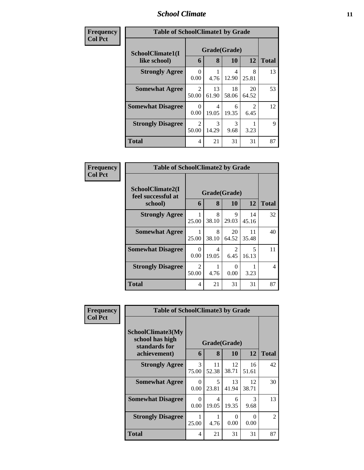#### *School Climate* **11**

| Frequency      | <b>Table of SchoolClimate1 by Grade</b> |                                      |             |             |             |              |  |  |  |
|----------------|-----------------------------------------|--------------------------------------|-------------|-------------|-------------|--------------|--|--|--|
| <b>Col Pct</b> | SchoolClimate1(I                        | Grade(Grade)                         |             |             |             |              |  |  |  |
|                | like school)                            | 6                                    | 8           | 10          | 12          | <b>Total</b> |  |  |  |
|                | <b>Strongly Agree</b>                   | 0<br>0.00                            | 4.76        | 4<br>12.90  | 8<br>25.81  | 13           |  |  |  |
|                | <b>Somewhat Agree</b>                   | 2<br>50.00                           | 13<br>61.90 | 18<br>58.06 | 20<br>64.52 | 53           |  |  |  |
|                | <b>Somewhat Disagree</b>                | $\Omega$<br>0.00                     | 4<br>19.05  | 6<br>19.35  | 2<br>6.45   | 12           |  |  |  |
|                | <b>Strongly Disagree</b>                | $\mathcal{D}_{\mathcal{L}}$<br>50.00 | 3<br>14.29  | 3<br>9.68   | 3.23        | 9            |  |  |  |
|                | <b>Total</b>                            | 4                                    | 21          | 31          | 31          | 87           |  |  |  |

| Frequency      | <b>Table of SchoolClimate2 by Grade</b>           |                        |                   |             |             |              |  |  |
|----------------|---------------------------------------------------|------------------------|-------------------|-------------|-------------|--------------|--|--|
| <b>Col Pct</b> | SchoolClimate2(I<br>feel successful at<br>school) | 6                      | Grade(Grade)<br>8 | 10          | 12          | <b>Total</b> |  |  |
|                | <b>Strongly Agree</b>                             | 25.00                  | 8<br>38.10        | 9<br>29.03  | 14<br>45.16 | 32           |  |  |
|                | <b>Somewhat Agree</b>                             | 25.00                  | 8<br>38.10        | 20<br>64.52 | 11<br>35.48 | 40           |  |  |
|                | <b>Somewhat Disagree</b>                          | 0<br>0.00              | 4<br>19.05        | 2<br>6.45   | 5<br>16.13  | 11           |  |  |
|                | <b>Strongly Disagree</b>                          | $\mathcal{L}$<br>50.00 | 4.76              | 0<br>0.00   | 3.23        | 4            |  |  |
|                | Total                                             | 4                      | 21                | 31          | 31          | 87           |  |  |

| <b>Frequency</b> | <b>Table of SchoolClimate3 by Grade</b>                               |                  |                   |                  |                  |                |  |  |  |
|------------------|-----------------------------------------------------------------------|------------------|-------------------|------------------|------------------|----------------|--|--|--|
| <b>Col Pct</b>   | SchoolClimate3(My<br>school has high<br>standards for<br>achievement) | 6                | Grade(Grade)<br>8 | <b>10</b>        | 12               | <b>Total</b>   |  |  |  |
|                  |                                                                       |                  |                   |                  |                  |                |  |  |  |
|                  | <b>Strongly Agree</b>                                                 | 3<br>75.00       | 11<br>52.38       | 12<br>38.71      | 16<br>51.61      | 42             |  |  |  |
|                  | <b>Somewhat Agree</b>                                                 | $\Omega$<br>0.00 | 5<br>23.81        | 13<br>41.94      | 12<br>38.71      | 30             |  |  |  |
|                  | <b>Somewhat Disagree</b>                                              | $\Omega$<br>0.00 | 4<br>19.05        | 6<br>19.35       | 3<br>9.68        | 13             |  |  |  |
|                  | <b>Strongly Disagree</b>                                              | 1<br>25.00       | 4.76              | $\Omega$<br>0.00 | $\Omega$<br>0.00 | $\mathfrak{D}$ |  |  |  |
|                  | Total                                                                 | 4                | 21                | 31               | 31               | 87             |  |  |  |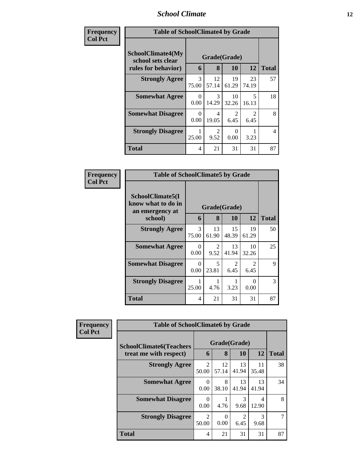# *School Climate* **12**

| Frequency      | <b>Table of SchoolClimate4 by Grade</b>                              |                        |                         |                                     |                        |                |  |
|----------------|----------------------------------------------------------------------|------------------------|-------------------------|-------------------------------------|------------------------|----------------|--|
| <b>Col Pct</b> | <b>SchoolClimate4(My</b><br>school sets clear<br>rules for behavior) | 6                      | Grade(Grade)<br>8       | 10                                  | 12                     | <b>Total</b>   |  |
|                | <b>Strongly Agree</b>                                                | $\mathcal{R}$<br>75.00 | 12<br>57.14             | 19<br>61.29                         | 23<br>74.19            | 57             |  |
|                | <b>Somewhat Agree</b>                                                | 0<br>0.00              | 3<br>14.29              | 10<br>32.26                         | 5<br>16.13             | 18             |  |
|                | <b>Somewhat Disagree</b>                                             | 0<br>0.00              | $\overline{4}$<br>19.05 | $\mathcal{D}_{\mathcal{L}}$<br>6.45 | $\mathfrak{D}$<br>6.45 | 8              |  |
|                | <b>Strongly Disagree</b>                                             | 25.00                  | $\mathcal{D}$<br>9.52   | 0<br>0.00                           | 3.23                   | $\overline{4}$ |  |
|                | <b>Total</b>                                                         | 4                      | 21                      | 31                                  | 31                     | 87             |  |

| Frequency      | <b>Table of SchoolClimate5 by Grade</b>                   |                  |             |              |             |              |  |
|----------------|-----------------------------------------------------------|------------------|-------------|--------------|-------------|--------------|--|
| <b>Col Pct</b> | SchoolClimate5(I<br>know what to do in<br>an emergency at |                  |             | Grade(Grade) |             |              |  |
|                | school)                                                   | 6                | 8           | 10           | 12          | <b>Total</b> |  |
|                | <b>Strongly Agree</b>                                     | 3<br>75.00       | 13<br>61.90 | 15<br>48.39  | 19<br>61.29 | 50           |  |
|                | <b>Somewhat Agree</b>                                     | $\Omega$<br>0.00 | 2<br>9.52   | 13<br>41.94  | 10<br>32.26 | 25           |  |
|                | <b>Somewhat Disagree</b>                                  | $\Omega$<br>0.00 | 5<br>23.81  | 2<br>6.45    | 2<br>6.45   | 9            |  |
|                | <b>Strongly Disagree</b>                                  | 25.00            | 4.76        | 3.23         | 0<br>0.00   | 3            |  |
|                | Total                                                     | 4                | 21          | 31           | 31          | 87           |  |

| Frequency      | <b>Table of SchoolClimate6 by Grade</b>                  |                         |                   |                        |             |              |  |
|----------------|----------------------------------------------------------|-------------------------|-------------------|------------------------|-------------|--------------|--|
| <b>Col Pct</b> | <b>SchoolClimate6(Teachers</b><br>treat me with respect) | 6                       | Grade(Grade)<br>8 | <b>10</b>              | 12          | <b>Total</b> |  |
|                | <b>Strongly Agree</b>                                    | $\mathfrak{D}$<br>50.00 | 12<br>57.14       | 13<br>41.94            | 11<br>35.48 | 38           |  |
|                | <b>Somewhat Agree</b>                                    | $\Omega$<br>0.00        | 8<br>38.10        | 13<br>41.94            | 13<br>41.94 | 34           |  |
|                | <b>Somewhat Disagree</b>                                 | 0<br>0.00               | 4.76              | 3<br>9.68              | 4<br>12.90  | 8            |  |
|                | <b>Strongly Disagree</b>                                 | $\mathfrak{D}$<br>50.00 | $\Omega$<br>0.00  | $\mathfrak{D}$<br>6.45 | 3<br>9.68   |              |  |
|                | <b>Total</b>                                             | 4                       | 21                | 31                     | 31          | 87           |  |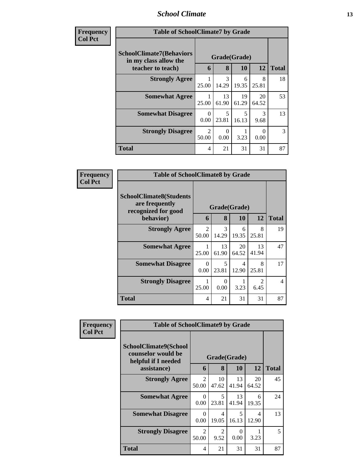#### *School Climate* **13**

| Frequency<br><b>Col Pet</b> |
|-----------------------------|
|-----------------------------|

**T** 

| ncy | <b>Table of SchoolClimate7 by Grade</b>                                       |                         |                   |             |                       |               |  |  |  |
|-----|-------------------------------------------------------------------------------|-------------------------|-------------------|-------------|-----------------------|---------------|--|--|--|
|     | <b>SchoolClimate7(Behaviors</b><br>in my class allow the<br>teacher to teach) | 6                       | Grade(Grade)<br>8 | 10          | 12                    | <b>Total</b>  |  |  |  |
|     | <b>Strongly Agree</b>                                                         | 25.00                   | 3<br>14.29        | 6<br>19.35  | 8<br>25.81            | 18            |  |  |  |
|     | <b>Somewhat Agree</b>                                                         | 25.00                   | 13<br>61.90       | 19<br>61.29 | 20<br>64.52           | 53            |  |  |  |
|     | <b>Somewhat Disagree</b>                                                      | 0<br>0.00               | 5<br>23.81        | 5<br>16.13  | $\mathcal{R}$<br>9.68 | 13            |  |  |  |
|     | <b>Strongly Disagree</b>                                                      | $\mathfrak{D}$<br>50.00 | 0<br>0.00         | 3.23        | 0.00                  | $\mathcal{R}$ |  |  |  |
|     | <b>Total</b>                                                                  | 4                       | 21                | 31          | 31                    | 87            |  |  |  |

| Frequency      | <b>Table of SchoolClimate8 by Grade</b>                                 |                  |                  |             |                        |                |  |  |
|----------------|-------------------------------------------------------------------------|------------------|------------------|-------------|------------------------|----------------|--|--|
| <b>Col Pct</b> | <b>SchoolClimate8(Students</b><br>are frequently<br>recognized for good |                  | Grade(Grade)     |             |                        |                |  |  |
|                | behavior)                                                               | 6                | 8                | <b>10</b>   | <b>12</b>              | <b>Total</b>   |  |  |
|                | <b>Strongly Agree</b>                                                   | 2<br>50.00       | 3<br>14.29       | 6<br>19.35  | 8<br>25.81             | 19             |  |  |
|                | <b>Somewhat Agree</b>                                                   | 25.00            | 13<br>61.90      | 20<br>64.52 | 13<br>41.94            | 47             |  |  |
|                | <b>Somewhat Disagree</b>                                                | $\Omega$<br>0.00 | 5<br>23.81       | 4<br>12.90  | 8<br>25.81             | 17             |  |  |
|                | <b>Strongly Disagree</b>                                                | 25.00            | $\Omega$<br>0.00 | 3.23        | $\mathfrak{D}$<br>6.45 | $\overline{4}$ |  |  |
|                | <b>Total</b>                                                            | 4                | 21               | 31          | 31                     | 87             |  |  |

| Frequency<br><b>Col Pct</b> | <b>Table of SchoolClimate9 by Grade</b>                            |                                      |                         |                  |             |              |
|-----------------------------|--------------------------------------------------------------------|--------------------------------------|-------------------------|------------------|-------------|--------------|
|                             | SchoolClimate9(School<br>counselor would be<br>helpful if I needed |                                      |                         | Grade(Grade)     |             |              |
|                             | assistance)                                                        | 6                                    | 8                       | 10               | 12          | <b>Total</b> |
|                             | <b>Strongly Agree</b>                                              | $\mathcal{D}_{\mathcal{L}}$<br>50.00 | 10<br>47.62             | 13<br>41.94      | 20<br>64.52 | 45           |
|                             | <b>Somewhat Agree</b>                                              | $\Omega$<br>0.00                     | 5<br>23.81              | 13<br>41.94      | 6<br>19.35  | 24           |
|                             | <b>Somewhat Disagree</b>                                           | $\Omega$<br>0.00                     | $\overline{4}$<br>19.05 | 5<br>16.13       | 4<br>12.90  | 13           |
|                             | <b>Strongly Disagree</b>                                           | $\mathfrak{D}$<br>50.00              | $\mathfrak{D}$<br>9.52  | $\Omega$<br>0.00 | 3.23        | 5            |
|                             | Total                                                              | 4                                    | 21                      | 31               | 31          | 87           |

 $\blacksquare$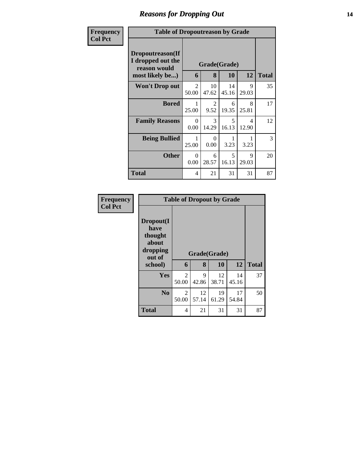# *Reasons for Dropping Out* **14**

| Frequency      | <b>Table of Dropoutreason by Grade</b>                                   |                         |                        |                                   |                                   |              |
|----------------|--------------------------------------------------------------------------|-------------------------|------------------------|-----------------------------------|-----------------------------------|--------------|
| <b>Col Pct</b> | Dropoutreason(If<br>I dropped out the<br>reason would<br>most likely be) | 6                       | 8                      | Grade(Grade)<br><b>10</b>         | 12                                | <b>Total</b> |
|                | <b>Won't Drop out</b>                                                    | $\overline{c}$<br>50.00 | 10<br>47.62            | 14<br>45.16                       | 9<br>29.03                        | 35           |
|                | <b>Bored</b>                                                             | 25.00                   | $\overline{2}$<br>9.52 | 6<br>19.35                        | 8<br>25.81                        | 17           |
|                | <b>Family Reasons</b>                                                    | $\Omega$<br>0.00        | $\mathcal{R}$<br>14.29 | $\overline{\mathcal{L}}$<br>16.13 | $\overline{\mathcal{A}}$<br>12.90 | 12           |
|                | <b>Being Bullied</b>                                                     | 25.00                   | 0<br>0.00              | 3.23                              | 3.23                              | 3            |
|                | <b>Other</b>                                                             | $\Omega$<br>0.00        | 6<br>28.57             | 5<br>16.13                        | 9<br>29.03                        | 20           |
|                | <b>Total</b>                                                             | $\overline{4}$          | 21                     | 31                                | 31                                | 87           |

| Frequency<br><b>Col Pct</b> |                                                             | <b>Table of Dropout by Grade</b> |              |             |             |              |  |  |  |  |
|-----------------------------|-------------------------------------------------------------|----------------------------------|--------------|-------------|-------------|--------------|--|--|--|--|
|                             | Dropout(I<br>have<br>thought<br>about<br>dropping<br>out of |                                  | Grade(Grade) |             |             |              |  |  |  |  |
|                             | school)                                                     | 6                                | 8            | 10          | 12          | <b>Total</b> |  |  |  |  |
|                             | Yes                                                         | 2<br>50.00                       | 9<br>42.86   | 12<br>38.71 | 14<br>45.16 | 37           |  |  |  |  |
|                             | N <sub>0</sub>                                              | 2<br>50.00                       | 12<br>57.14  | 19<br>61.29 | 17<br>54.84 | 50           |  |  |  |  |
|                             | <b>Total</b>                                                | 4                                | 21           | 31          | 31          | 87           |  |  |  |  |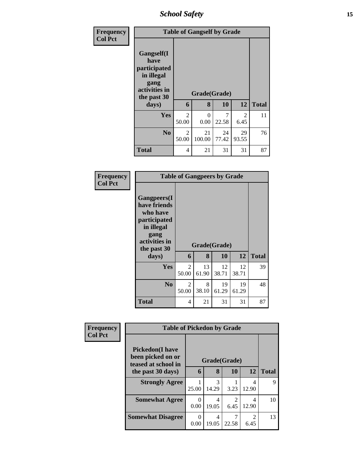*School Safety* **15**

| Frequency<br><b>Col Pct</b> |                                                                                          |                         | <b>Table of Gangself by Grade</b> |             |             |              |
|-----------------------------|------------------------------------------------------------------------------------------|-------------------------|-----------------------------------|-------------|-------------|--------------|
|                             | Gangself(I<br>have<br>participated<br>in illegal<br>gang<br>activities in<br>the past 30 |                         | Grade(Grade)                      |             |             |              |
|                             | days)                                                                                    | 6                       | 8                                 | 10          | 12          | <b>Total</b> |
|                             | Yes                                                                                      | $\overline{c}$<br>50.00 | $\Omega$<br>0.00                  | 7<br>22.58  | 2<br>6.45   | 11           |
|                             | N <sub>o</sub>                                                                           | 2<br>50.00              | 21<br>100.00                      | 24<br>77.42 | 29<br>93.55 | 76           |
|                             | <b>Total</b>                                                                             | 4                       | 21                                | 31          | 31          | 87           |

| Frequency<br><b>Col Pct</b> |                                                                                                                                | <b>Table of Gangpeers by Grade</b> |                   |             |             |              |  |  |  |
|-----------------------------|--------------------------------------------------------------------------------------------------------------------------------|------------------------------------|-------------------|-------------|-------------|--------------|--|--|--|
|                             | <b>Gangpeers</b> (I<br>have friends<br>who have<br>participated<br>in illegal<br>gang<br>activities in<br>the past 30<br>days) | 6                                  | Grade(Grade)<br>8 | 10          | 12          | <b>Total</b> |  |  |  |
|                             |                                                                                                                                |                                    |                   |             |             |              |  |  |  |
|                             | Yes                                                                                                                            | $\overline{c}$<br>50.00            | 13<br>61.90       | 12<br>38.71 | 12<br>38.71 | 39           |  |  |  |
|                             | N <sub>0</sub>                                                                                                                 | 2<br>50.00                         | 8<br>38.10        | 19<br>61.29 | 19<br>61.29 | 48           |  |  |  |
|                             | <b>Total</b>                                                                                                                   | 4                                  | 21                | 31          | 31          | 87           |  |  |  |

| Frequency<br><b>Col Pct</b> | <b>Table of Pickedon by Grade</b>                                   |       |            |              |                                     |              |
|-----------------------------|---------------------------------------------------------------------|-------|------------|--------------|-------------------------------------|--------------|
|                             | <b>Pickedon</b> (I have<br>been picked on or<br>teased at school in |       |            | Grade(Grade) |                                     |              |
|                             | the past 30 days)                                                   | 6     | 8          | 10           | 12                                  | <b>Total</b> |
|                             | <b>Strongly Agree</b>                                               | 25.00 | 3<br>14.29 | 3.23         | 4<br>12.90                          | 9            |
|                             | <b>Somewhat Agree</b>                                               | 0.00  | 4<br>19.05 | 6.45         | 4<br>12.90                          | 10           |
|                             | <b>Somewhat Disagree</b>                                            | 0.00  | 4<br>19.05 | 22.58        | $\mathcal{D}_{\mathcal{L}}$<br>6.45 | 13           |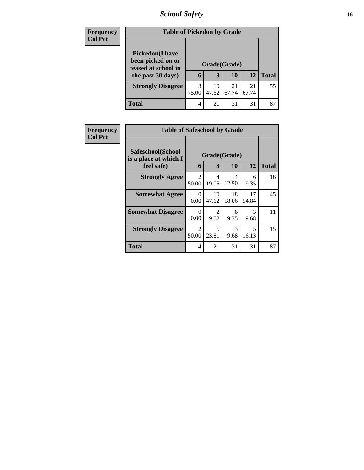# *School Safety* **16**

| <b>Frequency</b> | <b>Table of Pickedon by Grade</b>                                  |              |             |             |             |              |
|------------------|--------------------------------------------------------------------|--------------|-------------|-------------|-------------|--------------|
| <b>Col Pct</b>   | <b>Pickedon(I have</b><br>been picked on or<br>teased at school in | Grade(Grade) |             |             |             |              |
|                  | the past 30 days)                                                  | 6            | 8           | 10          | 12          | <b>Total</b> |
|                  | <b>Strongly Disagree</b>                                           | 3<br>75.00   | 10<br>47.62 | 21<br>67.74 | 21<br>67.74 | 55           |
|                  | <b>Total</b>                                                       | 4            | 21          | 31          | 31          | 87           |

| <b>Frequency</b> | <b>Table of Safeschool by Grade</b>        |                  |                         |             |                       |              |
|------------------|--------------------------------------------|------------------|-------------------------|-------------|-----------------------|--------------|
| <b>Col Pct</b>   | Safeschool(School<br>is a place at which I | Grade(Grade)     |                         |             |                       |              |
|                  | feel safe)                                 | 6                | 8                       | 10          | 12                    | <b>Total</b> |
|                  | <b>Strongly Agree</b>                      | 2<br>50.00       | $\overline{4}$<br>19.05 | 4<br>12.90  | 6<br>19.35            | 16           |
|                  | <b>Somewhat Agree</b>                      | $\Omega$<br>0.00 | 10<br>47.62             | 18<br>58.06 | 17<br>54.84           | 45           |
|                  | <b>Somewhat Disagree</b>                   | 0<br>0.00        | 2<br>9.52               | 6<br>19.35  | $\mathcal{R}$<br>9.68 | 11           |
|                  | <b>Strongly Disagree</b>                   | 2<br>50.00       | 5<br>23.81              | 3<br>9.68   | 5<br>16.13            | 15           |
|                  | <b>Total</b>                               | 4                | 21                      | 31          | 31                    | 87           |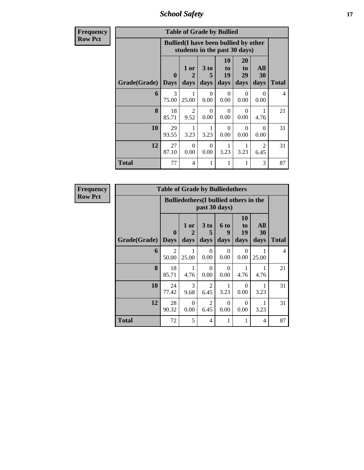*School Safety* **17**

| <b>Frequency</b> |                           |              | <b>Table of Grade by Bullied</b>                                              |                   |                        |                                    |                        |                |
|------------------|---------------------------|--------------|-------------------------------------------------------------------------------|-------------------|------------------------|------------------------------------|------------------------|----------------|
| <b>Row Pct</b>   |                           |              | <b>Bullied</b> (I have been bullied by other<br>students in the past 30 days) |                   |                        |                                    |                        |                |
|                  | <b>Grade</b> (Grade) Days | $\mathbf{0}$ | 1 or<br>2<br>days                                                             | 3 to<br>5<br>days | 10<br>to<br>19<br>days | 20<br>t <sub>0</sub><br>29<br>days | All<br>30<br>days      | <b>Total</b>   |
|                  | 6                         | 3<br>75.00   | 25.00                                                                         | 0<br>0.00         | $\Omega$<br>0.00       | $\Omega$<br>0.00                   | 0<br>0.00              | $\overline{4}$ |
|                  | 8                         | 18<br>85.71  | 2<br>9.52                                                                     | 0<br>0.00         | 0<br>0.00              | $\Omega$<br>0.00                   | 1<br>4.76              | 21             |
|                  | 10                        | 29<br>93.55  | 3.23                                                                          | 3.23              | $\Omega$<br>0.00       | $\Omega$<br>0.00                   | 0<br>0.00              | 31             |
|                  | 12                        | 27<br>87.10  | $\Omega$<br>0.00                                                              | $\Omega$<br>0.00  | 3.23                   | 3.23                               | $\mathfrak{D}$<br>6.45 | 31             |
|                  | Total                     | 77           | 4                                                                             | 1                 | 1                      | 1                                  | 3                      | 87             |

| Frequency      |                     | <b>Table of Grade by Bulliedothers</b> |                                               |                        |                          |                               |                   |                |
|----------------|---------------------|----------------------------------------|-----------------------------------------------|------------------------|--------------------------|-------------------------------|-------------------|----------------|
| <b>Row Pct</b> |                     |                                        | <b>Bulliedothers</b> (I bullied others in the |                        | past 30 days)            |                               |                   |                |
|                | <b>Grade(Grade)</b> | $\boldsymbol{0}$<br><b>Days</b>        | 1 or<br>2<br>days                             | 3 to<br>5<br>days      | <b>6 to</b><br>9<br>days | <b>10</b><br>to<br>19<br>days | All<br>30<br>days | <b>Total</b>   |
|                | 6                   | $\overline{2}$<br>50.00                | 25.00                                         | $\Omega$<br>0.00       | $\Omega$<br>0.00         | $\Omega$<br>0.00              | 25.00             | $\overline{4}$ |
|                | 8                   | 18<br>85.71                            | 4.76                                          | $\Omega$<br>0.00       | $\Omega$<br>0.00         | 4.76                          | 1<br>4.76         | 21             |
|                | 10                  | 24<br>77.42                            | 3<br>9.68                                     | $\overline{2}$<br>6.45 | 3.23                     | $\Omega$<br>0.00              | 3.23              | 31             |
|                | 12                  | 28<br>90.32                            | $\Omega$<br>0.00                              | $\overline{2}$<br>6.45 | $\Omega$<br>0.00         | $\Omega$<br>0.00              | 1<br>3.23         | 31             |
|                | <b>Total</b>        | 72                                     | 5                                             | 4                      | 1                        | 1                             | 4                 | 87             |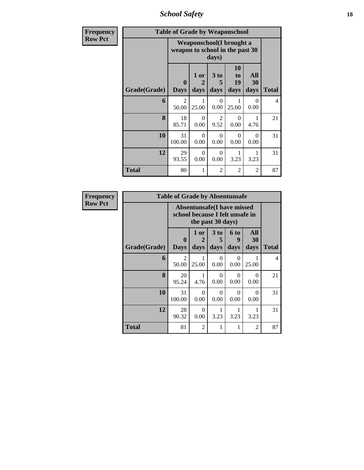*School Safety* **18**

| <b>Frequency</b> |              | <b>Table of Grade by Weaponschool</b> |                   |                        |                               |                   |                |  |  |  |  |  |  |
|------------------|--------------|---------------------------------------|-------------------|------------------------|-------------------------------|-------------------|----------------|--|--|--|--|--|--|
| <b>Row Pct</b>   |              | weapon to school in the past 30       |                   | days)                  | Weaponschool(I brought a      |                   |                |  |  |  |  |  |  |
|                  | Grade(Grade) | $\mathbf{0}$<br><b>Days</b>           | 1 or<br>2<br>days | 3 to<br>5<br>days      | <b>10</b><br>to<br>19<br>days | All<br>30<br>days | Total          |  |  |  |  |  |  |
|                  | 6            | 2<br>50.00                            | 25.00             | $\Omega$<br>0.00       | 1<br>25.00                    | $\Omega$<br>0.00  | $\overline{4}$ |  |  |  |  |  |  |
|                  | 8            | 18<br>85.71                           | 0<br>0.00         | $\overline{2}$<br>9.52 | $\Omega$<br>0.00              | 4.76              | 21             |  |  |  |  |  |  |
|                  | 10           | 31<br>100.00                          | $\Omega$<br>0.00  | $\Omega$<br>0.00       | $\Omega$<br>0.00              | $\Omega$<br>0.00  | 31             |  |  |  |  |  |  |
|                  | 12           | 29<br>93.55                           | $\Omega$<br>0.00  | 0<br>0.00              | 1<br>3.23                     | 3.23              | 31             |  |  |  |  |  |  |
|                  | <b>Total</b> | 80                                    | 1                 | 2                      | 2                             | $\overline{c}$    | 87             |  |  |  |  |  |  |

| <b>Frequency</b> |              | <b>Table of Grade by Absentunsafe</b>                                |                   |                   |                   |                   |                |
|------------------|--------------|----------------------------------------------------------------------|-------------------|-------------------|-------------------|-------------------|----------------|
| <b>Row Pct</b>   |              | <b>Absentunsafe(I have missed</b><br>school because I felt unsafe in |                   |                   |                   |                   |                |
|                  | Grade(Grade) | $\mathbf{0}$<br><b>Days</b>                                          | 1 or<br>2<br>days | 3 to<br>5<br>days | 6 to<br>9<br>days | All<br>30<br>days | <b>Total</b>   |
|                  | 6            | $\mathfrak{D}$<br>50.00                                              | 25.00             | $\Omega$<br>0.00  | 0<br>0.00         | 25.00             | $\overline{4}$ |
|                  | 8            | 20<br>95.24                                                          | 4.76              | $\Omega$<br>0.00  | 0<br>0.00         | $\Omega$<br>0.00  | 21             |
|                  | 10           | 31<br>100.00                                                         | $\Omega$<br>0.00  | $\Omega$<br>0.00  | $\Omega$<br>0.00  | $\Omega$<br>0.00  | 31             |
|                  | 12           | 28<br>90.32                                                          | $\Omega$<br>0.00  | 1<br>3.23         | 3.23              | 1<br>3.23         | 31             |
|                  | <b>Total</b> | 81                                                                   | 2                 | 1                 |                   | $\overline{2}$    | 87             |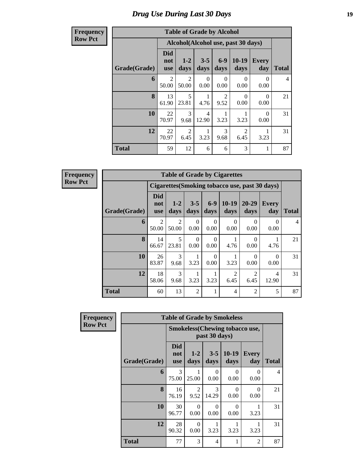#### **Frequency Row Pct**

| <b>Table of Grade by Alcohol</b> |                                 |                 |                         |                        |                                     |                     |                |  |  |  |  |  |
|----------------------------------|---------------------------------|-----------------|-------------------------|------------------------|-------------------------------------|---------------------|----------------|--|--|--|--|--|
|                                  |                                 |                 |                         |                        | Alcohol(Alcohol use, past 30 days)  |                     |                |  |  |  |  |  |
| Grade(Grade)                     | <b>Did</b><br>not<br><b>use</b> | $1 - 2$<br>days | $3 - 5$<br>days         | $6 - 9$<br>days        | $10-19$<br>days                     | <b>Every</b><br>day | <b>Total</b>   |  |  |  |  |  |
| 6                                | $\overline{2}$<br>50.00         | 2<br>50.00      | 0<br>0.00               | 0<br>0.00              | 0<br>0.00                           | 0<br>0.00           | $\overline{4}$ |  |  |  |  |  |
| 8                                | 13<br>61.90                     | 5<br>23.81      | 1<br>4.76               | $\overline{2}$<br>9.52 | 0<br>0.00                           | $\theta$<br>0.00    | 21             |  |  |  |  |  |
| 10                               | 22<br>70.97                     | 3<br>9.68       | $\overline{4}$<br>12.90 | 3.23                   | 3.23                                | $\Omega$<br>0.00    | 31             |  |  |  |  |  |
| 12                               | 22<br>70.97                     | 2<br>6.45       | 3.23                    | 3<br>9.68              | $\mathcal{D}_{\mathcal{L}}$<br>6.45 | 3.23                | 31             |  |  |  |  |  |
| <b>Total</b>                     | 59                              | 12              | 6                       | 6                      | 3                                   | 1                   | 87             |  |  |  |  |  |

**Frequency Row Pct**

| <b>Table of Grade by Cigarettes</b> |                                 |                                                |                  |               |                        |                   |              |                |  |  |  |
|-------------------------------------|---------------------------------|------------------------------------------------|------------------|---------------|------------------------|-------------------|--------------|----------------|--|--|--|
|                                     |                                 | Cigarettes (Smoking tobacco use, past 30 days) |                  |               |                        |                   |              |                |  |  |  |
| Grade(Grade)                        | <b>Did</b><br>not<br><b>use</b> | $1-2$<br>days                                  | $3 - 5$<br>days  | $6-9$<br>days | $10-19$<br>days        | $20 - 29$<br>days | Every<br>day | <b>Total</b>   |  |  |  |
| 6                                   | $\overline{2}$<br>50.00         | 2<br>50.00                                     | $\Omega$<br>0.00 | 0<br>0.00     | $\Omega$<br>0.00       | 0<br>0.00         | 0<br>0.00    | $\overline{4}$ |  |  |  |
| 8                                   | 14<br>66.67                     | $\overline{\mathcal{L}}$<br>23.81              | $\Omega$<br>0.00 | 0<br>0.00     | 4.76                   | 0<br>0.00         | 4.76         | 21             |  |  |  |
| 10                                  | 26<br>83.87                     | 3<br>9.68                                      | 3.23             | 0<br>0.00     | 3.23                   | 0<br>0.00         | 0<br>0.00    | 31             |  |  |  |
| 12                                  | 18<br>58.06                     | 3<br>9.68                                      | 3.23             | 3.23          | $\overline{2}$<br>6.45 | 2<br>6.45         | 4<br>12.90   | 31             |  |  |  |
| <b>Total</b>                        | 60                              | 13                                             | $\overline{2}$   |               | 4                      | 2                 | 5            | 87             |  |  |  |

| Frequency      |              |                                 |                  |                 | <b>Table of Grade by Smokeless</b>    |                     |              |
|----------------|--------------|---------------------------------|------------------|-----------------|---------------------------------------|---------------------|--------------|
| <b>Row Pct</b> |              |                                 |                  | past 30 days)   | <b>Smokeless</b> (Chewing tobaccouse, |                     |              |
|                | Grade(Grade) | <b>Did</b><br>not<br><b>use</b> | $1-2$<br>days    | $3 - 5$<br>days | $10-19$<br>days                       | <b>Every</b><br>day | <b>Total</b> |
|                | 6            | 3<br>75.00                      | 25.00            | 0<br>0.00       | 0<br>0.00                             | $\Omega$<br>0.00    | 4            |
|                | 8            | 16<br>76.19                     | 2<br>9.52        | 3<br>14.29      | 0<br>0.00                             | $\Omega$<br>0.00    | 21           |
|                | 10           | 30<br>96.77                     | $\Omega$<br>0.00 | 0<br>0.00       | 0<br>0.00                             | 3.23                | 31           |
|                | 12           | 28<br>90.32                     | $\Omega$<br>0.00 | 3.23            | 3.23                                  | 3.23                | 31           |
|                | <b>Total</b> | 77                              | 3                | 4               |                                       | $\overline{2}$      | 87           |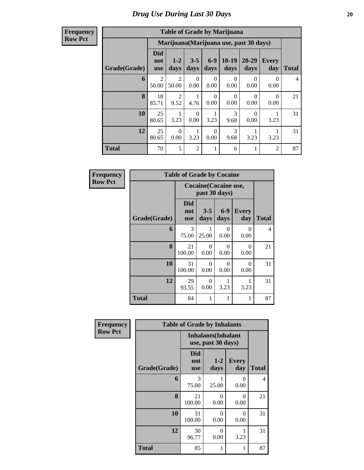| <b>Frequency</b> |
|------------------|
| <b>Row Pct</b>   |

| <b>Table of Grade by Marijuana</b> |                                 |                                         |                  |                  |                  |                   |                  |                |  |  |  |
|------------------------------------|---------------------------------|-----------------------------------------|------------------|------------------|------------------|-------------------|------------------|----------------|--|--|--|
|                                    |                                 | Marijuana (Marijuana use, past 30 days) |                  |                  |                  |                   |                  |                |  |  |  |
| Grade(Grade)                       | <b>Did</b><br>not<br><b>use</b> | $1-2$<br>days                           | $3 - 5$<br>days  | $6-9$<br>days    | $10-19$<br>days  | $20 - 29$<br>days | Every<br>day     | Total          |  |  |  |
| 6                                  | $\overline{2}$<br>50.00         | $\overline{2}$<br>50.00                 | $\Omega$<br>0.00 | $\Omega$<br>0.00 | $\Omega$<br>0.00 | $\Omega$<br>0.00  | 0<br>0.00        | $\overline{4}$ |  |  |  |
| $\mathbf{8}$                       | 18<br>85.71                     | 2<br>9.52                               | 4.76             | $\theta$<br>0.00 | $\Omega$<br>0.00 | $\Omega$<br>0.00  | $\Omega$<br>0.00 | 21             |  |  |  |
| 10                                 | 25<br>80.65                     | 3.23                                    | $\Omega$<br>0.00 | 3.23             | 3<br>9.68        | $\Omega$<br>0.00  | 3.23             | 31             |  |  |  |
| 12                                 | 25<br>80.65                     | $\Omega$<br>0.00                        | 3.23             | $\Omega$<br>0.00 | 3<br>9.68        | 3.23              | 3.23             | 31             |  |  |  |
| <b>Total</b>                       | 70                              | 5                                       | $\overline{2}$   | 1                | 6                |                   | $\overline{2}$   | 87             |  |  |  |

| Frequency      |              | <b>Table of Grade by Cocaine</b> |                                               |                  |                     |                |  |  |  |
|----------------|--------------|----------------------------------|-----------------------------------------------|------------------|---------------------|----------------|--|--|--|
| <b>Row Pct</b> |              |                                  | <b>Cocaine</b> (Cocaine use,<br>past 30 days) |                  |                     |                |  |  |  |
|                | Grade(Grade) | <b>Did</b><br>not<br><b>use</b>  | $3 - 5$<br>days                               | $6-9$<br>days    | <b>Every</b><br>day | <b>Total</b>   |  |  |  |
|                | 6            | $\mathcal{R}$<br>75.00           | 25.00                                         | 0<br>0.00        | 0<br>0.00           | $\overline{4}$ |  |  |  |
|                | 8            | 21<br>100.00                     | $\Omega$<br>0.00                              | 0<br>0.00        | $\Omega$<br>0.00    | 21             |  |  |  |
|                | 10           | 31<br>100.00                     | $\Omega$<br>0.00                              | $\Omega$<br>0.00 | $\Omega$<br>0.00    | 31             |  |  |  |
|                | 12           | 29<br>93.55                      | $\Omega$<br>0.00                              | 3.23             | 1<br>3.23           | 31             |  |  |  |
|                | <b>Total</b> | 84                               | 1                                             | 1                | 1                   | 87             |  |  |  |

| Frequency      | <b>Table of Grade by Inhalants</b> |                          |                                                  |                     |              |  |  |  |
|----------------|------------------------------------|--------------------------|--------------------------------------------------|---------------------|--------------|--|--|--|
| <b>Row Pct</b> |                                    |                          | <b>Inhalants</b> (Inhalant<br>use, past 30 days) |                     |              |  |  |  |
|                | Grade(Grade)                       | Did<br>not<br><b>use</b> | $1 - 2$<br>days                                  | <b>Every</b><br>day | <b>Total</b> |  |  |  |
|                | 6                                  | 3<br>75.00               | 25.00                                            | 0<br>0.00           | 4            |  |  |  |
|                | 8                                  | 21<br>100.00             | $\Omega$<br>0.00                                 | 0<br>0.00           | 21           |  |  |  |
|                | 10                                 | 31<br>100.00             | $\Omega$<br>0.00                                 | $\Omega$<br>0.00    | 31           |  |  |  |
|                | 12                                 | 30<br>96.77              | $\Omega$<br>0.00                                 | 3.23                | 31           |  |  |  |
|                | <b>Total</b>                       | 85                       | 1                                                | 1                   | 87           |  |  |  |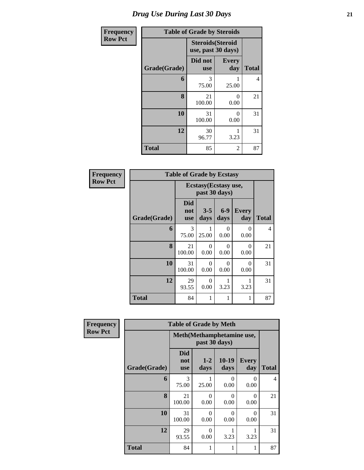| Frequency      | <b>Table of Grade by Steroids</b> |                                                |                     |              |  |  |  |  |
|----------------|-----------------------------------|------------------------------------------------|---------------------|--------------|--|--|--|--|
| <b>Row Pct</b> |                                   | <b>Steroids</b> (Steroid<br>use, past 30 days) |                     |              |  |  |  |  |
|                | Grade(Grade)                      | Did not<br><b>use</b>                          | <b>Every</b><br>day | <b>Total</b> |  |  |  |  |
|                | 6                                 | 3<br>75.00                                     | 1<br>25.00          | 4            |  |  |  |  |
|                | 8                                 | 21<br>100.00                                   | $\theta$<br>0.00    | 21           |  |  |  |  |
|                | 10                                | 31<br>100.00                                   | $\theta$<br>0.00    | 31           |  |  |  |  |
|                | 12                                | 30<br>96.77                                    | 1<br>3.23           | 31           |  |  |  |  |
|                | <b>Total</b>                      | 85                                             | $\overline{2}$      | 87           |  |  |  |  |

| Frequency      | <b>Table of Grade by Ecstasy</b> |                                 |                                       |               |                     |                |  |  |  |
|----------------|----------------------------------|---------------------------------|---------------------------------------|---------------|---------------------|----------------|--|--|--|
| <b>Row Pct</b> |                                  |                                 | Ecstasy(Ecstasy use,<br>past 30 days) |               |                     |                |  |  |  |
|                | Grade(Grade)                     | <b>Did</b><br>not<br><b>use</b> | $3 - 5$<br>days                       | $6-9$<br>days | <b>Every</b><br>day | <b>Total</b>   |  |  |  |
|                | 6                                | 3<br>75.00                      | 1<br>25.00                            | 0<br>0.00     | $\Omega$<br>0.00    | $\overline{4}$ |  |  |  |
|                | 8                                | 21<br>100.00                    | $\Omega$<br>0.00                      | 0<br>0.00     | $\Omega$<br>0.00    | 21             |  |  |  |
|                | 10                               | 31<br>100.00                    | $\Omega$<br>0.00                      | 0<br>0.00     | $\Omega$<br>0.00    | 31             |  |  |  |
|                | 12                               | 29<br>93.55                     | 0<br>0.00                             | 1<br>3.23     | 1<br>3.23           | 31             |  |  |  |
|                | <b>Total</b>                     | 84                              | 1                                     | 1             | 1                   | 87             |  |  |  |

| Frequency      |              | <b>Table of Grade by Meth</b>   |                                            |                  |                     |                |  |  |  |  |
|----------------|--------------|---------------------------------|--------------------------------------------|------------------|---------------------|----------------|--|--|--|--|
| <b>Row Pct</b> |              |                                 | Meth(Methamphetamine use,<br>past 30 days) |                  |                     |                |  |  |  |  |
|                | Grade(Grade) | <b>Did</b><br>not<br><b>use</b> | $1 - 2$<br>days                            | $10-19$<br>days  | <b>Every</b><br>day | <b>Total</b>   |  |  |  |  |
|                | 6            | 3<br>75.00                      | 25.00                                      | $\Omega$<br>0.00 | 0<br>0.00           | $\overline{4}$ |  |  |  |  |
|                | 8            | 21<br>100.00                    | $\Omega$<br>0.00                           | $\Omega$<br>0.00 | 0<br>0.00           | 21             |  |  |  |  |
|                | 10           | 31<br>100.00                    | $\Omega$<br>0.00                           | $\Omega$<br>0.00 | $\Omega$<br>0.00    | 31             |  |  |  |  |
|                | 12           | 29<br>93.55                     | $\Omega$<br>0.00                           | 3.23             | 3.23                | 31             |  |  |  |  |
|                | <b>Total</b> | 84                              | 1                                          | 1                |                     | 87             |  |  |  |  |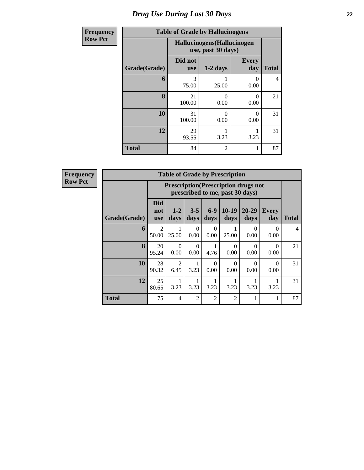## *Drug Use During Last 30 Days* **22**

| Frequency      | <b>Table of Grade by Hallucinogens</b> |                       |                                                   |                     |              |  |  |  |
|----------------|----------------------------------------|-----------------------|---------------------------------------------------|---------------------|--------------|--|--|--|
| <b>Row Pct</b> |                                        |                       | Hallucinogens (Hallucinogen<br>use, past 30 days) |                     |              |  |  |  |
|                | Grade(Grade)                           | Did not<br><b>use</b> | $1-2$ days                                        | <b>Every</b><br>day | <b>Total</b> |  |  |  |
|                | 6                                      | 3<br>75.00            | 25.00                                             | 0<br>0.00           | 4            |  |  |  |
|                | 8                                      | 21<br>100.00          | ∩<br>0.00                                         | 0<br>0.00           | 21           |  |  |  |
|                | 10                                     | 31<br>100.00          | $\mathcal{O}$<br>0.00                             | 0<br>0.00           | 31           |  |  |  |
|                | 12                                     | 29<br>93.55           | 3.23                                              | 3.23                | 31           |  |  |  |
|                | <b>Total</b>                           | 84                    | $\mathfrak{D}$                                    |                     | 87           |  |  |  |

**Frequency Row Pct**

| <b>Table of Grade by Prescription</b> |                                 |                                                                                |                  |                |                  |               |                     |                |
|---------------------------------------|---------------------------------|--------------------------------------------------------------------------------|------------------|----------------|------------------|---------------|---------------------|----------------|
|                                       |                                 | <b>Prescription</b> (Prescription drugs not<br>prescribed to me, past 30 days) |                  |                |                  |               |                     |                |
| Grade(Grade)                          | <b>Did</b><br>not<br><b>use</b> | $1 - 2$<br>days                                                                | $3 - 5$<br>days  | $6-9$<br>days  | $10-19$<br>days  | 20-29<br>days | <b>Every</b><br>day | <b>Total</b>   |
| 6                                     | $\mathfrak{D}$<br>50.00         | 25.00                                                                          | $\Omega$<br>0.00 | 0<br>0.00      | 25.00            | 0<br>0.00     | $\Omega$<br>0.00    | $\overline{4}$ |
| 8                                     | 20<br>95.24                     | $\Omega$<br>0.00                                                               | $\Omega$<br>0.00 | 4.76           | $\Omega$<br>0.00 | 0<br>0.00     | 0<br>0.00           | 21             |
| 10                                    | 28<br>90.32                     | $\mathfrak{D}$<br>6.45                                                         | 3.23             | 0<br>0.00      | $\Omega$<br>0.00 | 0<br>0.00     | 0<br>0.00           | 31             |
| 12                                    | 25<br>80.65                     | 3.23                                                                           | 3.23             | 3.23           | 3.23             | 3.23          | 3.23                | 31             |
| <b>Total</b>                          | 75                              | 4                                                                              | $\overline{2}$   | $\overline{2}$ | $\overline{c}$   |               |                     | 87             |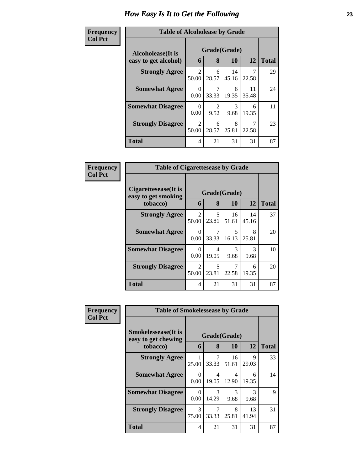#### **Frequency Col Pct**

| ncy | <b>Table of Alcoholease by Grade</b> |            |              |             |             |              |  |  |  |  |
|-----|--------------------------------------|------------|--------------|-------------|-------------|--------------|--|--|--|--|
|     | Alcoholease(It is                    |            | Grade(Grade) |             |             |              |  |  |  |  |
|     | easy to get alcohol)                 | 6          | 8            | 10          | 12          | <b>Total</b> |  |  |  |  |
|     | <b>Strongly Agree</b>                | 2<br>50.00 | 6<br>28.57   | 14<br>45.16 | 7<br>22.58  | 29           |  |  |  |  |
|     | <b>Somewhat Agree</b>                | 0<br>0.00  | 7<br>33.33   | 6<br>19.35  | 11<br>35.48 | 24           |  |  |  |  |
|     | <b>Somewhat Disagree</b>             | 0<br>0.00  | 9.52         | 3<br>9.68   | 6<br>19.35  | 11           |  |  |  |  |
|     | <b>Strongly Disagree</b>             | 2<br>50.00 | 6<br>28.57   | 8<br>25.81  | 7<br>22.58  | 23           |  |  |  |  |
|     | <b>Total</b>                         | 4          | 21           | 31          | 31          | 87           |  |  |  |  |

| Frequency      | <b>Table of Cigarettesease by Grade</b>                 |                  |                                   |                                   |             |              |  |
|----------------|---------------------------------------------------------|------------------|-----------------------------------|-----------------------------------|-------------|--------------|--|
| <b>Col Pct</b> | Cigarettesease(It is<br>easy to get smoking<br>tobacco) | 6                | Grade(Grade)<br>8                 | 10                                | 12          | <b>Total</b> |  |
|                | <b>Strongly Agree</b>                                   | 2<br>50.00       | $\overline{\mathcal{L}}$<br>23.81 | 16<br>51.61                       | 14<br>45.16 | 37           |  |
|                | <b>Somewhat Agree</b>                                   | $\Omega$<br>0.00 | 7<br>33.33                        | $\overline{\phantom{0}}$<br>16.13 | 8<br>25.81  | 20           |  |
|                | <b>Somewhat Disagree</b>                                | 0<br>0.00        | 4<br>19.05                        | 3<br>9.68                         | 3<br>9.68   | 10           |  |
|                | <b>Strongly Disagree</b>                                | 2<br>50.00       | $\overline{\phantom{1}}$<br>23.81 | 7<br>22.58                        | 6<br>19.35  | 20           |  |
|                | Total                                                   | 4                | 21                                | 31                                | 31          | 87           |  |

| <b>Frequency</b> | <b>Table of Smokelessease by Grade</b>                         |                  |            |                    |             |              |  |  |
|------------------|----------------------------------------------------------------|------------------|------------|--------------------|-------------|--------------|--|--|
| <b>Col Pct</b>   | <b>Smokelessease</b> (It is<br>easy to get chewing<br>tobacco) | 6                | 8          | Grade(Grade)<br>10 | 12          | <b>Total</b> |  |  |
|                  | <b>Strongly Agree</b>                                          | 25.00            | 7<br>33.33 | 16<br>51.61        | 9<br>29.03  | 33           |  |  |
|                  | <b>Somewhat Agree</b>                                          | $\Omega$<br>0.00 | 4<br>19.05 | 4<br>12.90         | 6<br>19.35  | 14           |  |  |
|                  | <b>Somewhat Disagree</b>                                       | 0<br>0.00        | 3<br>14.29 | 3<br>9.68          | 3<br>9.68   | 9            |  |  |
|                  | <b>Strongly Disagree</b>                                       | 3<br>75.00       | 33.33      | 8<br>25.81         | 13<br>41.94 | 31           |  |  |
|                  | Total                                                          | 4                | 21         | 31                 | 31          | 87           |  |  |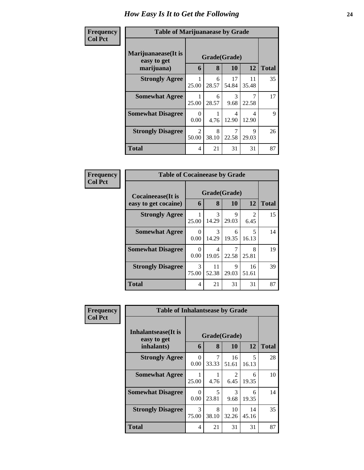| Frequency<br><b>Col Pct</b> | <b>Table of Marijuanaease by Grade</b>           |                         |            |                           |             |              |  |
|-----------------------------|--------------------------------------------------|-------------------------|------------|---------------------------|-------------|--------------|--|
|                             | Marijuanaease(It is<br>easy to get<br>marijuana) | 6                       | 8          | Grade(Grade)<br><b>10</b> | 12          | <b>Total</b> |  |
|                             | <b>Strongly Agree</b>                            | 25.00                   | 6<br>28.57 | 17<br>54.84               | 11<br>35.48 | 35           |  |
|                             | <b>Somewhat Agree</b>                            | 25.00                   | 6<br>28.57 | 3<br>9.68                 | 7<br>22.58  | 17           |  |
|                             | <b>Somewhat Disagree</b>                         | ∩<br>0.00               | 4.76       | 4<br>12.90                | 4<br>12.90  | 9            |  |
|                             | <b>Strongly Disagree</b>                         | $\mathfrak{D}$<br>50.00 | 8<br>38.10 | 22.58                     | 9<br>29.03  | 26           |  |
|                             | <b>Total</b>                                     | 4                       | 21         | 31                        | 31          | 87           |  |

| Frequency      | <b>Table of Cocaineease by Grade</b>              |            |                        |                    |             |              |  |
|----------------|---------------------------------------------------|------------|------------------------|--------------------|-------------|--------------|--|
| <b>Col Pct</b> | <b>Cocaineease</b> (It is<br>easy to get cocaine) | 6          | 8                      | Grade(Grade)<br>10 | 12          | <b>Total</b> |  |
|                | <b>Strongly Agree</b>                             | 25.00      | 3<br>14.29             | 9<br>29.03         | 2<br>6.45   | 15           |  |
|                | <b>Somewhat Agree</b>                             | 0<br>0.00  | $\mathcal{F}$<br>14.29 | 6<br>19.35         | 5<br>16.13  | 14           |  |
|                | <b>Somewhat Disagree</b>                          | 0<br>0.00  | 4<br>19.05             | 22.58              | 8<br>25.81  | 19           |  |
|                | <b>Strongly Disagree</b>                          | 3<br>75.00 | 11<br>52.38            | 9<br>29.03         | 16<br>51.61 | 39           |  |
|                | <b>Total</b>                                      | 4          | 21                     | 31                 | 31          | 87           |  |

| <b>Frequency</b> | <b>Table of Inhalantsease by Grade</b> |                  |                                   |                        |             |              |  |
|------------------|----------------------------------------|------------------|-----------------------------------|------------------------|-------------|--------------|--|
| <b>Col Pct</b>   | Inhalantsease(It is<br>easy to get     | Grade(Grade)     |                                   |                        |             |              |  |
|                  | inhalants)                             | 6                | 8                                 | 10                     | 12          | <b>Total</b> |  |
|                  | <b>Strongly Agree</b>                  | $\Omega$<br>0.00 | 7<br>33.33                        | 16<br>51.61            | 5<br>16.13  | 28           |  |
|                  | <b>Somewhat Agree</b>                  | 25.00            | 4.76                              | $\overline{2}$<br>6.45 | 6<br>19.35  | 10           |  |
|                  | <b>Somewhat Disagree</b>               | $\Omega$<br>0.00 | $\overline{\phantom{0}}$<br>23.81 | $\mathcal{R}$<br>9.68  | 6<br>19.35  | 14           |  |
|                  | <b>Strongly Disagree</b>               | 3<br>75.00       | 8<br>38.10                        | 10<br>32.26            | 14<br>45.16 | 35           |  |
|                  | <b>Total</b>                           | 4                | 21                                | 31                     | 31          | 87           |  |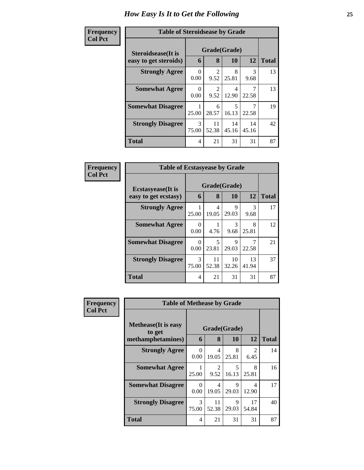| Frequency      | <b>Table of Steroidsease by Grade</b> |                  |                        |             |             |              |  |  |  |
|----------------|---------------------------------------|------------------|------------------------|-------------|-------------|--------------|--|--|--|
| <b>Col Pct</b> | <b>Steroidsease</b> (It is            | Grade(Grade)     |                        |             |             |              |  |  |  |
|                | easy to get steroids)                 | 6                | 8                      | 10          | 12          | <b>Total</b> |  |  |  |
|                | <b>Strongly Agree</b>                 | $\Omega$<br>0.00 | $\overline{2}$<br>9.52 | 8<br>25.81  | 3<br>9.68   | 13           |  |  |  |
|                | <b>Somewhat Agree</b>                 | 0<br>0.00        | $\mathfrak{D}$<br>9.52 | 4<br>12.90  | 22.58       | 13           |  |  |  |
|                | <b>Somewhat Disagree</b>              | 25.00            | 6<br>28.57             | 5<br>16.13  | 22.58       | 19           |  |  |  |
|                | <b>Strongly Disagree</b>              | 3<br>75.00       | 11<br>52.38            | 14<br>45.16 | 14<br>45.16 | 42           |  |  |  |
|                | <b>Total</b>                          | 4                | 21                     | 31          | 31          | 87           |  |  |  |

| <b>Frequency</b> | <b>Table of Ecstasyease by Grade</b>              |                  |                   |             |             |              |
|------------------|---------------------------------------------------|------------------|-------------------|-------------|-------------|--------------|
| <b>Col Pct</b>   | <b>Ecstasyease</b> (It is<br>easy to get ecstasy) | 6                | Grade(Grade)<br>8 | 10          | 12          | <b>Total</b> |
|                  | <b>Strongly Agree</b>                             | 25.00            | 4<br>19.05        | 9<br>29.03  | 3<br>9.68   | 17           |
|                  | <b>Somewhat Agree</b>                             | $\Omega$<br>0.00 | 4.76              | 3<br>9.68   | 8<br>25.81  | 12           |
|                  | <b>Somewhat Disagree</b>                          | $\Omega$<br>0.00 | 5<br>23.81        | 9<br>29.03  | 22.58       | 21           |
|                  | <b>Strongly Disagree</b>                          | 3<br>75.00       | 11<br>52.38       | 10<br>32.26 | 13<br>41.94 | 37           |
|                  | <b>Total</b>                                      | 4                | 21                | 31          | 31          | 87           |

| <b>Frequency</b> | <b>Table of Methease by Grade</b>                          |                  |                        |                    |             |              |
|------------------|------------------------------------------------------------|------------------|------------------------|--------------------|-------------|--------------|
| <b>Col Pct</b>   | <b>Methease</b> (It is easy<br>to get<br>methamphetamines) | 6                | 8                      | Grade(Grade)<br>10 | 12          | <b>Total</b> |
|                  | <b>Strongly Agree</b>                                      | $\Omega$<br>0.00 | 4<br>19.05             | 8<br>25.81         | 2<br>6.45   | 14           |
|                  | <b>Somewhat Agree</b>                                      | 25.00            | $\mathfrak{D}$<br>9.52 | 5<br>16.13         | 8<br>25.81  | 16           |
|                  | <b>Somewhat Disagree</b>                                   | 0<br>0.00        | 4<br>19.05             | 9<br>29.03         | 4<br>12.90  | 17           |
|                  | <b>Strongly Disagree</b>                                   | 3<br>75.00       | 11<br>52.38            | 9<br>29.03         | 17<br>54.84 | 40           |
|                  | Total                                                      | 4                | 21                     | 31                 | 31          | 87           |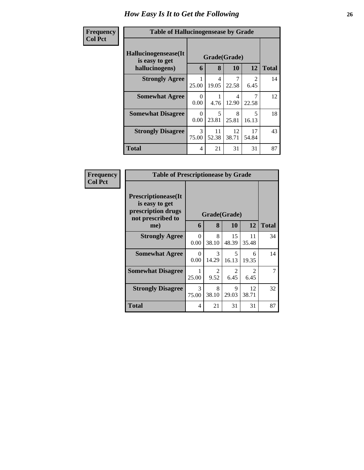| Frequency<br><b>Col Pct</b> | <b>Table of Hallucinogensease by Grade</b>               |                  |                   |             |                        |              |
|-----------------------------|----------------------------------------------------------|------------------|-------------------|-------------|------------------------|--------------|
|                             | Hallucinogensease(It<br>is easy to get<br>hallucinogens) | 6                | Grade(Grade)<br>8 | <b>10</b>   | 12                     | <b>Total</b> |
|                             | <b>Strongly Agree</b>                                    | 25.00            | 4<br>19.05        | 22.58       | $\mathfrak{D}$<br>6.45 | 14           |
|                             | <b>Somewhat Agree</b>                                    | 0<br>0.00        | 4.76              | 4<br>12.90  | 22.58                  | 12           |
|                             | <b>Somewhat Disagree</b>                                 | $\Omega$<br>0.00 | 5<br>23.81        | 8<br>25.81  | 5<br>16.13             | 18           |
|                             | <b>Strongly Disagree</b>                                 | 3<br>75.00       | 11<br>52.38       | 12<br>38.71 | 17<br>54.84            | 43           |
|                             | Total                                                    | 4                | 21                | 31          | 31                     | 87           |

| Frequency      | <b>Table of Prescriptionease by Grade</b>                                                |                  |              |                        |                                     |              |
|----------------|------------------------------------------------------------------------------------------|------------------|--------------|------------------------|-------------------------------------|--------------|
| <b>Col Pct</b> | <b>Prescriptionease</b> (It<br>is easy to get<br>prescription drugs<br>not prescribed to |                  | Grade(Grade) |                        |                                     |              |
|                | me)                                                                                      | 6                | 8            | <b>10</b>              | 12                                  | <b>Total</b> |
|                | <b>Strongly Agree</b>                                                                    | $\Omega$<br>0.00 | 8<br>38.10   | 15<br>48.39            | 11<br>35.48                         | 34           |
|                | <b>Somewhat Agree</b>                                                                    | $\Omega$<br>0.00 | 3<br>14.29   | 5<br>16.13             | 6<br>19.35                          | 14           |
|                | <b>Somewhat Disagree</b>                                                                 | 25.00            | 2<br>9.52    | $\mathfrak{D}$<br>6.45 | $\mathcal{D}_{\mathcal{L}}$<br>6.45 | 7            |
|                | <b>Strongly Disagree</b>                                                                 | 3<br>75.00       | 8<br>38.10   | 9<br>29.03             | 12<br>38.71                         | 32           |
|                | <b>Total</b>                                                                             | 4                | 21           | 31                     | 31                                  | 87           |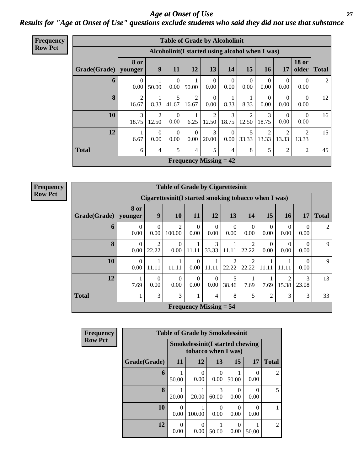*Age at Onset of Use* **27** *Results for "Age at Onset of Use" questions exclude students who said they did not use that substance*

| <b>Frequency</b> |              |                        |                         |                      |                  | <b>Table of Grade by Alcoholinit</b>             |                      |                  |                  |                  |                       |              |
|------------------|--------------|------------------------|-------------------------|----------------------|------------------|--------------------------------------------------|----------------------|------------------|------------------|------------------|-----------------------|--------------|
| <b>Row Pct</b>   |              |                        |                         |                      |                  | Alcoholinit (I started using alcohol when I was) |                      |                  |                  |                  |                       |              |
|                  | Grade(Grade) | <b>8 or</b><br>younger | $\boldsymbol{9}$        | 11                   | 12               | 13                                               | 14                   | 15               | 16               | <b>17</b>        | <b>18 or</b><br>older | <b>Total</b> |
|                  | 6            | $\Omega$<br>0.00       | 50.00                   | $\Omega$<br>$0.00\,$ | 50.00            | $\Omega$<br>0.00                                 | $\theta$<br>0.00     | $\theta$<br>0.00 | $\Omega$<br>0.00 | $\Omega$<br>0.00 | $\Omega$<br>0.00      | 2            |
|                  | 8            | 2<br>16.67             | 8.33                    | 5<br>41.67           | 2<br>16.67       | $\Omega$<br>0.00                                 | 8.33                 | 8.33             | $\Omega$<br>0.00 | $\Omega$<br>0.00 | $\Omega$<br>0.00      | 12           |
|                  | 10           | 3<br>18.75             | $\overline{2}$<br>12.50 | $\Omega$<br>0.00     | 6.25             | $\overline{2}$<br>12.50                          | 3<br>18.75           | 2<br>12.50       | 3<br>18.75       | $\Omega$<br>0.00 | $\Omega$<br>0.00      | 16           |
|                  | 12           | 6.67                   | $\theta$<br>0.00        | $\Omega$<br>0.00     | $\theta$<br>0.00 | 3<br>20.00                                       | $\theta$<br>$0.00\,$ | 5<br>33.33       | 2<br>13.33       | 13.33            | 2<br>13.33            | 15           |
|                  | <b>Total</b> | 6                      | 4                       | 5                    | 4                | 5                                                | $\overline{4}$       | 8                | 5                | $\overline{2}$   | $\overline{2}$        | 45           |
|                  |              |                        |                         |                      |                  | <b>Frequency Missing = 42</b>                    |                      |                  |                  |                  |                       |              |

**Frequency Row Pct**

|                                                                                                                                                                                                                             | <b>Table of Grade by Cigarettesinit</b>                                                                                                                                              |                                                                                 |       |                  |                               |                        |                         |       |       |                  |                |
|-----------------------------------------------------------------------------------------------------------------------------------------------------------------------------------------------------------------------------|--------------------------------------------------------------------------------------------------------------------------------------------------------------------------------------|---------------------------------------------------------------------------------|-------|------------------|-------------------------------|------------------------|-------------------------|-------|-------|------------------|----------------|
|                                                                                                                                                                                                                             |                                                                                                                                                                                      | Cigarettesinit (I started smoking tobacco when I was)                           |       |                  |                               |                        |                         |       |       |                  |                |
| Grade(Grade)   younger                                                                                                                                                                                                      | 8 or                                                                                                                                                                                 | 9<br>13<br><b>Total</b><br><b>10</b><br>11<br>12<br>14<br>15<br>17<br><b>16</b> |       |                  |                               |                        |                         |       |       |                  |                |
| 6<br>$\overline{\mathcal{L}}$<br>$\Omega$<br>$\Omega$<br>$\theta$<br>$\Omega$<br>$\Omega$<br>$\Omega$<br>$\Omega$<br>$\Omega$<br>$\Omega$<br>0.00<br>0.00<br>100.00<br>0.00<br>0.00<br>0.00<br>0.00<br>0.00<br>0.00<br>0.00 |                                                                                                                                                                                      |                                                                                 |       |                  |                               |                        |                         |       |       |                  | $\mathfrak{D}$ |
| 8                                                                                                                                                                                                                           | $\mathcal{F}$<br>$\mathfrak{D}$<br>$\mathfrak{D}$<br>$\theta$<br>0<br>$\Omega$<br>$\Omega$<br>0<br>33.33<br>0.00<br>0.00<br>11.11<br>0.00<br>0.00<br>22.22<br>11.11<br>22.22<br>0.00 |                                                                                 |       |                  |                               |                        |                         |       |       |                  |                |
| 10                                                                                                                                                                                                                          | $\theta$<br>0.00                                                                                                                                                                     | 11.11                                                                           | 11.11 | $\Omega$<br>0.00 | 11.11                         | $\mathcal{D}$<br>22.22 | $\mathfrak{D}$<br>22.22 | 11.11 | 11.11 | $\Omega$<br>0.00 | 9              |
| 12<br>5<br>13<br>$\Omega$<br>$\overline{c}$<br>3<br>$\Omega$<br>$\Omega$<br>$\Omega$<br>1<br>0.00<br>15.38<br>7.69<br>0.00<br>0.00<br>0.00<br>38.46<br>7.69<br>7.69<br>23.08                                                |                                                                                                                                                                                      |                                                                                 |       |                  |                               |                        |                         |       |       |                  |                |
| <b>Total</b><br>5<br>3<br>8<br>3<br>3<br>$\overline{2}$<br>3<br>1<br>4<br>$\mathbf{I}$                                                                                                                                      |                                                                                                                                                                                      |                                                                                 |       |                  |                               |                        |                         |       |       |                  | 33             |
|                                                                                                                                                                                                                             |                                                                                                                                                                                      |                                                                                 |       |                  | <b>Frequency Missing = 54</b> |                        |                         |       |       |                  |                |

| Frequency      |              | <b>Table of Grade by Smokelessinit</b> |                                                               |                      |                       |           |                |
|----------------|--------------|----------------------------------------|---------------------------------------------------------------|----------------------|-----------------------|-----------|----------------|
| <b>Row Pct</b> |              |                                        | <b>Smokelessinit(I started chewing</b><br>tobacco when I was) |                      |                       |           |                |
|                | Grade(Grade) | 11                                     | 12                                                            | 13                   | 15                    | <b>17</b> | <b>Total</b>   |
|                | 6            | 50.00                                  | $\Omega$<br>0.00                                              | 0<br>0.00            | 50.00                 | 0.00      | $\overline{2}$ |
|                | 8            | 20.00                                  | 20.00                                                         | 3<br>60.00           | 0.00                  | 0.00      | 5              |
|                | 10           | $\Omega$<br>0.00                       | 100.00                                                        | $\mathbf{0}$<br>0.00 | $\mathcal{O}$<br>0.00 | 0.00      |                |
|                | 12           | $\theta$<br>0.00                       | $\Omega$<br>0.00                                              | 50.00                | 0.00                  | 50.00     | $\overline{2}$ |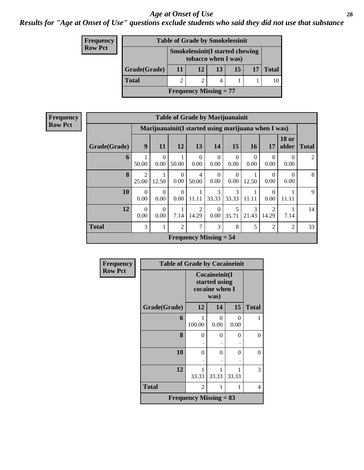*Results for "Age at Onset of Use" questions exclude students who said they did not use that substance*

| <b>Frequency</b> |              |                      | <b>Table of Grade by Smokelessinit</b>                        |  |  |  |  |  |
|------------------|--------------|----------------------|---------------------------------------------------------------|--|--|--|--|--|
| <b>Row Pct</b>   |              |                      | <b>Smokelessinit(I started chewing</b><br>tobacco when I was) |  |  |  |  |  |
|                  | Grade(Grade) | 13<br>11<br>15<br>12 |                                                               |  |  |  |  |  |
|                  | <b>Total</b> |                      |                                                               |  |  |  |  |  |
|                  |              |                      | <b>Frequency Missing = 77</b>                                 |  |  |  |  |  |

| <b>Frequency</b> |              | <b>Table of Grade by Marijuanainit</b> |                        |                  |                         |                               |                  |                  |                                                                                                                                                                          |                       |              |  |
|------------------|--------------|----------------------------------------|------------------------|------------------|-------------------------|-------------------------------|------------------|------------------|--------------------------------------------------------------------------------------------------------------------------------------------------------------------------|-----------------------|--------------|--|
| <b>Row Pct</b>   |              |                                        |                        |                  |                         |                               |                  |                  | Marijuanainit (I started using marijuana when I was)                                                                                                                     |                       |              |  |
|                  | Grade(Grade) | 9                                      | 11                     | 12               | 13                      | 14                            | 15               | <b>16</b>        | 17                                                                                                                                                                       | <b>18 or</b><br>older | <b>Total</b> |  |
|                  | 6            | 50.00                                  | $\overline{0}$<br>0.00 | 50.00            | $\Omega$<br>0.00        | $\Omega$<br>0.00              | $\Omega$<br>0.00 | $\Omega$<br>0.00 | $\Omega$<br>0.00                                                                                                                                                         | $\Omega$<br>0.00      | 2            |  |
|                  | 8            | $\overline{2}$<br>25.00                | 12.50                  | $\Omega$<br>0.00 | $\overline{4}$<br>50.00 | $\Omega$<br>0.00              | $\theta$<br>0.00 | 12.50            | $\Omega$<br>0.00                                                                                                                                                         | $\Omega$<br>0.00      | 8            |  |
|                  | 10           | $\Omega$<br>0.00                       | $\Omega$<br>0.00       | $\Omega$<br>0.00 | 1<br>11.11              | 3<br>33.33                    | 3<br>33.33       | 11.11            | $\Omega$<br>0.00                                                                                                                                                         | 11.11                 | 9            |  |
|                  | 12           | $\Omega$<br>0.00                       | $\Omega$<br>0.00       | 7.14             | $\overline{2}$<br>14.29 | $\Omega$<br>0.00              | 5<br>35.71       | 3<br>21.43       | $\mathcal{D}_{\mathcal{A}}^{\mathcal{A}}(\mathcal{A})=\mathcal{D}_{\mathcal{A}}^{\mathcal{A}}(\mathcal{A})\mathcal{D}_{\mathcal{A}}^{\mathcal{A}}(\mathcal{A})$<br>14.29 | 7.14                  | 14           |  |
|                  | <b>Total</b> | 3                                      | 1                      | $\overline{2}$   | 7                       | 3                             | 8                | 5                | $\overline{c}$                                                                                                                                                           | $\overline{c}$        | 33           |  |
|                  |              |                                        |                        |                  |                         | <b>Frequency Missing = 54</b> |                  |                  |                                                                                                                                                                          |                       |              |  |

| Frequency      | <b>Table of Grade by Cocaineinit</b> |                               |                                                          |            |              |
|----------------|--------------------------------------|-------------------------------|----------------------------------------------------------|------------|--------------|
| <b>Row Pct</b> |                                      |                               | Cocaineinit(I<br>started using<br>cocaine when I<br>was) |            |              |
|                | Grade(Grade)                         | 12                            | 14                                                       | 15         | <b>Total</b> |
|                | 6                                    | 100.00                        | 0<br>0.00                                                | 0<br>0.00  |              |
|                | 8                                    | 0                             | 0                                                        | 0          | 0            |
|                | 10                                   | 0                             | 0                                                        | 0          | $\theta$     |
|                | 12                                   | 1<br>33.33                    | 33.33                                                    | 1<br>33.33 | 3            |
|                | <b>Total</b>                         | 2                             | 1                                                        | 1          | 4            |
|                |                                      | <b>Frequency Missing = 83</b> |                                                          |            |              |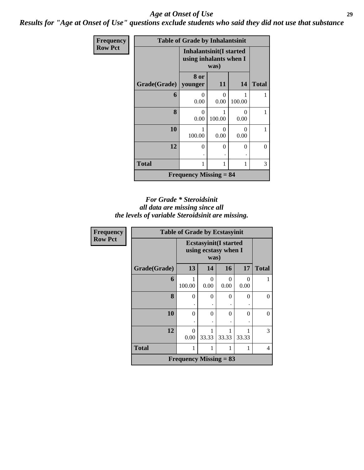*Results for "Age at Onset of Use" questions exclude students who said they did not use that substance*

| Frequency      |              | <b>Table of Grade by Inhalantsinit</b>            |           |                  |              |
|----------------|--------------|---------------------------------------------------|-----------|------------------|--------------|
| <b>Row Pct</b> |              | Inhalantsinit(I started<br>using inhalants when I | was)      |                  |              |
|                | Grade(Grade) | 8 or<br>younger                                   | 11        | 14               | <b>Total</b> |
|                | 6            | 0<br>0.00                                         | 0<br>0.00 | 100.00           |              |
|                | 8            | $\theta$<br>0.00                                  | 100.00    | $\theta$<br>0.00 |              |
|                | 10           | 100.00                                            | ∩<br>0.00 | $\Omega$<br>0.00 |              |
|                | 12           | 0<br>٠                                            | $\Omega$  | $\theta$         | $\Omega$     |
|                | <b>Total</b> | 1                                                 |           | 1                | 3            |
|                |              | <b>Frequency Missing = 84</b>                     |           |                  |              |

#### *For Grade \* Steroidsinit all data are missing since all the levels of variable Steroidsinit are missing.*

| Frequency      | <b>Table of Grade by Ecstasyinit</b> |                          |                                                              |           |           |                |  |  |  |
|----------------|--------------------------------------|--------------------------|--------------------------------------------------------------|-----------|-----------|----------------|--|--|--|
| <b>Row Pct</b> |                                      |                          | <b>Ecstasyinit(I started</b><br>using ecstasy when I<br>was) |           |           |                |  |  |  |
|                | Grade(Grade)                         | 13                       | 14                                                           | 16        | 17        | <b>Total</b>   |  |  |  |
|                | 6                                    | 100.00                   | 0<br>0.00                                                    | 0<br>0.00 | 0<br>0.00 |                |  |  |  |
|                | 8                                    | $\Omega$                 | $\Omega$                                                     | 0         | $\Omega$  | 0              |  |  |  |
|                | 10                                   | $\theta$                 | $\Omega$                                                     | 0         | 0         | 0              |  |  |  |
|                | 12                                   | $\Omega$<br>0.00         | 33.33                                                        | 33.33     | 33.33     | 3              |  |  |  |
|                | <b>Total</b>                         |                          | 1                                                            | 1         |           | $\overline{4}$ |  |  |  |
|                |                                      | Frequency Missing $= 83$ |                                                              |           |           |                |  |  |  |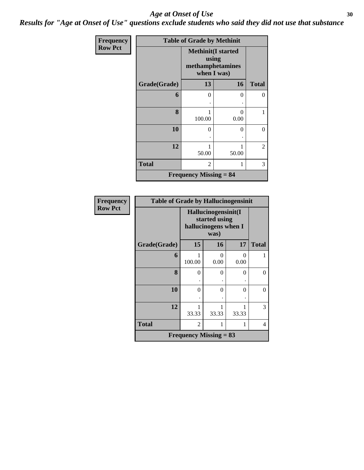*Results for "Age at Onset of Use" questions exclude students who said they did not use that substance*

| Frequency      | <b>Table of Grade by Methinit</b> |                                                                       |           |              |  |  |  |
|----------------|-----------------------------------|-----------------------------------------------------------------------|-----------|--------------|--|--|--|
| <b>Row Pct</b> |                                   | <b>Methinit(I started</b><br>using<br>methamphetamines<br>when I was) |           |              |  |  |  |
|                | Grade(Grade)                      | 13                                                                    | 16        | <b>Total</b> |  |  |  |
|                | 6                                 | 0                                                                     | 0         | 0            |  |  |  |
|                | 8                                 | 100.00                                                                | 0<br>0.00 | 1            |  |  |  |
|                | 10                                | $\theta$                                                              | 0         | 0            |  |  |  |
|                | 12                                | 50.00                                                                 | 50.00     | 2            |  |  |  |
|                | <b>Total</b>                      | 2                                                                     | 1         | 3            |  |  |  |
|                |                                   | <b>Frequency Missing = 84</b>                                         |           |              |  |  |  |

| <b>Frequency</b> | <b>Table of Grade by Hallucinogensinit</b> |                                                              |            |                  |              |  |  |  |
|------------------|--------------------------------------------|--------------------------------------------------------------|------------|------------------|--------------|--|--|--|
| <b>Row Pct</b>   |                                            | Hallucinogensinit(I<br>started using<br>hallucinogens when I |            |                  |              |  |  |  |
|                  | Grade(Grade)                               | 15                                                           | 16         | 17               | <b>Total</b> |  |  |  |
|                  | 6                                          | 100.00                                                       | 0<br>0.00  | $\Omega$<br>0.00 |              |  |  |  |
|                  | 8                                          | $\theta$                                                     | $\theta$   | 0                | 0            |  |  |  |
|                  | 10                                         | 0                                                            | 0          | 0                | 0            |  |  |  |
|                  | 12                                         | 1<br>33.33                                                   | 1<br>33.33 | 1<br>33.33       | 3            |  |  |  |
|                  | <b>Total</b>                               | $\mathfrak{D}$                                               | 1          | 1                | 4            |  |  |  |
|                  | Frequency Missing $= 83$                   |                                                              |            |                  |              |  |  |  |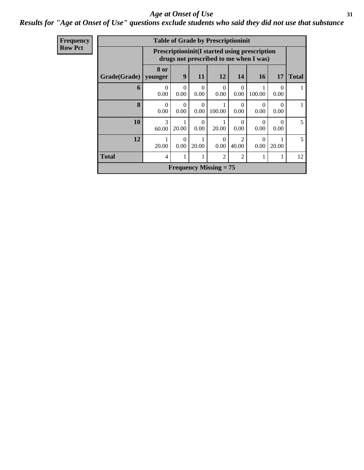#### *Results for "Age at Onset of Use" questions exclude students who said they did not use that substance*

| <b>Frequency</b> |
|------------------|
| <b>Row Pct</b>   |

|                               | <b>Table of Grade by Prescriptioninit</b> |                                                                                                |                  |                  |                                      |                      |                  |              |
|-------------------------------|-------------------------------------------|------------------------------------------------------------------------------------------------|------------------|------------------|--------------------------------------|----------------------|------------------|--------------|
|                               |                                           | <b>Prescriptioninit(I started using prescription</b><br>drugs not prescribed to me when I was) |                  |                  |                                      |                      |                  |              |
| Grade(Grade)                  | 8 or<br>younger                           | 9                                                                                              | 11               | 12               | 14                                   | 16                   | 17               | <b>Total</b> |
| 6                             | $\Omega$<br>0.00                          | 0<br>0.00                                                                                      | $\Omega$<br>0.00 | $\theta$<br>0.00 | 0<br>0.00                            | 100.00               | $\Omega$<br>0.00 | 1            |
| $\mathbf{8}$                  | 0<br>0.00                                 | 0<br>0.00                                                                                      | $\Omega$<br>0.00 | 100.00           | 0<br>0.00                            | $\mathbf{0}$<br>0.00 | 0<br>0.00        |              |
| 10                            | $\mathcal{R}$<br>60.00                    | 20.00                                                                                          | $\theta$<br>0.00 | 20.00            | 0<br>0.00                            | 0.00                 | $\Omega$<br>0.00 | 5            |
| 12                            | 20.00                                     | 0<br>0.00                                                                                      | 20.00            | 0<br>0.00        | $\mathcal{D}_{\mathcal{A}}$<br>40.00 | $\mathbf{0}$<br>0.00 | 20.00            | 5            |
| <b>Total</b>                  | 4                                         |                                                                                                |                  | $\overline{2}$   | $\overline{2}$                       | 1                    | 1                | 12           |
| <b>Frequency Missing = 75</b> |                                           |                                                                                                |                  |                  |                                      |                      |                  |              |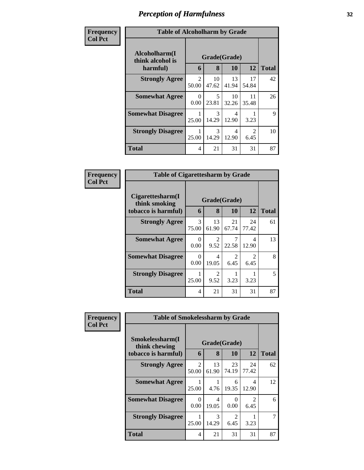| Frequency<br><b>Col Pct</b> | <b>Table of Alcoholharm by Grade</b>          |                         |                        |             |                        |              |
|-----------------------------|-----------------------------------------------|-------------------------|------------------------|-------------|------------------------|--------------|
|                             | Alcoholharm(I<br>think alcohol is<br>harmful) | 6                       | Grade(Grade)<br>8      | <b>10</b>   | 12                     | <b>Total</b> |
|                             | <b>Strongly Agree</b>                         | $\mathfrak{D}$<br>50.00 | 10<br>47.62            | 13<br>41.94 | 17<br>54.84            | 42           |
|                             | <b>Somewhat Agree</b>                         | $\Omega$<br>0.00        | 5<br>23.81             | 10<br>32.26 | 11<br>35.48            | 26           |
|                             | <b>Somewhat Disagree</b>                      | 25.00                   | $\mathcal{R}$<br>14.29 | 4<br>12.90  | 3.23                   | 9            |
|                             | <b>Strongly Disagree</b>                      | 25.00                   | 3<br>14.29             | 4<br>12.90  | $\mathfrak{D}$<br>6.45 | 10           |
|                             | <b>Total</b>                                  | 4                       | 21                     | 31          | 31                     | 87           |

| Frequency      | <b>Table of Cigarettesharm by Grade</b>                  |                  |                        |                        |                                     |              |
|----------------|----------------------------------------------------------|------------------|------------------------|------------------------|-------------------------------------|--------------|
| <b>Col Pct</b> | Cigarettesharm(I<br>think smoking<br>tobacco is harmful) | 6                | Grade(Grade)<br>8      | 10                     | 12                                  | <b>Total</b> |
|                | <b>Strongly Agree</b>                                    | 3<br>75.00       | 13<br>61.90            | 21<br>67.74            | 24<br>77.42                         | 61           |
|                | <b>Somewhat Agree</b>                                    | $\Omega$<br>0.00 | $\mathfrak{D}$<br>9.52 | 7<br>22.58             | 4<br>12.90                          | 13           |
|                | <b>Somewhat Disagree</b>                                 | 0<br>0.00        | 4<br>19.05             | $\mathfrak{D}$<br>6.45 | $\mathcal{D}_{\mathcal{L}}$<br>6.45 | 8            |
|                | <b>Strongly Disagree</b>                                 | 25.00            | $\mathfrak{D}$<br>9.52 | 3.23                   | 3.23                                | 5            |
|                | Total                                                    | 4                | 21                     | 31                     | 31                                  | 87           |

| Frequency      | <b>Table of Smokelessharm by Grade</b> |                                      |                        |                                     |                        |              |  |
|----------------|----------------------------------------|--------------------------------------|------------------------|-------------------------------------|------------------------|--------------|--|
| <b>Col Pct</b> | Smokelessharm(I<br>think chewing       |                                      | Grade(Grade)           |                                     |                        |              |  |
|                | tobacco is harmful)                    | 6                                    | 8                      | 10                                  | 12                     | <b>Total</b> |  |
|                | <b>Strongly Agree</b>                  | $\mathcal{D}_{\mathcal{L}}$<br>50.00 | 13<br>61.90            | 23<br>74.19                         | 24<br>77.42            | 62           |  |
|                | <b>Somewhat Agree</b>                  | 25.00                                | 4.76                   | 6<br>19.35                          | 4<br>12.90             | 12           |  |
|                | <b>Somewhat Disagree</b>               | 0<br>0.00                            | 4<br>19.05             | 0<br>0.00                           | $\mathfrak{D}$<br>6.45 | 6            |  |
|                | <b>Strongly Disagree</b>               | 25.00                                | $\mathcal{F}$<br>14.29 | $\mathcal{D}_{\mathcal{L}}$<br>6.45 | 3.23                   |              |  |
|                | <b>Total</b>                           | 4                                    | 21                     | 31                                  | 31                     | 87           |  |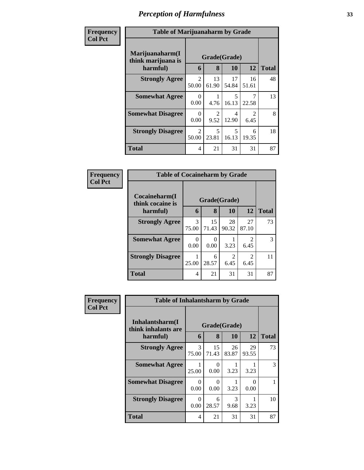| <b>Frequency</b> |                                                   | <b>Table of Marijuanaharm by Grade</b> |                   |             |                        |              |  |
|------------------|---------------------------------------------------|----------------------------------------|-------------------|-------------|------------------------|--------------|--|
| <b>Col Pct</b>   | Marijuanaharm(I<br>think marijuana is<br>harmful) | 6                                      | Grade(Grade)<br>8 | 10          | 12                     | <b>Total</b> |  |
|                  | <b>Strongly Agree</b>                             | $\mathfrak{D}$<br>50.00                | 13<br>61.90       | 17<br>54.84 | 16<br>51.61            | 48           |  |
|                  | <b>Somewhat Agree</b>                             | $\Omega$<br>0.00                       | 4.76              | 5<br>16.13  | 7<br>22.58             | 13           |  |
|                  | <b>Somewhat Disagree</b>                          | $\Omega$<br>0.00                       | 2<br>9.52         | 4<br>12.90  | $\mathfrak{D}$<br>6.45 | 8            |  |
|                  | <b>Strongly Disagree</b>                          | 2<br>50.00                             | 5<br>23.81        | 5<br>16.13  | 6<br>19.35             | 18           |  |
|                  | <b>Total</b>                                      | 4                                      | 21                | 31          | 31                     | 87           |  |

| Frequency      | <b>Table of Cocaineharm by Grade</b>          |                  |                   |                                     |                        |              |
|----------------|-----------------------------------------------|------------------|-------------------|-------------------------------------|------------------------|--------------|
| <b>Col Pct</b> | Cocaineharm(I<br>think cocaine is<br>harmful) | 6                | Grade(Grade)<br>8 | <b>10</b>                           | 12                     | <b>Total</b> |
|                | <b>Strongly Agree</b>                         | 3<br>75.00       | 15<br>71.43       | 28<br>90.32                         | 27<br>87.10            | 73           |
|                | <b>Somewhat Agree</b>                         | $\Omega$<br>0.00 | 0<br>0.00         | 3.23                                | 2<br>6.45              | 3            |
|                | <b>Strongly Disagree</b>                      | 25.00            | 6<br>28.57        | $\mathcal{D}_{\mathcal{L}}$<br>6.45 | $\mathfrak{D}$<br>6.45 | 11           |
|                | <b>Total</b>                                  | 4                | 21                | 31                                  | 31                     | 87           |

| <b>Frequency</b> | <b>Table of Inhalantsharm by Grade</b> |            |              |             |             |               |
|------------------|----------------------------------------|------------|--------------|-------------|-------------|---------------|
| <b>Col Pct</b>   | Inhalantsharm(I<br>think inhalants are |            | Grade(Grade) |             |             |               |
|                  | harmful)                               | 6          | 8            | 10          | 12          | <b>Total</b>  |
|                  | <b>Strongly Agree</b>                  | 3<br>75.00 | 15<br>71.43  | 26<br>83.87 | 29<br>93.55 | 73            |
|                  | <b>Somewhat Agree</b>                  | 25.00      | 0<br>0.00    | 3.23        | 3.23        | $\mathcal{F}$ |
|                  | <b>Somewhat Disagree</b>               | 0<br>0.00  | 0<br>0.00    | 3.23        | 0<br>0.00   |               |
|                  | <b>Strongly Disagree</b>               | 0<br>0.00  | 6<br>28.57   | 3<br>9.68   | 3.23        | 10            |
|                  | <b>Total</b>                           | 4          | 21           | 31          | 31          | 87            |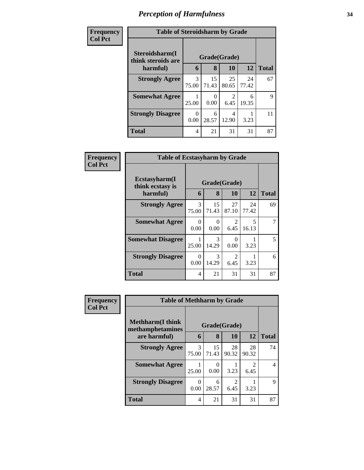| Frequency      |
|----------------|
| <b>Col Pct</b> |

| ÿ. | <b>Table of Steroidsharm by Grade</b>                |                        |                  |                        |             |              |  |  |  |
|----|------------------------------------------------------|------------------------|------------------|------------------------|-------------|--------------|--|--|--|
|    | Steroidsharm(I<br>Grade(Grade)<br>think steroids are |                        |                  |                        |             |              |  |  |  |
|    | harmful)                                             | 6                      | 8                | 10                     | 12          | <b>Total</b> |  |  |  |
|    | <b>Strongly Agree</b>                                | $\mathcal{F}$<br>75.00 | 15<br>71.43      | 25<br>80.65            | 24<br>77.42 | 67           |  |  |  |
|    | <b>Somewhat Agree</b>                                | 25.00                  | $\Omega$<br>0.00 | $\mathfrak{D}$<br>6.45 | 6<br>19.35  | 9            |  |  |  |
|    | <b>Strongly Disagree</b>                             | 0<br>0.00              | 6<br>28.57       | 4<br>12.90             | 3.23        | 11           |  |  |  |
|    | <b>Total</b>                                         | 4                      | 21               | 31                     | 31          | 87           |  |  |  |

| <b>Frequency</b> | <b>Table of Ecstasyharm by Grade</b>                |                  |                   |                        |             |              |  |  |
|------------------|-----------------------------------------------------|------------------|-------------------|------------------------|-------------|--------------|--|--|
| <b>Col Pct</b>   | $E$ cstasyharm $(I$<br>think ecstasy is<br>harmful) | 6                | Grade(Grade)<br>8 | 10                     | 12          | <b>Total</b> |  |  |
|                  | <b>Strongly Agree</b>                               | 3<br>75.00       | 15<br>71.43       | 27<br>87.10            | 24<br>77.42 | 69           |  |  |
|                  | <b>Somewhat Agree</b>                               | $\Omega$<br>0.00 | 0<br>0.00         | $\mathfrak{D}$<br>6.45 | 5<br>16.13  | 7            |  |  |
|                  | <b>Somewhat Disagree</b>                            | 25.00            | 3<br>14.29        | $\Omega$<br>0.00       | 3.23        | 5            |  |  |
|                  | <b>Strongly Disagree</b>                            | $\Omega$<br>0.00 | 3<br>14.29        | 2<br>6.45              | 3.23        | 6            |  |  |
|                  | <b>Total</b>                                        | 4                | 21                | 31                     | 31          | 87           |  |  |

| Frequency      | <b>Table of Methharm by Grade</b>           |              |                           |             |                        |                |  |  |
|----------------|---------------------------------------------|--------------|---------------------------|-------------|------------------------|----------------|--|--|
| <b>Col Pct</b> | <b>Methharm(I think</b><br>methamphetamines | Grade(Grade) |                           |             |                        |                |  |  |
|                | are harmful)                                | 6            | 8                         | <b>10</b>   | 12                     | <b>Total</b>   |  |  |
|                | <b>Strongly Agree</b>                       | 3<br>75.00   | 15<br>71.43               | 28<br>90.32 | 28<br>90.32            | 74             |  |  |
|                | <b>Somewhat Agree</b>                       | 25.00        | $\mathbf{\Omega}$<br>0.00 | 3.23        | $\mathfrak{D}$<br>6.45 | $\overline{4}$ |  |  |
|                | <b>Strongly Disagree</b>                    | 0<br>0.00    | 6<br>28.57                | 2<br>6.45   | 3.23                   | 9              |  |  |
|                | <b>Total</b>                                | 4            | 21                        | 31          | 31                     | 87             |  |  |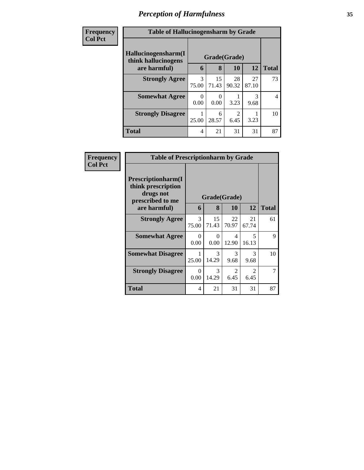| <b>Frequency</b> | <b>Table of Hallucinogensharm by Grade</b> |                  |             |                        |             |                |  |  |
|------------------|--------------------------------------------|------------------|-------------|------------------------|-------------|----------------|--|--|
| <b>Col Pct</b>   | Hallucinogensharm(I<br>think hallucinogens | Grade(Grade)     |             |                        |             |                |  |  |
|                  | are harmful)                               | 6                | 8           | 10                     | 12          | <b>Total</b>   |  |  |
|                  | <b>Strongly Agree</b>                      | 3<br>75.00       | 15<br>71.43 | 28<br>90.32            | 27<br>87.10 | 73             |  |  |
|                  | <b>Somewhat Agree</b>                      | $\theta$<br>0.00 | 0.00        | 3.23                   | 3<br>9.68   | $\overline{4}$ |  |  |
|                  | <b>Strongly Disagree</b>                   | 25.00            | 6<br>28.57  | $\mathfrak{D}$<br>6.45 | 3.23        | 10             |  |  |
|                  | <b>Total</b>                               | 4                | 21          | 31                     | 31          | 87             |  |  |

| Frequency      | <b>Table of Prescriptionharm by Grade</b>                                 |                  |              |                                   |                                  |              |  |  |  |
|----------------|---------------------------------------------------------------------------|------------------|--------------|-----------------------------------|----------------------------------|--------------|--|--|--|
| <b>Col Pct</b> | Prescriptionharm(I<br>think prescription<br>drugs not<br>prescribed to me |                  | Grade(Grade) |                                   |                                  |              |  |  |  |
|                | are harmful)                                                              | 6                | 8            | 10                                | 12                               | <b>Total</b> |  |  |  |
|                | <b>Strongly Agree</b>                                                     | 3<br>75.00       | 15<br>71.43  | 22<br>70.97                       | 21<br>67.74                      | 61           |  |  |  |
|                | <b>Somewhat Agree</b>                                                     | $\theta$<br>0.00 | 0<br>0.00    | $\overline{\mathcal{A}}$<br>12.90 | $\overline{\mathbf{z}}$<br>16.13 | 9            |  |  |  |
|                | <b>Somewhat Disagree</b>                                                  | 25.00            | 3<br>14.29   | 3<br>9.68                         | $\mathcal{R}$<br>9.68            | 10           |  |  |  |
|                | <b>Strongly Disagree</b>                                                  | $\Omega$<br>0.00 | 3<br>14.29   | $\mathfrak{D}$<br>6.45            | $\mathfrak{D}$<br>6.45           | 7            |  |  |  |
|                | Total                                                                     | 4                | 21           | 31                                | 31                               | 87           |  |  |  |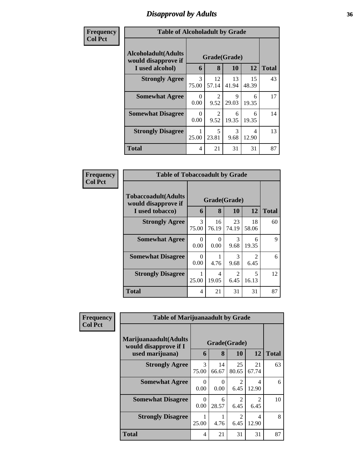# *Disapproval by Adults* **36**

| Frequency      | <b>Table of Alcoholadult by Grade</b>                                 |            |                        |             |             |              |  |  |
|----------------|-----------------------------------------------------------------------|------------|------------------------|-------------|-------------|--------------|--|--|
| <b>Col Pct</b> | <b>Alcoholadult</b> (Adults<br>would disapprove if<br>I used alcohol) | 6          | Grade(Grade)<br>8      | <b>10</b>   | 12          | <b>Total</b> |  |  |
|                | <b>Strongly Agree</b>                                                 | 3<br>75.00 | 12<br>57.14            | 13<br>41.94 | 15<br>48.39 | 43           |  |  |
|                | <b>Somewhat Agree</b>                                                 | 0<br>0.00  | $\mathfrak{D}$<br>9.52 | 9<br>29.03  | 6<br>19.35  | 17           |  |  |
|                | <b>Somewhat Disagree</b>                                              | 0<br>0.00  | $\mathfrak{D}$<br>9.52 | 6<br>19.35  | 6<br>19.35  | 14           |  |  |
|                | <b>Strongly Disagree</b>                                              | 25.00      | 5<br>23.81             | 3<br>9.68   | 4<br>12.90  | 13           |  |  |
|                | <b>Total</b>                                                          | 4          | 21                     | 31          | 31          | 87           |  |  |

| Frequency      | <b>Table of Tobaccoadult by Grade</b>                                |                        |              |                        |                                                                                                                                                                         |    |  |  |  |
|----------------|----------------------------------------------------------------------|------------------------|--------------|------------------------|-------------------------------------------------------------------------------------------------------------------------------------------------------------------------|----|--|--|--|
| <b>Col Pct</b> | <b>Tobaccoadult(Adults</b><br>would disapprove if<br>I used tobacco) | Grade(Grade)<br>12     | <b>Total</b> |                        |                                                                                                                                                                         |    |  |  |  |
|                | <b>Strongly Agree</b>                                                | $\mathcal{R}$<br>75.00 | 16<br>76.19  | 23<br>74.19            | 18<br>58.06                                                                                                                                                             | 60 |  |  |  |
|                | <b>Somewhat Agree</b>                                                | 0<br>0.00              | ∩<br>0.00    | 3<br>9.68              | 6<br>19.35                                                                                                                                                              | 9  |  |  |  |
|                | <b>Somewhat Disagree</b>                                             | 0<br>0.00              | 4.76         | 3<br>9.68              | $\mathcal{D}_{\mathcal{A}}^{\mathcal{A}}(\mathcal{A})=\mathcal{D}_{\mathcal{A}}^{\mathcal{A}}(\mathcal{A})\mathcal{D}_{\mathcal{A}}^{\mathcal{A}}(\mathcal{A})$<br>6.45 | 6  |  |  |  |
|                | <b>Strongly Disagree</b>                                             | 25.00                  | 4<br>19.05   | $\mathfrak{D}$<br>6.45 | 5<br>16.13                                                                                                                                                              | 12 |  |  |  |
|                | <b>Total</b>                                                         | 4                      | 21           | 31                     | 31                                                                                                                                                                      | 87 |  |  |  |

| <b>Frequency</b> | <b>Table of Marijuanaadult by Grade</b>        |                        |                  |                                     |                         |              |  |  |  |
|------------------|------------------------------------------------|------------------------|------------------|-------------------------------------|-------------------------|--------------|--|--|--|
| <b>Col Pct</b>   | Marijuanaadult(Adults<br>would disapprove if I |                        | Grade(Grade)     |                                     |                         |              |  |  |  |
|                  | used marijuana)                                | 6                      | 8                | <b>10</b>                           | 12                      | <b>Total</b> |  |  |  |
|                  | <b>Strongly Agree</b>                          | $\mathcal{R}$<br>75.00 | 14<br>66.67      | 25<br>80.65                         | 21<br>67.74             | 63           |  |  |  |
|                  | <b>Somewhat Agree</b>                          | $\Omega$<br>0.00       | $\Omega$<br>0.00 | $\mathcal{D}_{\mathcal{L}}$<br>6.45 | 4<br>12.90              | 6            |  |  |  |
|                  | <b>Somewhat Disagree</b>                       | $\Omega$<br>0.00       | 6<br>28.57       | $\mathfrak{D}$<br>6.45              | $\mathfrak{D}$<br>6.45  | 10           |  |  |  |
|                  | <b>Strongly Disagree</b>                       | 25.00                  | 4.76             | $\mathfrak{D}$<br>6.45              | $\overline{4}$<br>12.90 | 8            |  |  |  |
|                  | <b>Total</b>                                   | 4                      | 21               | 31                                  | 31                      | 87           |  |  |  |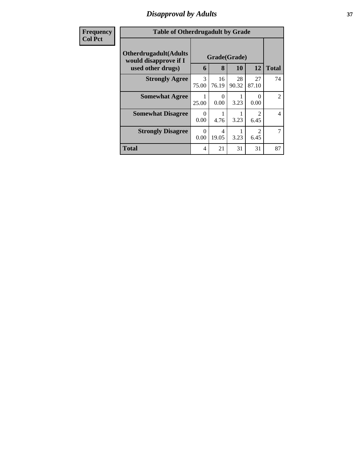## *Disapproval by Adults* **37**

| <b>Frequency</b> | <b>Table of Otherdrugadult by Grade</b>                |                        |                  |             |                        |                |  |
|------------------|--------------------------------------------------------|------------------------|------------------|-------------|------------------------|----------------|--|
| <b>Col Pct</b>   | <b>Otherdrugadult</b> (Adults<br>would disapprove if I |                        | Grade(Grade)     |             |                        |                |  |
|                  | used other drugs)                                      | 6                      | 8                | 10          | 12                     | <b>Total</b>   |  |
|                  | <b>Strongly Agree</b>                                  | $\mathcal{F}$<br>75.00 | 16<br>76.19      | 28<br>90.32 | 27<br>87.10            | 74             |  |
|                  | <b>Somewhat Agree</b>                                  | 1<br>25.00             | $\Omega$<br>0.00 | 3.23        | $\Omega$<br>0.00       | $\overline{2}$ |  |
|                  | <b>Somewhat Disagree</b>                               | $\Omega$<br>0.00       | 4.76             | 3.23        | 2<br>6.45              | 4              |  |
|                  | <b>Strongly Disagree</b>                               | 0<br>0.00              | 4<br>19.05       | 3.23        | $\overline{2}$<br>6.45 | 7              |  |
|                  | <b>Total</b>                                           | 4                      | 21               | 31          | 31                     | 87             |  |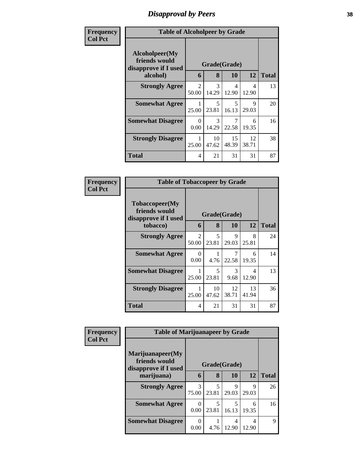## *Disapproval by Peers* **38**

| Frequency      | <b>Table of Alcoholpeer by Grade</b>                    |                                      |                                   |             |             |              |
|----------------|---------------------------------------------------------|--------------------------------------|-----------------------------------|-------------|-------------|--------------|
| <b>Col Pct</b> | Alcoholpeer(My<br>friends would<br>disapprove if I used |                                      | Grade(Grade)                      |             |             |              |
|                | alcohol)                                                | 6                                    | 8                                 | 10          | 12          | <b>Total</b> |
|                | <b>Strongly Agree</b>                                   | $\mathcal{D}_{\mathcal{L}}$<br>50.00 | 3<br>14.29                        | 4<br>12.90  | 4<br>12.90  | 13           |
|                | <b>Somewhat Agree</b>                                   | 25.00                                | $\overline{\mathcal{L}}$<br>23.81 | 5<br>16.13  | 9<br>29.03  | 20           |
|                | <b>Somewhat Disagree</b>                                | 0<br>0.00                            | 3<br>14.29                        | 22.58       | 6<br>19.35  | 16           |
|                | <b>Strongly Disagree</b>                                | 25.00                                | 10<br>47.62                       | 15<br>48.39 | 12<br>38.71 | 38           |
|                | Total                                                   | 4                                    | 21                                | 31          | 31          | 87           |

| Frequency      | <b>Table of Tobaccopeer by Grade</b>                    |                         |              |             |             |              |
|----------------|---------------------------------------------------------|-------------------------|--------------|-------------|-------------|--------------|
| <b>Col Pct</b> | Tobaccopeer(My<br>friends would<br>disapprove if I used |                         | Grade(Grade) |             |             |              |
|                | tobacco)                                                | 6                       | 8            | <b>10</b>   | 12          | <b>Total</b> |
|                | <b>Strongly Agree</b>                                   | $\mathfrak{D}$<br>50.00 | 5<br>23.81   | 9<br>29.03  | 8<br>25.81  | 24           |
|                | <b>Somewhat Agree</b>                                   | 0<br>0.00               | 4.76         | 7<br>22.58  | 6<br>19.35  | 14           |
|                | <b>Somewhat Disagree</b>                                | 25.00                   | 5<br>23.81   | 3<br>9.68   | 4<br>12.90  | 13           |
|                | <b>Strongly Disagree</b>                                | 1<br>25.00              | 10<br>47.62  | 12<br>38.71 | 13<br>41.94 | 36           |
|                | <b>Total</b>                                            | 4                       | 21           | 31          | 31          | 87           |

| Frequency      |                                                                           | <b>Table of Marijuanapeer by Grade</b> |            |            |            |              |  |  |  |
|----------------|---------------------------------------------------------------------------|----------------------------------------|------------|------------|------------|--------------|--|--|--|
| <b>Col Pct</b> | Marijuanapeer(My<br>friends would<br>Grade(Grade)<br>disapprove if I used |                                        |            |            |            |              |  |  |  |
|                | marijuana)                                                                | 6                                      | 8          | 10         | 12         | <b>Total</b> |  |  |  |
|                | <b>Strongly Agree</b>                                                     | 3<br>75.00                             | 5<br>23.81 | 9<br>29.03 | 9<br>29.03 | 26           |  |  |  |
|                | <b>Somewhat Agree</b>                                                     | $\Omega$<br>0.00                       | 5<br>23.81 | 5<br>16.13 | 6<br>19.35 | 16           |  |  |  |
|                | <b>Somewhat Disagree</b>                                                  | $\Omega$<br>0.00                       | 4.76       | 4<br>12.90 | 4<br>12.90 | 9            |  |  |  |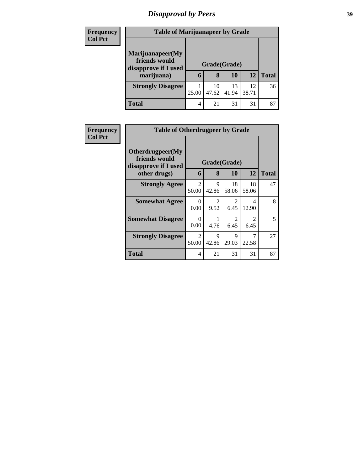# *Disapproval by Peers* **39**

| <b>Frequency</b> | <b>Table of Marijuanapeer by Grade</b> |              |       |       |       |              |
|------------------|----------------------------------------|--------------|-------|-------|-------|--------------|
| <b>Col Pct</b>   | Marijuanapeer(My<br>friends would      |              |       |       |       |              |
|                  | disapprove if I used                   | Grade(Grade) |       |       |       |              |
|                  | marijuana)                             | 6            | 8     | 10    | 12    | <b>Total</b> |
|                  | <b>Strongly Disagree</b>               |              | 10    | 13    | 12    | 36           |
|                  |                                        | 25.00        | 47.62 | 41.94 | 38.71 |              |
|                  | <b>Total</b>                           | 4            | 21    | 31    | 31    | 87           |

| <b>Frequency</b> | <b>Table of Otherdrugpeer by Grade</b>                                    |                         |                        |                        |                        |              |
|------------------|---------------------------------------------------------------------------|-------------------------|------------------------|------------------------|------------------------|--------------|
| <b>Col Pct</b>   | Otherdrugpeer(My<br>friends would<br>disapprove if I used<br>other drugs) | 6                       | Grade(Grade)<br>8      | 10                     | 12                     | <b>Total</b> |
|                  | <b>Strongly Agree</b>                                                     | $\overline{2}$<br>50.00 | 9<br>42.86             | 18<br>58.06            | 18<br>58.06            | 47           |
|                  | <b>Somewhat Agree</b>                                                     | $\Omega$<br>0.00        | $\mathfrak{D}$<br>9.52 | $\overline{2}$<br>6.45 | 4<br>12.90             | 8            |
|                  | <b>Somewhat Disagree</b>                                                  | $\Omega$<br>0.00        | 4.76                   | $\overline{2}$<br>6.45 | $\mathfrak{D}$<br>6.45 | 5            |
|                  | <b>Strongly Disagree</b>                                                  | $\mathfrak{D}$<br>50.00 | 9<br>42.86             | $\mathbf Q$<br>29.03   | 7<br>22.58             | 27           |
|                  | Total                                                                     | 4                       | 21                     | 31                     | 31                     | 87           |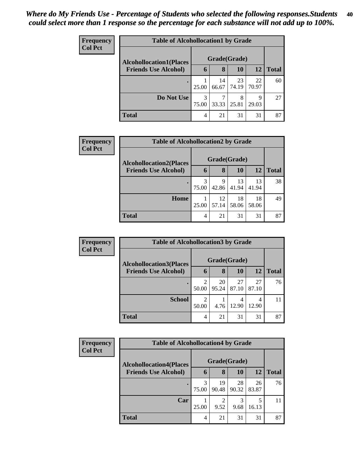| <b>Frequency</b><br><b>Col Pct</b> | <b>Table of Alcohollocation1 by Grade</b> |              |             |             |             |              |  |  |
|------------------------------------|-------------------------------------------|--------------|-------------|-------------|-------------|--------------|--|--|
|                                    | <b>Alcohollocation1(Places</b>            | Grade(Grade) |             |             |             |              |  |  |
|                                    | <b>Friends Use Alcohol)</b>               | 6            | 8           | <b>10</b>   | 12          | <b>Total</b> |  |  |
|                                    |                                           | 25.00        | 14<br>66.67 | 23<br>74.19 | 22<br>70.97 | 60           |  |  |
|                                    | Do Not Use                                | 3<br>75.00   | 7<br>33.33  | 8<br>25.81  | 9<br>29.03  | 27           |  |  |
|                                    | <b>Total</b>                              | 4            | 21          | 31          | 31          | 87           |  |  |

| Frequency      | <b>Table of Alcohollocation2 by Grade</b> |       |             |              |             |              |  |
|----------------|-------------------------------------------|-------|-------------|--------------|-------------|--------------|--|
| <b>Col Pct</b> | <b>Alcohollocation2(Places</b>            |       |             | Grade(Grade) |             |              |  |
|                | <b>Friends Use Alcohol)</b>               | 6     | 8           | <b>10</b>    | <b>12</b>   | <b>Total</b> |  |
|                |                                           | 75.00 | 9<br>42.86  | 13<br>41.94  | 13<br>41.94 | 38           |  |
|                | Home                                      | 25.00 | 12<br>57.14 | 18<br>58.06  | 18<br>58.06 | 49           |  |
|                | <b>Total</b>                              | 4     | 21          | 31           | 31          | 87           |  |

| Frequency      | <b>Table of Alcohollocation 3 by Grade</b> |            |              |             |             |              |  |  |
|----------------|--------------------------------------------|------------|--------------|-------------|-------------|--------------|--|--|
| <b>Col Pct</b> | <b>Alcohollocation3(Places</b>             |            | Grade(Grade) |             |             |              |  |  |
|                | <b>Friends Use Alcohol)</b>                | 6          | 8            | 10          | 12          | <b>Total</b> |  |  |
|                |                                            | 50.00      | 20<br>95.24  | 27<br>87.10 | 27<br>87.10 | 76           |  |  |
|                | <b>School</b>                              | ∍<br>50.00 | 4.76         | 12.90       | 4<br>12.90  | 11           |  |  |
|                | <b>Total</b>                               | 4          | 21           | 31          | 31          | 87           |  |  |

| Frequency      | <b>Table of Alcohollocation4 by Grade</b> |              |             |             |             |              |  |  |
|----------------|-------------------------------------------|--------------|-------------|-------------|-------------|--------------|--|--|
| <b>Col Pct</b> | <b>Alcohollocation4(Places</b>            | Grade(Grade) |             |             |             |              |  |  |
|                | <b>Friends Use Alcohol)</b>               | 6            | 8           | 10          | 12          | <b>Total</b> |  |  |
|                |                                           | 75.00        | 19<br>90.48 | 28<br>90.32 | 26<br>83.87 | 76           |  |  |
|                | Car                                       | 25.00        | 2<br>9.52   | 3<br>9.68   | 16.13       | 11           |  |  |
|                | <b>Total</b>                              | 4            | 21          | 31          | 31          | 87           |  |  |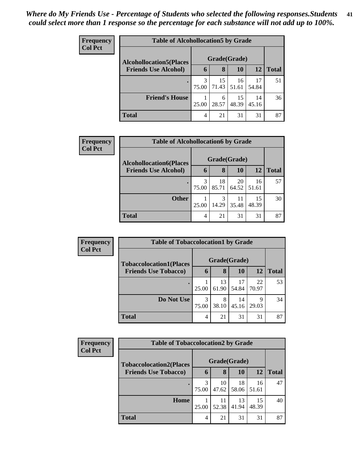| <b>Frequency</b> | <b>Table of Alcohollocation5 by Grade</b> |             |              |             |             |       |  |  |  |
|------------------|-------------------------------------------|-------------|--------------|-------------|-------------|-------|--|--|--|
| <b>Col Pct</b>   | <b>Alcohollocation5</b> (Places           |             | Grade(Grade) |             |             |       |  |  |  |
|                  | <b>Friends Use Alcohol)</b>               | $\mathbf b$ | 8            | 10          | 12          | Total |  |  |  |
|                  |                                           | 3<br>75.00  | 15<br>71.43  | 16<br>51.61 | 17<br>54.84 | 51    |  |  |  |
|                  | <b>Friend's House</b>                     | 25.00       | 6<br>28.57   | 15<br>48.39 | 14<br>45.16 | 36    |  |  |  |
|                  | <b>Total</b>                              | 4           | 21           | 31          | 31          | 87    |  |  |  |

| Frequency      | <b>Table of Alcohollocation6 by Grade</b> |              |             |             |             |              |  |
|----------------|-------------------------------------------|--------------|-------------|-------------|-------------|--------------|--|
| <b>Col Pct</b> | <b>Alcohollocation6(Places</b>            | Grade(Grade) |             |             |             |              |  |
|                | <b>Friends Use Alcohol)</b>               | 6            | 8           | <b>10</b>   | <b>12</b>   | <b>Total</b> |  |
|                |                                           | 75.00        | 18<br>85.71 | 20<br>64.52 | 16<br>51.61 | 57           |  |
|                | <b>Other</b>                              | 25.00        | 3<br>14.29  | 11<br>35.48 | 15<br>48.39 | 30           |  |
|                | <b>Total</b>                              | 4            | 21          | 31          | 31          | 87           |  |

| <b>Frequency</b> |                                | <b>Table of Tobaccolocation1 by Grade</b> |             |             |             |              |  |  |  |
|------------------|--------------------------------|-------------------------------------------|-------------|-------------|-------------|--------------|--|--|--|
| <b>Col Pct</b>   | <b>Tobaccolocation1(Places</b> | Grade(Grade)                              |             |             |             |              |  |  |  |
|                  | <b>Friends Use Tobacco)</b>    | 6                                         | 8           | <b>10</b>   | <b>12</b>   | <b>Total</b> |  |  |  |
|                  |                                | 25.00                                     | 13<br>61.90 | 17<br>54.84 | 22<br>70.97 | 53           |  |  |  |
|                  | Do Not Use                     | 3<br>75.00                                | 8<br>38.10  | 14<br>45.16 | 9<br>29.03  | 34           |  |  |  |
|                  | <b>Total</b>                   | 4                                         | 21          | 31          | 31          | 87           |  |  |  |

| Frequency      |                                | <b>Table of Tobaccolocation2 by Grade</b> |             |             |             |              |  |  |  |  |
|----------------|--------------------------------|-------------------------------------------|-------------|-------------|-------------|--------------|--|--|--|--|
| <b>Col Pct</b> | <b>Tobaccolocation2(Places</b> | Grade(Grade)                              |             |             |             |              |  |  |  |  |
|                | <b>Friends Use Tobacco)</b>    | 6                                         | 8           | 10          | 12          | <b>Total</b> |  |  |  |  |
|                |                                | 3<br>75.00                                | 10<br>47.62 | 18<br>58.06 | 16<br>51.61 | 47           |  |  |  |  |
|                | Home                           | 25.00                                     | 11<br>52.38 | 13<br>41.94 | 15<br>48.39 | 40           |  |  |  |  |
|                | <b>Total</b>                   | 4                                         | 21          | 31          | 31          | 87           |  |  |  |  |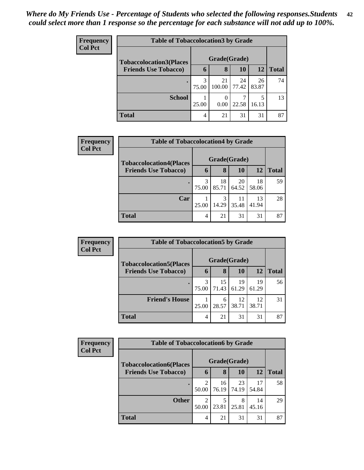| <b>Frequency</b> | <b>Table of Tobaccolocation3 by Grade</b> |            |              |             |             |              |  |
|------------------|-------------------------------------------|------------|--------------|-------------|-------------|--------------|--|
| <b>Col Pct</b>   | <b>Tobaccolocation3(Places</b>            |            | Grade(Grade) |             |             |              |  |
|                  | <b>Friends Use Tobacco)</b>               | 6          | 8            | 10          | 12          | <b>Total</b> |  |
|                  |                                           | 3<br>75.00 | 21<br>100.00 | 24<br>77.42 | 26<br>83.87 | 74           |  |
|                  | <b>School</b>                             | 25.00      | 0.00         | 22.58       | 5<br>16.13  | 13           |  |
|                  | <b>Total</b>                              | 4          | 21           | 31          | 31          | 87           |  |

| <b>Frequency</b> | <b>Table of Tobaccolocation4 by Grade</b> |            |              |             |             |              |  |  |
|------------------|-------------------------------------------|------------|--------------|-------------|-------------|--------------|--|--|
| <b>Col Pct</b>   | <b>Tobaccolocation4(Places</b>            |            | Grade(Grade) |             |             |              |  |  |
|                  | <b>Friends Use Tobacco)</b>               | 6          | 8            | 10          | <b>12</b>   | <b>Total</b> |  |  |
|                  |                                           | 3<br>75.00 | 18<br>85.71  | 20<br>64.52 | 18<br>58.06 | 59           |  |  |
|                  | Car                                       | 25.00      | 3<br>14.29   | 11<br>35.48 | 13<br>41.94 | 28           |  |  |
|                  | <b>Total</b>                              | 4          | 21           | 31          | 31          | 87           |  |  |

| <b>Frequency</b> | <b>Table of Tobaccolocation5 by Grade</b> |            |              |             |             |              |  |  |  |
|------------------|-------------------------------------------|------------|--------------|-------------|-------------|--------------|--|--|--|
| <b>Col Pct</b>   | <b>Tobaccolocation5(Places</b>            |            | Grade(Grade) |             |             |              |  |  |  |
|                  | <b>Friends Use Tobacco)</b>               | 6          | 8            | 10          | <b>12</b>   | <b>Total</b> |  |  |  |
|                  |                                           | 3<br>75.00 | 15<br>71.43  | 19<br>61.29 | 19<br>61.29 | 56           |  |  |  |
|                  | <b>Friend's House</b>                     | 25.00      | 6<br>28.57   | 12<br>38.71 | 12<br>38.71 | 31           |  |  |  |
|                  | <b>Total</b>                              | 4          | 21           | 31          | 31          | 87           |  |  |  |

| <b>Frequency</b> |                                | <b>Table of Tobaccolocation6 by Grade</b> |             |             |             |              |  |  |  |  |
|------------------|--------------------------------|-------------------------------------------|-------------|-------------|-------------|--------------|--|--|--|--|
| <b>Col Pct</b>   | <b>Tobaccolocation6(Places</b> | Grade(Grade)                              |             |             |             |              |  |  |  |  |
|                  | <b>Friends Use Tobacco)</b>    | 6                                         | 8           | 10          | 12          | <b>Total</b> |  |  |  |  |
|                  |                                | 50.00                                     | 16<br>76.19 | 23<br>74.19 | 17<br>54.84 | 58           |  |  |  |  |
|                  | <b>Other</b>                   | 2<br>50.00                                | 5<br>23.81  | 8<br>25.81  | 14<br>45.16 | 29           |  |  |  |  |
|                  | <b>Total</b>                   | 4                                         | 21          | 31          | 31          | 87           |  |  |  |  |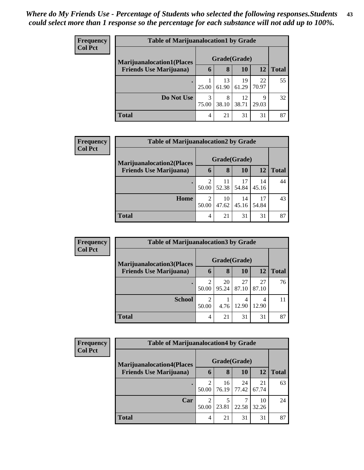| <b>Frequency</b> | <b>Table of Marijuanalocation1 by Grade</b> |              |             |             |             |              |  |  |  |
|------------------|---------------------------------------------|--------------|-------------|-------------|-------------|--------------|--|--|--|
| <b>Col Pct</b>   | <b>Marijuanalocation1(Places</b>            | Grade(Grade) |             |             |             |              |  |  |  |
|                  | <b>Friends Use Marijuana</b> )              | 6            | 8           | 10          | 12          | <b>Total</b> |  |  |  |
|                  |                                             | 25.00        | 13<br>61.90 | 19<br>61.29 | 22<br>70.97 | 55           |  |  |  |
|                  | Do Not Use                                  | 3<br>75.00   | 8<br>38.10  | 12<br>38.71 | 9<br>29.03  | 32           |  |  |  |
|                  | <b>Total</b>                                | 4            | 21          | 31          | 31          | 87           |  |  |  |

| Frequency      | <b>Table of Marijuanalocation2 by Grade</b>                        |            |                   |             |             |              |
|----------------|--------------------------------------------------------------------|------------|-------------------|-------------|-------------|--------------|
| <b>Col Pct</b> | <b>Marijuanalocation2(Places</b><br><b>Friends Use Marijuana</b> ) | 6          | Grade(Grade)<br>8 | 10          | 12          | <b>Total</b> |
|                | $\bullet$                                                          | 50.00      | 11<br>52.38       | 17<br>54.84 | 14<br>45.16 | 44           |
|                | Home                                                               | 2<br>50.00 | 10<br>47.62       | 14<br>45.16 | 17<br>54.84 | 43           |
|                | <b>Total</b>                                                       | 4          | 21                | 31          | 31          | 87           |

| <b>Frequency</b> | <b>Table of Marijuanalocation3 by Grade</b> |                         |             |             |             |              |  |  |  |
|------------------|---------------------------------------------|-------------------------|-------------|-------------|-------------|--------------|--|--|--|
| <b>Col Pct</b>   | <b>Marijuanalocation3</b> (Places           | Grade(Grade)            |             |             |             |              |  |  |  |
|                  | <b>Friends Use Marijuana</b> )              | h                       | 8           | 10          | 12          | <b>Total</b> |  |  |  |
|                  |                                             | $\overline{2}$<br>50.00 | 20<br>95.24 | 27<br>87.10 | 27<br>87.10 | 76           |  |  |  |
|                  | <b>School</b>                               | $\mathfrak{D}$<br>50.00 | 4.76        | 4<br>12.90  | 4<br>12.90  | 11           |  |  |  |
|                  | <b>Total</b>                                | 4                       | 21          | 31          | 31          | 87           |  |  |  |

| Frequency      | <b>Table of Marijuanalocation4 by Grade</b> |                         |             |             |             |              |  |  |  |
|----------------|---------------------------------------------|-------------------------|-------------|-------------|-------------|--------------|--|--|--|
| <b>Col Pct</b> | <b>Marijuanalocation4(Places)</b>           | Grade(Grade)            |             |             |             |              |  |  |  |
|                | <b>Friends Use Marijuana</b> )              | 6                       | 8           | <b>10</b>   | 12          | <b>Total</b> |  |  |  |
|                | $\bullet$                                   | $\overline{c}$<br>50.00 | 16<br>76.19 | 24<br>77.42 | 21<br>67.74 | 63           |  |  |  |
|                | Car                                         | ↑<br>50.00              | 5<br>23.81  | 22.58       | 10<br>32.26 | 24           |  |  |  |
|                | <b>Total</b>                                | 4                       | 21          | 31          | 31          | 87           |  |  |  |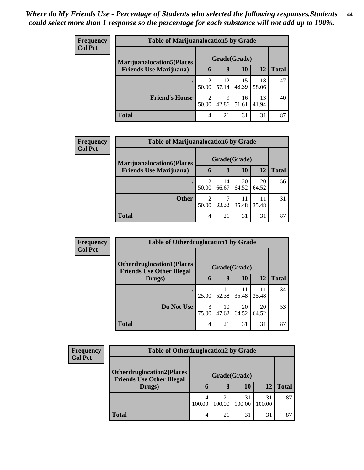| <b>Frequency</b> |                                   | <b>Table of Marijuanalocation5 by Grade</b> |             |             |             |              |  |  |  |  |
|------------------|-----------------------------------|---------------------------------------------|-------------|-------------|-------------|--------------|--|--|--|--|
| <b>Col Pct</b>   | <b>Marijuanalocation5</b> (Places | Grade(Grade)                                |             |             |             |              |  |  |  |  |
|                  | <b>Friends Use Marijuana</b> )    | $\mathbf b$                                 | 8           | 10          | 12          | <b>Total</b> |  |  |  |  |
|                  |                                   | 50.00                                       | 12<br>57.14 | 15<br>48.39 | 18<br>58.06 | 47           |  |  |  |  |
|                  | <b>Friend's House</b>             | 2<br>50.00                                  | 9<br>42.86  | 16<br>51.61 | 13<br>41.94 | 40           |  |  |  |  |
|                  | <b>Total</b>                      | 4                                           | 21          | 31          | 31          | 87           |  |  |  |  |

| Frequency      | <b>Table of Marijuanalocation6 by Grade</b> |              |             |             |             |              |  |  |  |
|----------------|---------------------------------------------|--------------|-------------|-------------|-------------|--------------|--|--|--|
| <b>Col Pct</b> | <b>Marijuanalocation6(Places</b>            | Grade(Grade) |             |             |             |              |  |  |  |
|                | <b>Friends Use Marijuana</b> )              | 6            | 8           | <b>10</b>   | 12          | <b>Total</b> |  |  |  |
|                |                                             | 2<br>50.00   | 14<br>66.67 | 20<br>64.52 | 20<br>64.52 | 56           |  |  |  |
|                | <b>Other</b>                                | 2<br>50.00   | 33.33       | 35.48       | 11<br>35.48 | 31           |  |  |  |
|                | <b>Total</b>                                | 4            | 21          | 31          | 31          | 87           |  |  |  |

| Frequency      | <b>Table of Otherdruglocation1 by Grade</b>                          |              |             |             |             |              |
|----------------|----------------------------------------------------------------------|--------------|-------------|-------------|-------------|--------------|
| <b>Col Pct</b> | <b>Otherdruglocation1(Places</b><br><b>Friends Use Other Illegal</b> | Grade(Grade) |             |             |             |              |
|                | Drugs)                                                               | 6            | 8           | <b>10</b>   | 12          | <b>Total</b> |
|                |                                                                      | 25.00        | 11<br>52.38 | 11<br>35.48 | 11<br>35.48 | 34           |
|                | Do Not Use                                                           | 3<br>75.00   | 10<br>47.62 | 20<br>64.52 | 20<br>64.52 | 53           |
|                | <b>Total</b>                                                         | 4            | 21          | 31          | 31          | 87           |

| Frequency<br><b>Col Pct</b> | <b>Table of Otherdruglocation2 by Grade</b> |             |                   |              |              |              |  |
|-----------------------------|---------------------------------------------|-------------|-------------------|--------------|--------------|--------------|--|
|                             | <b>Otherdruglocation2(Places</b>            |             |                   |              |              |              |  |
|                             | <b>Friends Use Other Illegal</b><br>Drugs)  | $\mathbf b$ | Grade(Grade)<br>8 | 10           | 12           | <b>Total</b> |  |
|                             |                                             | 100.00      | 21<br>100.00      | 31<br>100.00 | 31<br>100.00 | 87           |  |
|                             | Total                                       |             | 21                | 31           | 31           | 87           |  |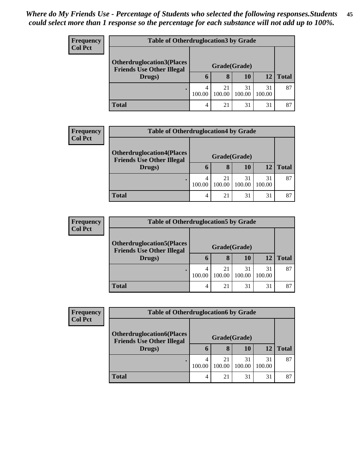| <b>Frequency</b> | <b>Table of Otherdruglocation 3 by Grade</b>                          |              |              |              |              |              |  |  |
|------------------|-----------------------------------------------------------------------|--------------|--------------|--------------|--------------|--------------|--|--|
| <b>Col Pct</b>   | <b>Otherdruglocation3(Places)</b><br><b>Friends Use Other Illegal</b> | Grade(Grade) |              |              |              |              |  |  |
|                  | Drugs)                                                                | O            | 8            | 10           | 12           | <b>Total</b> |  |  |
|                  |                                                                       | 100.00       | 21<br>100.00 | 31<br>100.00 | 31<br>100.00 | 87           |  |  |
|                  | <b>Total</b>                                                          | 4            | 21           | 31           | 31           | 87           |  |  |

| <b>Frequency</b> | <b>Table of Otherdruglocation4 by Grade</b>                                    |        |                   |              |              |              |
|------------------|--------------------------------------------------------------------------------|--------|-------------------|--------------|--------------|--------------|
| <b>Col Pct</b>   | <b>Otherdruglocation4(Places</b><br><b>Friends Use Other Illegal</b><br>Drugs) |        |                   |              |              |              |
|                  |                                                                                | 6      | Grade(Grade)<br>8 | 10           | 12           | <b>Total</b> |
|                  | ٠                                                                              | 100.00 | 21<br>100.00      | 31<br>100.00 | 31<br>100.00 | 87           |
|                  | <b>Total</b>                                                                   | 4      | 21                | 31           | 31           | 87           |

| <b>Frequency</b> | <b>Table of Otherdruglocation5 by Grade</b>                          |        |              |              |              |              |  |  |
|------------------|----------------------------------------------------------------------|--------|--------------|--------------|--------------|--------------|--|--|
| <b>Col Pct</b>   | <b>Otherdruglocation5(Places</b><br><b>Friends Use Other Illegal</b> |        |              |              |              |              |  |  |
|                  | Drugs)                                                               | n      | 8            | 10           | 12           | <b>Total</b> |  |  |
|                  |                                                                      | 100.00 | 21<br>100.00 | 31<br>100.00 | 31<br>100.00 | 87           |  |  |
|                  | <b>Total</b>                                                         | 4      | 21           | 31           | 31           | 87           |  |  |

| Frequency      | <b>Table of Otherdruglocation6 by Grade</b>                          |              |              |              |              |              |  |
|----------------|----------------------------------------------------------------------|--------------|--------------|--------------|--------------|--------------|--|
| <b>Col Pct</b> | <b>Otherdruglocation6(Places</b><br><b>Friends Use Other Illegal</b> | Grade(Grade) |              |              |              |              |  |
|                | Drugs)                                                               | O            | 8            | 10           | 12           | <b>Total</b> |  |
|                |                                                                      | 4<br>100.00  | 21<br>100.00 | 31<br>100.00 | 31<br>100.00 | 87           |  |
|                | <b>Total</b>                                                         |              | 21           | 31           | 31           | 87           |  |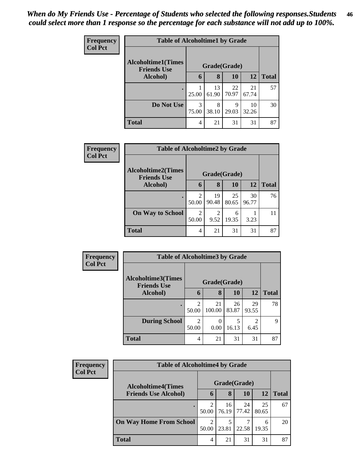| <b>Frequency</b> | <b>Table of Alcoholtime1 by Grade</b>           |              |             |             |             |              |  |  |
|------------------|-------------------------------------------------|--------------|-------------|-------------|-------------|--------------|--|--|
| <b>Col Pct</b>   | <b>Alcoholtime1(Times</b><br><b>Friends Use</b> | Grade(Grade) |             |             |             |              |  |  |
|                  | Alcohol)                                        | 6            | 8           | 10          | 12          | <b>Total</b> |  |  |
|                  |                                                 | 25.00        | 13<br>61.90 | 22<br>70.97 | 21<br>67.74 | 57           |  |  |
|                  | Do Not Use                                      | 3<br>75.00   | 8<br>38.10  | 9<br>29.03  | 10<br>32.26 | 30           |  |  |
|                  | Total                                           | 4            | 21          | 31          | 31          | 87           |  |  |

| Frequency      | <b>Table of Alcoholtime2 by Grade</b>           |                         |             |             |             |              |  |  |
|----------------|-------------------------------------------------|-------------------------|-------------|-------------|-------------|--------------|--|--|
| <b>Col Pct</b> | <b>Alcoholtime2(Times</b><br><b>Friends Use</b> | Grade(Grade)            |             |             |             |              |  |  |
|                | Alcohol)                                        | 6                       | 8           | 10          | 12          | <b>Total</b> |  |  |
|                |                                                 | $\mathfrak{D}$<br>50.00 | 19<br>90.48 | 25<br>80.65 | 30<br>96.77 | 76           |  |  |
|                | <b>On Way to School</b>                         | $\mathfrak{D}$<br>50.00 | 2<br>9.52   | 6<br>19.35  | 3.23        |              |  |  |
|                | <b>Total</b>                                    | 4                       | 21          | 31          | 31          | 87           |  |  |

| Frequency<br><b>Col Pct</b> | <b>Table of Alcoholtime3 by Grade</b>           |              |              |             |                        |              |
|-----------------------------|-------------------------------------------------|--------------|--------------|-------------|------------------------|--------------|
|                             | <b>Alcoholtime3(Times</b><br><b>Friends Use</b> | Grade(Grade) |              |             |                        |              |
|                             | Alcohol)                                        | 6            | 8            | 10          | 12                     | <b>Total</b> |
|                             | $\bullet$                                       | 2<br>50.00   | 21<br>100.00 | 26<br>83.87 | 29<br>93.55            | 78           |
|                             | <b>During School</b>                            | 2<br>50.00   | 0.00         | 5<br>16.13  | $\mathfrak{D}$<br>6.45 | $\mathbf Q$  |
|                             | <b>Total</b>                                    | 4            | 21           | 31          | 31                     | 87           |

| <b>Frequency</b><br><b>Col Pct</b> | <b>Table of Alcoholtime4 by Grade</b>                    |                         |             |             |             |              |  |  |
|------------------------------------|----------------------------------------------------------|-------------------------|-------------|-------------|-------------|--------------|--|--|
|                                    | <b>Alcoholtime4(Times</b><br><b>Friends Use Alcohol)</b> | Grade(Grade)            |             |             |             |              |  |  |
|                                    |                                                          | h                       | 8           | 10          | 12          | <b>Total</b> |  |  |
|                                    |                                                          | $\mathfrak{D}$<br>50.00 | 16<br>76.19 | 24<br>77.42 | 25<br>80.65 | 67           |  |  |
|                                    | <b>On Way Home From School</b>                           | $\mathfrak{D}$<br>50.00 | 23.81       | 22.58       | 6<br>19.35  | 20           |  |  |
|                                    | <b>Total</b>                                             | 4                       | 21          | 31          | 31          | 87           |  |  |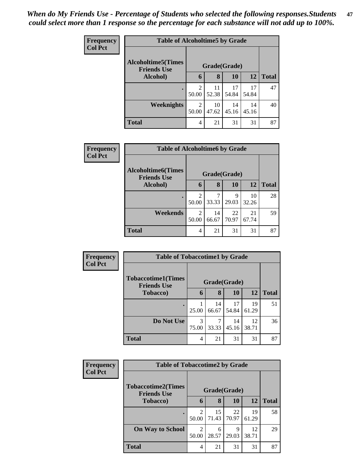| Frequency      | <b>Table of Alcoholtime5 by Grade</b>           |              |             |             |             |              |  |  |
|----------------|-------------------------------------------------|--------------|-------------|-------------|-------------|--------------|--|--|
| <b>Col Pct</b> | <b>Alcoholtime5(Times</b><br><b>Friends Use</b> | Grade(Grade) |             |             |             |              |  |  |
|                | Alcohol)                                        | 6            | 8           | <b>10</b>   | 12          | <b>Total</b> |  |  |
|                |                                                 | 2<br>50.00   | 11<br>52.38 | 17<br>54.84 | 17<br>54.84 | 47           |  |  |
|                | Weeknights                                      | 2<br>50.00   | 10<br>47.62 | 14<br>45.16 | 14<br>45.16 | 40           |  |  |
|                | <b>Total</b>                                    | 4            | 21          | 31          | 31          | 87           |  |  |

| <b>Frequency</b><br><b>Col Pct</b> | <b>Table of Alcoholtime6 by Grade</b>           |            |              |             |             |              |  |  |  |
|------------------------------------|-------------------------------------------------|------------|--------------|-------------|-------------|--------------|--|--|--|
|                                    | <b>Alcoholtime6(Times</b><br><b>Friends Use</b> |            | Grade(Grade) |             |             |              |  |  |  |
|                                    | Alcohol)                                        | 6          | 8            | 10          | <b>12</b>   | <b>Total</b> |  |  |  |
|                                    |                                                 | 2<br>50.00 | 33.33        | 9<br>29.03  | 10<br>32.26 | 28           |  |  |  |
|                                    | Weekends                                        | 2<br>50.00 | 14<br>66.67  | 22<br>70.97 | 21<br>67.74 | 59           |  |  |  |
|                                    | <b>Total</b>                                    | 4          | 21           | 31          | 31          | 87           |  |  |  |

| Frequency      | <b>Table of Tobaccotime1 by Grade</b>           |              |             |             |             |              |  |  |
|----------------|-------------------------------------------------|--------------|-------------|-------------|-------------|--------------|--|--|
| <b>Col Pct</b> | <b>Tobaccotime1(Times</b><br><b>Friends Use</b> | Grade(Grade) |             |             |             |              |  |  |
|                | <b>Tobacco</b> )                                | 6            | 8           | 10          | 12          | <b>Total</b> |  |  |
|                |                                                 | 25.00        | 14<br>66.67 | 17<br>54.84 | 19<br>61.29 | 51           |  |  |
|                | Do Not Use                                      | 3<br>75.00   | 7<br>33.33  | 14<br>45.16 | 12<br>38.71 | 36           |  |  |
|                | <b>Total</b>                                    | 4            | 21          | 31          | 31          | 87           |  |  |

| Frequency      | <b>Table of Tobaccotime2 by Grade</b>           |                         |             |              |             |              |  |  |
|----------------|-------------------------------------------------|-------------------------|-------------|--------------|-------------|--------------|--|--|
| <b>Col Pct</b> | <b>Tobaccotime2(Times</b><br><b>Friends Use</b> |                         |             | Grade(Grade) |             |              |  |  |
|                | <b>Tobacco</b> )                                | 6                       | 8           | <b>10</b>    | <b>12</b>   | <b>Total</b> |  |  |
|                |                                                 | $\mathfrak{D}$<br>50.00 | 15<br>71.43 | 22<br>70.97  | 19<br>61.29 | 58           |  |  |
|                | <b>On Way to School</b>                         | $\overline{c}$<br>50.00 | 6<br>28.57  | Q<br>29.03   | 12<br>38.71 | 29           |  |  |
|                | <b>Total</b>                                    | 4                       | 21          | 31           | 31          | 87           |  |  |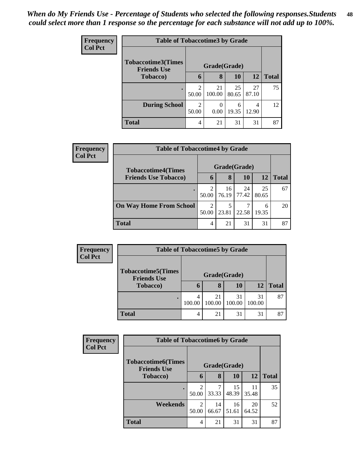| <b>Frequency</b> | <b>Table of Tobaccotime3 by Grade</b>           |            |              |             |             |              |  |  |
|------------------|-------------------------------------------------|------------|--------------|-------------|-------------|--------------|--|--|
| <b>Col Pct</b>   | <b>Tobaccotime3(Times</b><br><b>Friends Use</b> |            | Grade(Grade) |             |             |              |  |  |
|                  | <b>Tobacco</b> )                                | 6          | 8            | 10          | <b>12</b>   | <b>Total</b> |  |  |
|                  |                                                 | 2<br>50.00 | 21<br>100.00 | 25<br>80.65 | 27<br>87.10 | 75           |  |  |
|                  | <b>During School</b>                            | 2<br>50.00 | 0<br>0.00    | 6<br>19.35  | 4<br>12.90  | 12           |  |  |
|                  | <b>Total</b>                                    | 4          | 21           | 31          | 31          | 87           |  |  |

| Frequency<br><b>Col Pct</b> | <b>Table of Tobaccotime4 by Grade</b> |                         |             |             |             |              |  |
|-----------------------------|---------------------------------------|-------------------------|-------------|-------------|-------------|--------------|--|
|                             | <b>Tobaccotime4(Times</b>             | Grade(Grade)            |             |             |             |              |  |
|                             | <b>Friends Use Tobacco)</b>           | <sup>O</sup>            | 8           | <b>10</b>   | <b>12</b>   | <b>Total</b> |  |
|                             |                                       | $\overline{2}$<br>50.00 | 16<br>76.19 | 24<br>77.42 | 25<br>80.65 | 67           |  |
|                             | <b>On Way Home From School</b>        | $\overline{2}$<br>50.00 | 23.81       | 22.58       | 6<br>19.35  | 20           |  |
|                             | <b>Total</b>                          | 4                       | 21          | 31          | 31          | 87           |  |

| Frequency      |                                                 | <b>Table of Tobaccotime5 by Grade</b> |              |              |              |              |  |  |  |
|----------------|-------------------------------------------------|---------------------------------------|--------------|--------------|--------------|--------------|--|--|--|
| <b>Col Pct</b> | <b>Tobaccotime5(Times</b><br><b>Friends Use</b> | Grade(Grade)                          |              |              |              |              |  |  |  |
|                | Tobacco)                                        | 6                                     | 8            | 10           | 12           | <b>Total</b> |  |  |  |
|                |                                                 | 4<br>100.00                           | 21<br>100.00 | 31<br>100.00 | 31<br>100.00 | 87           |  |  |  |
|                | <b>Total</b>                                    | 4                                     | 21           | 31           | 31           | 87           |  |  |  |

| Frequency      | <b>Table of Tobaccotime6 by Grade</b>           |                         |             |             |             |              |  |  |
|----------------|-------------------------------------------------|-------------------------|-------------|-------------|-------------|--------------|--|--|
| <b>Col Pct</b> | <b>Tobaccotime6(Times</b><br><b>Friends Use</b> | Grade(Grade)            |             |             |             |              |  |  |
|                | <b>Tobacco</b> )                                | 6                       | 8           | 10          | 12          | <b>Total</b> |  |  |
|                |                                                 | $\overline{2}$<br>50.00 | 33.33       | 15<br>48.39 | 11<br>35.48 | 35           |  |  |
|                | Weekends                                        | 2<br>50.00              | 14<br>66.67 | 16<br>51.61 | 20<br>64.52 | 52           |  |  |
|                | <b>Total</b>                                    | 4                       | 21          | 31          | 31          | 87           |  |  |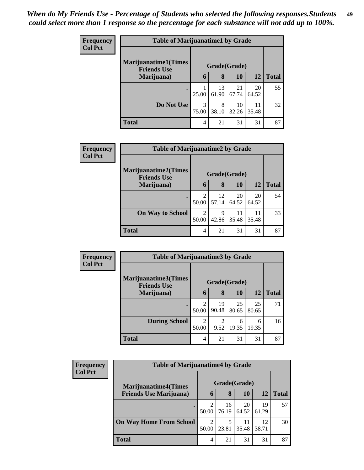| <b>Frequency</b> | <b>Table of Marijuanatime1 by Grade</b>            |              |             |             |             |              |  |
|------------------|----------------------------------------------------|--------------|-------------|-------------|-------------|--------------|--|
| <b>Col Pct</b>   | <b>Marijuanatime1</b> (Times<br><b>Friends Use</b> | Grade(Grade) |             |             |             |              |  |
|                  | Marijuana)                                         | 6            | 8           | 10          | <b>12</b>   | <b>Total</b> |  |
|                  |                                                    | 25.00        | 13<br>61.90 | 21<br>67.74 | 20<br>64.52 | 55           |  |
|                  | Do Not Use                                         | 3<br>75.00   | 8<br>38.10  | 10<br>32.26 | 11<br>35.48 | 32           |  |
|                  | <b>Total</b>                                       | 4            | 21          | 31          | 31          | 87           |  |

| Frequency      | <b>Table of Marijuanatime2 by Grade</b>           |                         |             |             |             |              |  |  |
|----------------|---------------------------------------------------|-------------------------|-------------|-------------|-------------|--------------|--|--|
| <b>Col Pct</b> | <b>Marijuanatime2(Times</b><br><b>Friends Use</b> | Grade(Grade)            |             |             |             |              |  |  |
|                | Marijuana)                                        | 6                       | 8           | 10          | 12          | <b>Total</b> |  |  |
|                |                                                   | $\mathfrak{D}$<br>50.00 | 12<br>57.14 | 20<br>64.52 | 20<br>64.52 | 54           |  |  |
|                | <b>On Way to School</b>                           | 2<br>50.00              | 9<br>42.86  | 11<br>35.48 | 11<br>35.48 | 33           |  |  |
|                | <b>Total</b>                                      | 4                       | 21          | 31          | 31          | 87           |  |  |

| Frequency<br><b>Col Pct</b> | <b>Table of Marijuanatime3 by Grade</b>    |                         |             |             |             |              |  |  |
|-----------------------------|--------------------------------------------|-------------------------|-------------|-------------|-------------|--------------|--|--|
|                             | Marijuanatime3(Times<br><b>Friends Use</b> | Grade(Grade)            |             |             |             |              |  |  |
|                             | Marijuana)                                 | 6                       | 8           | 10          | 12          | <b>Total</b> |  |  |
|                             | $\bullet$                                  | 2<br>50.00              | 19<br>90.48 | 25<br>80.65 | 25<br>80.65 | 71           |  |  |
|                             | <b>During School</b>                       | $\overline{2}$<br>50.00 | 2<br>9.52   | 6<br>19.35  | 6<br>19.35  | 16           |  |  |
|                             | <b>Total</b>                               | 4                       | 21          | 31          | 31          | 87           |  |  |

| <b>Frequency</b><br><b>Col Pct</b> | <b>Table of Marijuanatime4 by Grade</b>                        |                         |             |             |             |              |  |
|------------------------------------|----------------------------------------------------------------|-------------------------|-------------|-------------|-------------|--------------|--|
|                                    | <b>Marijuanatime4</b> (Times<br><b>Friends Use Marijuana</b> ) | Grade(Grade)            |             |             |             |              |  |
|                                    |                                                                | h                       | 8           | 10          | 12          | <b>Total</b> |  |
|                                    |                                                                | 50.00                   | 16<br>76.19 | 20<br>64.52 | 19<br>61.29 | 57           |  |
|                                    | <b>On Way Home From School</b>                                 | $\overline{2}$<br>50.00 | 23.81       | 11<br>35.48 | 12<br>38.71 | 30           |  |
|                                    | <b>Total</b>                                                   | 4                       | 21          | 31          | 31          | 87           |  |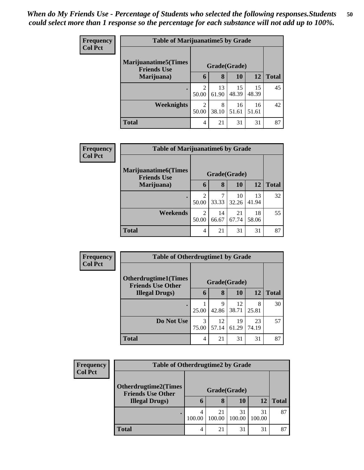| <b>Frequency</b> | <b>Table of Marijuanatime5 by Grade</b>            |                                      |             |             |             |              |  |
|------------------|----------------------------------------------------|--------------------------------------|-------------|-------------|-------------|--------------|--|
| <b>Col Pct</b>   | <b>Marijuanatime5</b> (Times<br><b>Friends Use</b> | Grade(Grade)                         |             |             |             |              |  |
|                  | Marijuana)                                         | 6                                    | 8           | 10          | 12          | <b>Total</b> |  |
|                  |                                                    | $\mathcal{D}_{\mathcal{L}}$<br>50.00 | 13<br>61.90 | 15<br>48.39 | 15<br>48.39 | 45           |  |
|                  | Weeknights                                         | $\mathcal{D}$<br>50.00               | 8<br>38.10  | 16<br>51.61 | 16<br>51.61 | 42           |  |
|                  | <b>Total</b>                                       | 4                                    | 21          | 31          | 31          | 87           |  |

| Frequency      | <b>Table of Marijuanatime6 by Grade</b>           |              |             |             |             |              |  |
|----------------|---------------------------------------------------|--------------|-------------|-------------|-------------|--------------|--|
| <b>Col Pct</b> | <b>Marijuanatime6(Times</b><br><b>Friends Use</b> | Grade(Grade) |             |             |             |              |  |
|                | Marijuana)                                        | 6            | 8           | <b>10</b>   | 12          | <b>Total</b> |  |
|                |                                                   | ി<br>50.00   | 7<br>33.33  | 10<br>32.26 | 13<br>41.94 | 32           |  |
|                | Weekends                                          | 2<br>50.00   | 14<br>66.67 | 21<br>67.74 | 18<br>58.06 | 55           |  |
|                | <b>Total</b>                                      | 4            | 21          | 31          | 31          | 87           |  |

| <b>Frequency</b> | <b>Table of Otherdrugtime1 by Grade</b>                 |            |              |             |             |              |  |  |
|------------------|---------------------------------------------------------|------------|--------------|-------------|-------------|--------------|--|--|
| <b>Col Pct</b>   | <b>Otherdrugtime1(Times</b><br><b>Friends Use Other</b> |            | Grade(Grade) |             |             |              |  |  |
|                  | <b>Illegal Drugs</b> )                                  | 6          | 8            | 10          | <b>12</b>   | <b>Total</b> |  |  |
|                  |                                                         | 25.00      | 9<br>42.86   | 12<br>38.71 | 8<br>25.81  | 30           |  |  |
|                  | Do Not Use                                              | 3<br>75.00 | 12<br>57.14  | 19<br>61.29 | 23<br>74.19 | 57           |  |  |
|                  | <b>Total</b>                                            | 4          | 21           | 31          | 31          | 87           |  |  |

| Frequency      |                                                         | <b>Table of Otherdrugtime2 by Grade</b> |              |              |              |              |  |  |  |
|----------------|---------------------------------------------------------|-----------------------------------------|--------------|--------------|--------------|--------------|--|--|--|
| <b>Col Pct</b> | <b>Otherdrugtime2(Times</b><br><b>Friends Use Other</b> |                                         |              |              |              |              |  |  |  |
|                | <b>Illegal Drugs)</b>                                   | h                                       | 8            | 10           |              | <b>Total</b> |  |  |  |
|                |                                                         | 100.00                                  | 21<br>100.00 | 31<br>100.00 | 31<br>100.00 | 87           |  |  |  |
|                | <b>Total</b>                                            | 4                                       | 21           | 31           | 31           | 87           |  |  |  |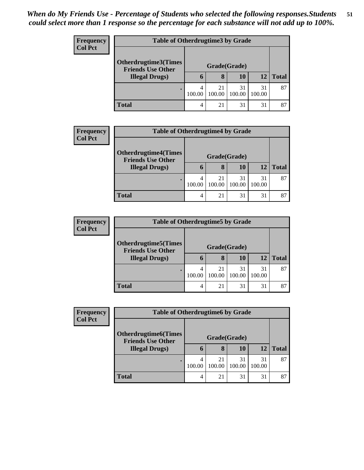| <b>Frequency</b> |                                                    | <b>Table of Otherdrugtime3 by Grade</b> |              |              |              |              |  |  |
|------------------|----------------------------------------------------|-----------------------------------------|--------------|--------------|--------------|--------------|--|--|
| <b>Col Pct</b>   | Otherdrugtime3(Times                               |                                         |              |              |              |              |  |  |
|                  | <b>Friends Use Other</b><br><b>Illegal Drugs</b> ) | h                                       | 8            | 10           | 12           | <b>Total</b> |  |  |
|                  |                                                    | 100.00                                  | 21<br>100.00 | 31<br>100.00 | 31<br>100.00 | 87           |  |  |
|                  | <b>Total</b>                                       | 4                                       | 21           | 31           | 31           | 87           |  |  |

| <b>Frequency</b> |                                                         | <b>Table of Otherdrugtime4 by Grade</b> |              |              |              |              |  |  |  |
|------------------|---------------------------------------------------------|-----------------------------------------|--------------|--------------|--------------|--------------|--|--|--|
| <b>Col Pct</b>   | <b>Otherdrugtime4(Times</b><br><b>Friends Use Other</b> |                                         | Grade(Grade) |              |              |              |  |  |  |
|                  | <b>Illegal Drugs</b> )                                  | h                                       | 8            | 10           | 12           | <b>Total</b> |  |  |  |
|                  |                                                         | 4<br>100.00                             | 21<br>100.00 | 31<br>100.00 | 31<br>100.00 | 87           |  |  |  |
|                  | <b>Total</b>                                            | 4                                       | 21           | 31           | 31           | 87           |  |  |  |

| <b>Frequency</b> | <b>Table of Otherdrugtime5 by Grade</b>                  |                |              |              |              |       |  |  |
|------------------|----------------------------------------------------------|----------------|--------------|--------------|--------------|-------|--|--|
| <b>Col Pct</b>   | <b>Otherdrugtime5</b> (Times<br><b>Friends Use Other</b> |                |              |              |              |       |  |  |
|                  | <b>Illegal Drugs</b> )                                   | O              | 8            | 10           | 12           | Total |  |  |
|                  |                                                          | 4<br>100.00    | 21<br>100.00 | 31<br>100.00 | 31<br>100.00 | 87    |  |  |
|                  | <b>Total</b>                                             | $\overline{4}$ | 21           | 31           | 31           | 87    |  |  |

| Frequency      |                                                         | <b>Table of Otherdrugtime6 by Grade</b> |              |              |              |              |  |  |  |
|----------------|---------------------------------------------------------|-----------------------------------------|--------------|--------------|--------------|--------------|--|--|--|
| <b>Col Pct</b> | <b>Otherdrugtime6(Times</b><br><b>Friends Use Other</b> |                                         |              |              |              |              |  |  |  |
|                | <b>Illegal Drugs)</b>                                   | h                                       | 8            | 10           | 12           | <b>Total</b> |  |  |  |
|                |                                                         | 100.00                                  | 21<br>100.00 | 31<br>100.00 | 31<br>100.00 | 87           |  |  |  |
|                | <b>Total</b>                                            |                                         | 21           | 31           | 31           | 87           |  |  |  |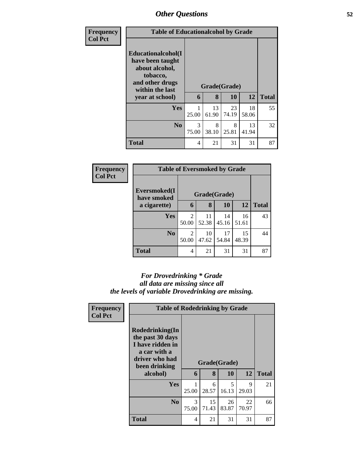| Frequency      | <b>Table of Educationalcohol by Grade</b>                                                                                             |            |                   |             |             |              |
|----------------|---------------------------------------------------------------------------------------------------------------------------------------|------------|-------------------|-------------|-------------|--------------|
| <b>Col Pct</b> | <b>Educationalcohol</b> (I<br>have been taught<br>about alcohol,<br>tobacco,<br>and other drugs<br>within the last<br>year at school) | 6          | Grade(Grade)<br>8 | 10          | 12          | <b>Total</b> |
|                | <b>Yes</b>                                                                                                                            | 25.00      | 13<br>61.90       | 23<br>74.19 | 18<br>58.06 | 55           |
|                | N <sub>0</sub>                                                                                                                        | 3<br>75.00 | 8<br>38.10        | 8<br>25.81  | 13<br>41.94 | 32           |
|                | <b>Total</b>                                                                                                                          | 4          | 21                | 31          | 31          | 87           |

| Frequency      | <b>Table of Eversmoked by Grade</b> |                         |             |             |             |              |  |
|----------------|-------------------------------------|-------------------------|-------------|-------------|-------------|--------------|--|
| <b>Col Pct</b> | Eversmoked(I<br>have smoked         | Grade(Grade)            |             |             |             |              |  |
|                | a cigarette)                        | 6                       | 8           | 10          | 12          | <b>Total</b> |  |
|                | Yes                                 | $\overline{2}$<br>50.00 | 11<br>52.38 | 14<br>45.16 | 16<br>51.61 | 43           |  |
|                | N <sub>0</sub>                      | $\overline{2}$<br>50.00 | 10<br>47.62 | 17<br>54.84 | 15<br>48.39 | 44           |  |
|                | <b>Total</b>                        | 4                       | 21          | 31          | 31          | 87           |  |

### *For Drovedrinking \* Grade all data are missing since all the levels of variable Drovedrinking are missing.*

| Rodedrinking(In<br>the past 30 days<br>I have ridden in<br>a car with a<br>driver who had<br>been drinking |            | Grade(Grade) |             |             |                                       |  |
|------------------------------------------------------------------------------------------------------------|------------|--------------|-------------|-------------|---------------------------------------|--|
| alcohol)                                                                                                   | 6          | 8            | <b>10</b>   | <b>12</b>   | <b>Total</b>                          |  |
| <b>Yes</b>                                                                                                 | 25.00      | 6<br>28.57   | 5<br>16.13  | 9<br>29.03  | 21                                    |  |
| N <sub>0</sub>                                                                                             | 3<br>75.00 | 15<br>71.43  | 26<br>83.87 | 22<br>70.97 | 66                                    |  |
| <b>Total</b>                                                                                               | 4          | 21           | 31          | 31          | 87                                    |  |
|                                                                                                            |            |              |             |             | <b>Table of Rodedrinking by Grade</b> |  |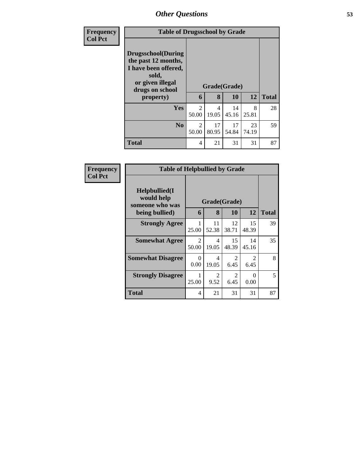| <b>Frequency</b> | <b>Table of Drugsschool by Grade</b>                                                                                                   |                         |             |                    |             |              |
|------------------|----------------------------------------------------------------------------------------------------------------------------------------|-------------------------|-------------|--------------------|-------------|--------------|
| <b>Col Pct</b>   | <b>Drugsschool</b> (During<br>the past 12 months,<br>I have been offered,<br>sold,<br>or given illegal<br>drugs on school<br>property) | 6                       | 8           | Grade(Grade)<br>10 | 12          | <b>Total</b> |
|                  | <b>Yes</b>                                                                                                                             | $\overline{2}$<br>50.00 | 4<br>19.05  | 14<br>45.16        | 8<br>25.81  | 28           |
|                  | N <sub>0</sub>                                                                                                                         | 2<br>50.00              | 17<br>80.95 | 17<br>54.84        | 23<br>74.19 | 59           |
|                  | <b>Total</b>                                                                                                                           | 4                       | 21          | 31                 | 31          | 87           |

| <b>Frequency</b> | <b>Table of Helpbullied by Grade</b>                              |                                    |                        |                        |                        |              |
|------------------|-------------------------------------------------------------------|------------------------------------|------------------------|------------------------|------------------------|--------------|
| <b>Col Pct</b>   | Helpbullied(I)<br>would help<br>someone who was<br>being bullied) | Grade(Grade)<br>8<br>10<br>12<br>6 |                        |                        |                        | <b>Total</b> |
|                  | <b>Strongly Agree</b>                                             | 25.00                              | 11<br>52.38            | 12<br>38.71            | 15<br>48.39            | 39           |
|                  | <b>Somewhat Agree</b>                                             | 2<br>50.00                         | 4<br>19.05             | 15<br>48.39            | 14<br>45.16            | 35           |
|                  | <b>Somewhat Disagree</b>                                          | $\Omega$<br>0.00                   | 4<br>19.05             | 2<br>6.45              | $\mathfrak{D}$<br>6.45 | 8            |
|                  | <b>Strongly Disagree</b>                                          | 1<br>25.00                         | $\mathfrak{D}$<br>9.52 | $\overline{2}$<br>6.45 | 0<br>0.00              | 5            |
|                  | Total                                                             | 4                                  | 21                     | 31                     | 31                     | 87           |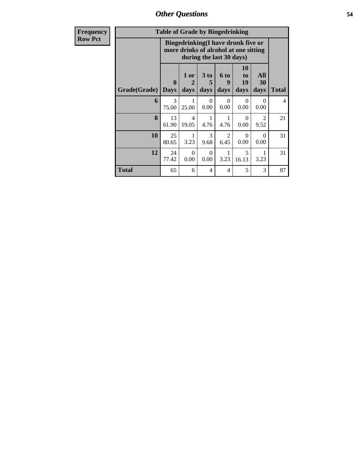*Other Questions* **54**

| <b>Frequency</b> |              | <b>Table of Grade by Bingedrinking</b> |                                                                             |                          |                        |                               |                        |                |
|------------------|--------------|----------------------------------------|-----------------------------------------------------------------------------|--------------------------|------------------------|-------------------------------|------------------------|----------------|
| <b>Row Pct</b>   |              |                                        | Bingedrinking(I have drunk five or<br>more drinks of alcohol at one sitting | during the last 30 days) |                        |                               |                        |                |
|                  | Grade(Grade) | $\mathbf{0}$<br><b>Days</b>            | $1$ or $ $<br>$\mathbf{2}$<br>days                                          | 3 to<br>5<br>days        | 6 to<br>9<br>days      | <b>10</b><br>to<br>19<br>days | All<br>30<br>days      | <b>Total</b>   |
|                  | 6            | 3<br>75.00                             | 25.00                                                                       | $\Omega$<br>0.00         | $\Omega$<br>0.00       | $\Omega$<br>0.00              | $\Omega$<br>0.00       | $\overline{4}$ |
|                  | 8            | 13<br>61.90                            | $\overline{4}$<br>19.05                                                     | 4.76                     | 4.76                   | $\Omega$<br>0.00              | $\mathfrak{D}$<br>9.52 | 21             |
|                  | 10           | 25<br>80.65                            | 3.23                                                                        | 3<br>9.68                | $\mathfrak{D}$<br>6.45 | $\Omega$<br>0.00              | $\Omega$<br>0.00       | 31             |
|                  | 12           | 24<br>77.42                            | $\Omega$<br>0.00                                                            | $\Omega$<br>0.00         | 3.23                   | 5<br>16.13                    | 1<br>3.23              | 31             |
|                  | <b>Total</b> | 65                                     | 6                                                                           | 4                        | 4                      | 5                             | 3                      | 87             |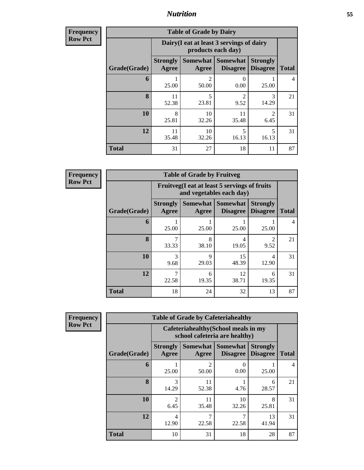**Frequency Row Pct**

| <b>Table of Grade by Dairy</b> |                          |                                                                 |                                    |                                    |              |  |  |  |
|--------------------------------|--------------------------|-----------------------------------------------------------------|------------------------------------|------------------------------------|--------------|--|--|--|
|                                |                          | Dairy (I eat at least 3 servings of dairy<br>products each day) |                                    |                                    |              |  |  |  |
| Grade(Grade)                   | <b>Strongly</b><br>Agree | <b>Somewhat</b><br>Agree                                        | <b>Somewhat</b><br><b>Disagree</b> | <b>Strongly</b><br><b>Disagree</b> | <b>Total</b> |  |  |  |
| 6                              | 25.00                    | 2<br>50.00                                                      | 0<br>0.00                          | 25.00                              | 4            |  |  |  |
| 8                              | 11<br>52.38              | 5<br>23.81                                                      | $\overline{2}$<br>9.52             | 3<br>14.29                         | 21           |  |  |  |
| 10                             | 8<br>25.81               | 10<br>32.26                                                     | 11<br>35.48                        | $\mathfrak{D}$<br>6.45             | 31           |  |  |  |
| 12                             | 11<br>35.48              | 10<br>32.26                                                     | 5<br>16.13                         | 5<br>16.13                         | 31           |  |  |  |
| <b>Total</b>                   | 31                       | 27                                                              | 18                                 | 11                                 | 87           |  |  |  |

**Frequency Row Pct**

г

| <b>Table of Grade by Fruitveg</b> |                          |                                                                          |                                   |                                    |              |  |  |  |
|-----------------------------------|--------------------------|--------------------------------------------------------------------------|-----------------------------------|------------------------------------|--------------|--|--|--|
|                                   |                          | Fruitveg(I eat at least 5 servings of fruits<br>and vegetables each day) |                                   |                                    |              |  |  |  |
| Grade(Grade)                      | <b>Strongly</b><br>Agree | Agree                                                                    | Somewhat   Somewhat  <br>Disagree | <b>Strongly</b><br><b>Disagree</b> | <b>Total</b> |  |  |  |
| 6                                 | 25.00                    | 25.00                                                                    | 25.00                             | 25.00                              | 4            |  |  |  |
| 8                                 | 7<br>33.33               | 8<br>38.10                                                               | 4<br>19.05                        | $\mathfrak{D}$<br>9.52             | 21           |  |  |  |
| 10                                | 3<br>9.68                | Q<br>29.03                                                               | 15<br>48.39                       | 4<br>12.90                         | 31           |  |  |  |
| 12                                | 7<br>22.58               | 6<br>19.35                                                               | 12<br>38.71                       | 6<br>19.35                         | 31           |  |  |  |
| <b>Total</b>                      | 18                       | 24                                                                       | 32                                | 13                                 | 87           |  |  |  |

| <b>Table of Grade by Cafeteriahealthy</b> |                          |                                                                       |                                      |                                    |              |  |  |  |
|-------------------------------------------|--------------------------|-----------------------------------------------------------------------|--------------------------------------|------------------------------------|--------------|--|--|--|
|                                           |                          | Cafeteriahealthy (School meals in my<br>school cafeteria are healthy) |                                      |                                    |              |  |  |  |
| Grade(Grade)                              | <b>Strongly</b><br>Agree | Agree                                                                 | Somewhat Somewhat<br><b>Disagree</b> | <b>Strongly</b><br><b>Disagree</b> | <b>Total</b> |  |  |  |
| 6                                         | 25.00                    | $\mathfrak{D}$<br>50.00                                               | $\left( \right)$<br>0.00             | 25.00                              | 4            |  |  |  |
| 8                                         | 3<br>14.29               | 11<br>52.38                                                           | 4.76                                 | 6<br>28.57                         | 21           |  |  |  |
| 10                                        | $\overline{2}$<br>6.45   | 11<br>35.48                                                           | 10<br>32.26                          | 8<br>25.81                         | 31           |  |  |  |
| 12                                        | 4<br>12.90               | 22.58                                                                 | 7<br>22.58                           | 13<br>41.94                        | 31           |  |  |  |
| <b>Total</b>                              | 10                       | 31                                                                    | 18                                   | 28                                 | 87           |  |  |  |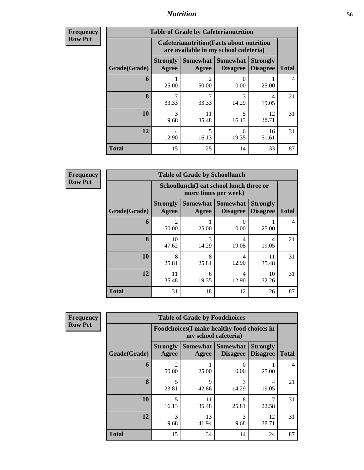| <b>Frequency</b> | <b>Table of Grade by Cafeterianutrition</b> |                          |                                                                                           |                                        |                                    |              |  |  |  |
|------------------|---------------------------------------------|--------------------------|-------------------------------------------------------------------------------------------|----------------------------------------|------------------------------------|--------------|--|--|--|
| <b>Row Pct</b>   |                                             |                          | <b>Cafeterianutrition</b> (Facts about nutrition<br>are available in my school cafeteria) |                                        |                                    |              |  |  |  |
|                  | Grade(Grade)                                | <b>Strongly</b><br>Agree | Agree                                                                                     | Somewhat   Somewhat<br><b>Disagree</b> | <b>Strongly</b><br><b>Disagree</b> | <b>Total</b> |  |  |  |
|                  | 6                                           | 25.00                    | $\mathfrak{D}$<br>50.00                                                                   | 0<br>0.00                              | 25.00                              | 4            |  |  |  |
|                  | 8                                           | 7<br>33.33               | 7<br>33.33                                                                                | 3<br>14.29                             | 4<br>19.05                         | 21           |  |  |  |
|                  | 10                                          | 3<br>9.68                | 11<br>35.48                                                                               | 5<br>16.13                             | 12<br>38.71                        | 31           |  |  |  |
|                  | 12                                          | 4<br>12.90               | 5<br>16.13                                                                                | 6<br>19.35                             | 16<br>51.61                        | 31           |  |  |  |
|                  | <b>Total</b>                                | 15                       | 25                                                                                        | 14                                     | 33                                 | 87           |  |  |  |

| <b>Table of Grade by Schoollunch</b> |              |                          |                                                                 |                             |                                    |                |  |  |
|--------------------------------------|--------------|--------------------------|-----------------------------------------------------------------|-----------------------------|------------------------------------|----------------|--|--|
|                                      |              |                          | Schoollunch(I eat school lunch three or<br>more times per week) |                             |                                    |                |  |  |
|                                      | Grade(Grade) | <b>Strongly</b><br>Agree | Somewhat<br>Agree                                               | Somewhat<br><b>Disagree</b> | <b>Strongly</b><br><b>Disagree</b> | <b>Total</b>   |  |  |
|                                      | 6            | $\overline{2}$<br>50.00  | 25.00                                                           | 0<br>0.00                   | 25.00                              | $\overline{4}$ |  |  |
|                                      | 8            | 10<br>47.62              | 3<br>14.29                                                      | 4<br>19.05                  | 4<br>19.05                         | 21             |  |  |
|                                      | 10           | 8<br>25.81               | 8<br>25.81                                                      | 4<br>12.90                  | 11<br>35.48                        | 31             |  |  |
|                                      | 12           | 11<br>35.48              | 6<br>19.35                                                      | 4<br>12.90                  | 10<br>32.26                        | 31             |  |  |
| <b>Total</b>                         |              | 31                       | 18                                                              | 12                          | 26                                 | 87             |  |  |

| <b>Frequency</b> |  |
|------------------|--|
| <b>Row Pct</b>   |  |

| <b>Table of Grade by Foodchoices</b> |                          |                                                                    |                                      |                                    |                |  |  |
|--------------------------------------|--------------------------|--------------------------------------------------------------------|--------------------------------------|------------------------------------|----------------|--|--|
|                                      |                          | Foodchoices(I make healthy food choices in<br>my school cafeteria) |                                      |                                    |                |  |  |
| Grade(Grade)                         | <b>Strongly</b><br>Agree | Agree                                                              | Somewhat Somewhat<br><b>Disagree</b> | <b>Strongly</b><br><b>Disagree</b> | <b>Total</b>   |  |  |
| 6                                    | 50.00                    | 25.00                                                              | 0<br>0.00                            | 25.00                              | $\overline{4}$ |  |  |
| 8                                    | 5<br>23.81               | $\mathbf Q$<br>42.86                                               | $\mathcal{R}$<br>14.29               | 4<br>19.05                         | 21             |  |  |
| 10                                   | 5<br>16.13               | 11<br>35.48                                                        | 8<br>25.81                           | 7<br>22.58                         | 31             |  |  |
| 12                                   | 3<br>9.68                | 13<br>41.94                                                        | 3<br>9.68                            | 12<br>38.71                        | 31             |  |  |
| Total                                | 15                       | 34                                                                 | 14                                   | 24                                 | 87             |  |  |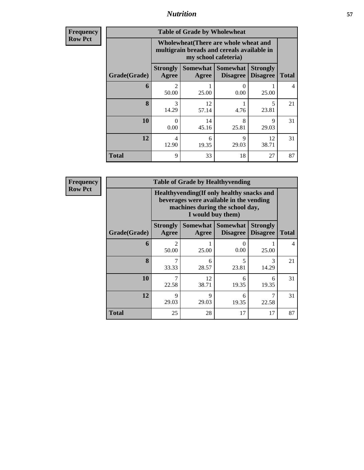| <b>Frequency</b><br>Row Pct |
|-----------------------------|
|                             |

| <b>Table of Grade by Wholewheat</b> |                                                                                                             |             |                                        |                                    |              |  |  |  |
|-------------------------------------|-------------------------------------------------------------------------------------------------------------|-------------|----------------------------------------|------------------------------------|--------------|--|--|--|
|                                     | Wholewheat (There are whole wheat and<br>multigrain breads and cereals available in<br>my school cafeteria) |             |                                        |                                    |              |  |  |  |
| Grade(Grade)                        | <b>Strongly</b><br>Agree                                                                                    | Agree       | Somewhat   Somewhat<br><b>Disagree</b> | <b>Strongly</b><br><b>Disagree</b> | <b>Total</b> |  |  |  |
| 6                                   | っ<br>50.00                                                                                                  | 25.00       | 0<br>0.00                              | 25.00                              | 4            |  |  |  |
| 8                                   | 3<br>14.29                                                                                                  | 12<br>57.14 | 4.76                                   | 5<br>23.81                         | 21           |  |  |  |
| 10                                  | $\Omega$<br>0.00                                                                                            | 14<br>45.16 | 8<br>25.81                             | q<br>29.03                         | 31           |  |  |  |
| 12                                  | 4<br>12.90                                                                                                  | 6<br>19.35  | 9<br>29.03                             | 12<br>38.71                        | 31           |  |  |  |
| <b>Total</b>                        | 9                                                                                                           | 33          | 18                                     | 27                                 | 87           |  |  |  |

| <b>Table of Grade by Healthyvending</b> |                                                                                                                                               |                                                                                                     |            |            |                          |  |  |  |
|-----------------------------------------|-----------------------------------------------------------------------------------------------------------------------------------------------|-----------------------------------------------------------------------------------------------------|------------|------------|--------------------------|--|--|--|
|                                         | Healthyvending (If only healthy snacks and<br>beverages were available in the vending<br>machines during the school day,<br>I would buy them) |                                                                                                     |            |            |                          |  |  |  |
| Grade(Grade)                            | <b>Strongly</b><br>Agree                                                                                                                      | Somewhat Somewhat<br><b>Strongly</b><br><b>Disagree</b><br><b>Disagree</b><br><b>Total</b><br>Agree |            |            |                          |  |  |  |
| 6                                       | $\mathfrak{D}$<br>50.00                                                                                                                       | 25.00                                                                                               | 0.00       | 25.00      | $\overline{\mathcal{A}}$ |  |  |  |
| $\mathbf{8}$                            | 7<br>33.33                                                                                                                                    | 6<br>28.57                                                                                          | 5<br>23.81 | 3<br>14.29 | 21                       |  |  |  |
| 10                                      | 7<br>22.58                                                                                                                                    | 12<br>38.71                                                                                         | 6<br>19.35 | 6<br>19.35 | 31                       |  |  |  |
| 12                                      | 9<br>29.03                                                                                                                                    | 9<br>29.03                                                                                          | 6<br>19.35 | 7<br>22.58 | 31                       |  |  |  |
| <b>Total</b>                            | 25                                                                                                                                            | 28                                                                                                  | 17         | 17         | 87                       |  |  |  |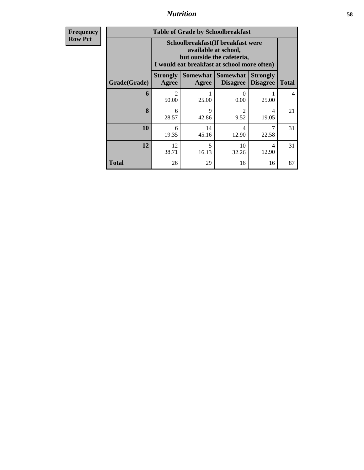| <b>Table of Grade by Schoolbreakfast</b> |                                                                                                                                         |                     |                             |                                    |              |  |  |
|------------------------------------------|-----------------------------------------------------------------------------------------------------------------------------------------|---------------------|-----------------------------|------------------------------------|--------------|--|--|
|                                          | Schoolbreakfast (If breakfast were<br>available at school,<br>but outside the cafeteria,<br>I would eat breakfast at school more often) |                     |                             |                                    |              |  |  |
| Grade(Grade)                             | <b>Strongly</b><br>Agree                                                                                                                | Somewhat  <br>Agree | Somewhat<br><b>Disagree</b> | <b>Strongly</b><br><b>Disagree</b> | <b>Total</b> |  |  |
| 6                                        | $\mathcal{D}_{\mathcal{L}}$<br>50.00                                                                                                    | 25.00               | 0<br>0.00                   | 25.00                              | 4            |  |  |
| 8                                        | 6<br>28.57                                                                                                                              | 9<br>42.86          | 2<br>9.52                   | 4<br>19.05                         | 21           |  |  |
| 10                                       | 6<br>19.35                                                                                                                              | 14<br>45.16         | 4<br>12.90                  | 22.58                              | 31           |  |  |
| 12                                       | 12<br>38.71                                                                                                                             | 5<br>16.13          | 10<br>32.26                 | 4<br>12.90                         | 31           |  |  |
| <b>Total</b>                             | 26                                                                                                                                      | 29                  | 16                          | 16                                 | 87           |  |  |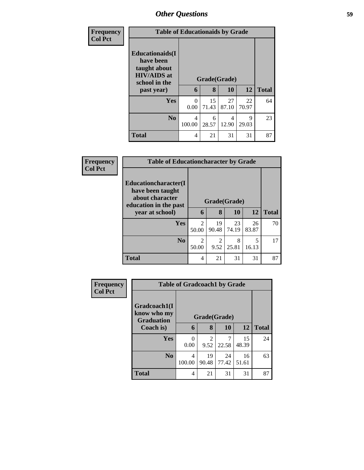| <b>Frequency</b> | <b>Table of Educationaids by Grade</b>                                                                    |                  |                   |             |             |              |  |
|------------------|-----------------------------------------------------------------------------------------------------------|------------------|-------------------|-------------|-------------|--------------|--|
| <b>Col Pct</b>   | <b>Educationaids</b> (I<br>have been<br>taught about<br><b>HIV/AIDS</b> at<br>school in the<br>past year) | 6                | Grade(Grade)<br>8 | <b>10</b>   | 12          | <b>Total</b> |  |
|                  | <b>Yes</b>                                                                                                | $\Omega$<br>0.00 | 15<br>71.43       | 27<br>87.10 | 22<br>70.97 | 64           |  |
|                  | N <sub>0</sub>                                                                                            | 4<br>100.00      | 6<br>28.57        | 4<br>12.90  | 9<br>29.03  | 23           |  |
|                  | <b>Total</b>                                                                                              | 4                | 21                | 31          | 31          | 87           |  |

| Frequency      |                                                                                                                 | <b>Table of Educationcharacter by Grade</b> |                   |             |             |              |  |  |  |
|----------------|-----------------------------------------------------------------------------------------------------------------|---------------------------------------------|-------------------|-------------|-------------|--------------|--|--|--|
| <b>Col Pct</b> | <b>Educationcharacter</b> (I<br>have been taught<br>about character<br>education in the past<br>year at school) | 6                                           | Grade(Grade)<br>8 | 10          | <b>12</b>   | <b>Total</b> |  |  |  |
|                | <b>Yes</b>                                                                                                      | $\mathfrak{D}$<br>50.00                     | 19<br>90.48       | 23<br>74.19 | 26<br>83.87 | 70           |  |  |  |
|                | N <sub>o</sub>                                                                                                  | 2<br>50.00                                  | 2<br>9.52         | 8<br>25.81  | 5<br>16.13  | 17           |  |  |  |
|                | <b>Total</b>                                                                                                    | 4                                           | 21                | 31          | 31          | 87           |  |  |  |

| Frequency      |                                                  | <b>Table of Gradcoach1 by Grade</b> |                        |             |             |              |  |  |
|----------------|--------------------------------------------------|-------------------------------------|------------------------|-------------|-------------|--------------|--|--|
| <b>Col Pct</b> | Gradcoach1(I<br>know who my<br><b>Graduation</b> | Grade(Grade)                        |                        |             |             |              |  |  |
|                | Coach is)                                        | 6                                   | 8                      | 10          | 12          | <b>Total</b> |  |  |
|                | Yes                                              | 0.00                                | $\mathfrak{D}$<br>9.52 | 7<br>22.58  | 15<br>48.39 | 24           |  |  |
|                | N <sub>0</sub>                                   | 4<br>100.00                         | 19<br>90.48            | 24<br>77.42 | 16<br>51.61 | 63           |  |  |
|                | <b>Total</b>                                     | 4                                   | 21                     | 31          | 31          | 87           |  |  |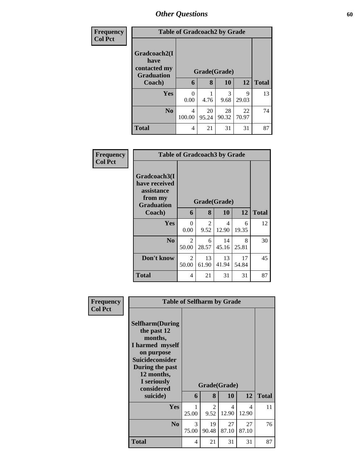| <b>Frequency</b> |                                                           | <b>Table of Gradcoach2 by Grade</b> |             |             |             |              |
|------------------|-----------------------------------------------------------|-------------------------------------|-------------|-------------|-------------|--------------|
| <b>Col Pct</b>   | Gradcoach2(I<br>have<br>contacted my<br><b>Graduation</b> | Grade(Grade)                        |             |             |             |              |
|                  | Coach)                                                    | 6                                   | 8           | 10          | 12          | <b>Total</b> |
|                  | Yes                                                       | 0<br>0.00                           | 4.76        | 3<br>9.68   | 9<br>29.03  | 13           |
|                  | N <sub>0</sub>                                            | 4<br>100.00                         | 20<br>95.24 | 28<br>90.32 | 22<br>70.97 | 74           |
|                  | <b>Total</b>                                              | 4                                   | 21          | 31          | 31          | 87           |

| Frequency<br><b>Col Pct</b> |                                                                             | <b>Table of Gradcoach3 by Grade</b> |             |              |             |              |  |  |
|-----------------------------|-----------------------------------------------------------------------------|-------------------------------------|-------------|--------------|-------------|--------------|--|--|
|                             | Gradcoach3(I<br>have received<br>assistance<br>from my<br><b>Graduation</b> |                                     |             | Grade(Grade) |             |              |  |  |
|                             | Coach)                                                                      | 6                                   | 8           | <b>10</b>    | 12          | <b>Total</b> |  |  |
|                             | Yes                                                                         | $\Omega$<br>0.00                    | 2<br>9.52   | 4<br>12.90   | 6<br>19.35  | 12           |  |  |
|                             | N <sub>0</sub>                                                              | 2<br>50.00                          | 6<br>28.57  | 14<br>45.16  | 8<br>25.81  | 30           |  |  |
|                             | Don't know                                                                  | 2<br>50.00                          | 13<br>61.90 | 13<br>41.94  | 17<br>54.84 | 45           |  |  |
|                             | <b>Total</b>                                                                | 4                                   | 21          | 31           | 31          | 87           |  |  |

| Frequency      | <b>Table of Selfharm by Grade</b>                                                                                                                                   |            |              |             |                         |              |
|----------------|---------------------------------------------------------------------------------------------------------------------------------------------------------------------|------------|--------------|-------------|-------------------------|--------------|
| <b>Col Pct</b> | <b>Selfharm</b> (During<br>the past 12<br>months,<br>I harmed myself<br>on purpose<br>Suicideconsider<br>During the past<br>12 months,<br>I seriously<br>considered |            | Grade(Grade) |             |                         |              |
|                | suicide)                                                                                                                                                            | 6          | 8            | 10          | 12                      | <b>Total</b> |
|                | <b>Yes</b>                                                                                                                                                          | 1<br>25.00 | 2<br>9.52    | 4<br>12.90  | $\overline{4}$<br>12.90 | 11           |
|                | N <sub>0</sub>                                                                                                                                                      | 3<br>75.00 | 19<br>90.48  | 27<br>87.10 | 27<br>87.10             | 76           |
|                | <b>Total</b>                                                                                                                                                        | 4          | 21           | 31          | 31                      | 87           |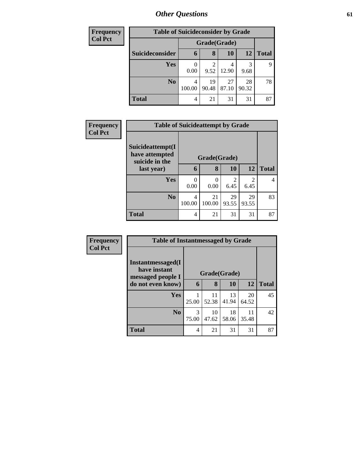| <b>Frequency</b> |                 | <b>Table of Suicideconsider by Grade</b> |                        |             |             |              |  |  |
|------------------|-----------------|------------------------------------------|------------------------|-------------|-------------|--------------|--|--|
| <b>Col Pct</b>   |                 |                                          | Grade(Grade)           |             |             |              |  |  |
|                  | Suicideconsider | $\mathbf b$                              | 8                      | 10          | 12          | <b>Total</b> |  |  |
|                  | Yes             | 0.00                                     | $\overline{c}$<br>9.52 | 12.90       | 3<br>9.68   | 9            |  |  |
|                  | N <sub>0</sub>  | 4<br>100.00                              | 19<br>90.48            | 27<br>87.10 | 28<br>90.32 | 78           |  |  |
|                  | <b>Total</b>    | 4                                        | 21                     | 31          | 31          | 87           |  |  |

| <b>Frequency</b> | <b>Table of Suicideattempt by Grade</b>              |              |              |             |                        |              |
|------------------|------------------------------------------------------|--------------|--------------|-------------|------------------------|--------------|
| <b>Col Pct</b>   | Suicideattempt(I<br>have attempted<br>suicide in the | Grade(Grade) |              |             |                        |              |
|                  | last year)                                           | 6            | 8            | 10          | 12                     | <b>Total</b> |
|                  | <b>Yes</b>                                           | 0<br>0.00    | 0<br>0.00    | 2<br>6.45   | $\mathfrak{D}$<br>6.45 | 4            |
|                  | N <sub>0</sub>                                       | 4<br>100.00  | 21<br>100.00 | 29<br>93.55 | 29<br>93.55            | 83           |
|                  | <b>Total</b>                                         | 4            | 21           | 31          | 31                     | 87           |

| Frequency      | <b>Table of Instantmessaged by Grade</b> |            |              |             |             |              |  |
|----------------|------------------------------------------|------------|--------------|-------------|-------------|--------------|--|
| <b>Col Pct</b> | Instantmessaged(I                        |            |              |             |             |              |  |
|                | have instant<br>messaged people I        |            | Grade(Grade) |             |             |              |  |
|                | do not even know)                        | 6          | 8            | 10          | 12          | <b>Total</b> |  |
|                | <b>Yes</b>                               | 25.00      | 11<br>52.38  | 13<br>41.94 | 20<br>64.52 | 45           |  |
|                | N <sub>0</sub>                           | 3<br>75.00 | 10<br>47.62  | 18<br>58.06 | 11<br>35.48 | 42           |  |
|                | <b>Total</b>                             | 4          | 21           | 31          | 31          | 87           |  |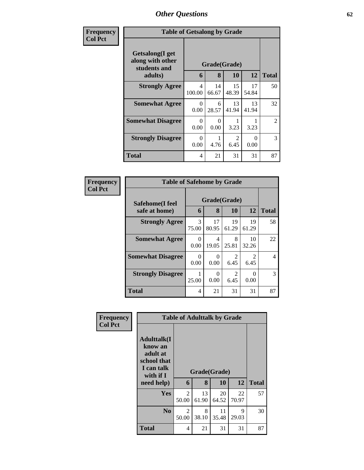| Frequency      | <b>Table of Getsalong by Grade</b>                                  |                  |                  |             |                       |                |
|----------------|---------------------------------------------------------------------|------------------|------------------|-------------|-----------------------|----------------|
| <b>Col Pct</b> | Getsalong(I get<br>along with other<br>Grade(Grade)<br>students and |                  |                  |             |                       |                |
|                | adults)                                                             | 6                | 8                | <b>10</b>   | 12                    | <b>Total</b>   |
|                | <b>Strongly Agree</b>                                               | 4<br>100.00      | 14<br>66.67      | 15<br>48.39 | 17<br>54.84           | 50             |
|                | <b>Somewhat Agree</b>                                               | $\Omega$<br>0.00 | 6<br>28.57       | 13<br>41.94 | 13<br>41.94           | 32             |
|                | <b>Somewhat Disagree</b>                                            | 0<br>0.00        | $\theta$<br>0.00 | 3.23        | 3.23                  | $\overline{2}$ |
|                | <b>Strongly Disagree</b>                                            | 0<br>0.00        | 4.76             | 2<br>6.45   | $\mathcal{O}$<br>0.00 | 3              |
|                | Total                                                               | 4                | 21               | 31          | 31                    | 87             |

| Frequency      | <b>Table of Safehome by Grade</b> |                  |             |                                     |                        |              |  |  |
|----------------|-----------------------------------|------------------|-------------|-------------------------------------|------------------------|--------------|--|--|
| <b>Col Pct</b> | Safehome(I feel                   | Grade(Grade)     |             |                                     |                        |              |  |  |
|                | safe at home)                     | 6                | 8           | 10                                  | 12                     | <b>Total</b> |  |  |
|                | <b>Strongly Agree</b>             | 3<br>75.00       | 17<br>80.95 | 19<br>61.29                         | 19<br>61.29            | 58           |  |  |
|                | <b>Somewhat Agree</b>             | 0<br>0.00        | 4<br>19.05  | 8<br>25.81                          | 10<br>32.26            | 22           |  |  |
|                | <b>Somewhat Disagree</b>          | $\Omega$<br>0.00 | 0<br>0.00   | $\mathfrak{D}$<br>6.45              | $\mathfrak{D}$<br>6.45 | 4            |  |  |
|                | <b>Strongly Disagree</b>          | 25.00            | 0<br>0.00   | $\mathcal{D}_{\mathcal{L}}$<br>6.45 | 0.00                   | 3            |  |  |
|                | <b>Total</b>                      | 4                | 21          | 31                                  | 31                     | 87           |  |  |

| Frequency      |                                                                                                     | <b>Table of Adulttalk by Grade</b> |             |                    |             |              |
|----------------|-----------------------------------------------------------------------------------------------------|------------------------------------|-------------|--------------------|-------------|--------------|
| <b>Col Pct</b> | <b>Adulttalk(I</b><br>know an<br>adult at<br>school that<br>I can talk<br>with if $I$<br>need help) | 6                                  | 8           | Grade(Grade)<br>10 | 12          | <b>Total</b> |
|                | <b>Yes</b>                                                                                          | 2<br>50.00                         | 13<br>61.90 | 20<br>64.52        | 22<br>70.97 | 57           |
|                | N <sub>0</sub>                                                                                      | $\mathfrak{D}$<br>50.00            | 8<br>38.10  | 11<br>35.48        | 9<br>29.03  | 30           |
|                | <b>Total</b>                                                                                        | 4                                  | 21          | 31                 | 31          | 87           |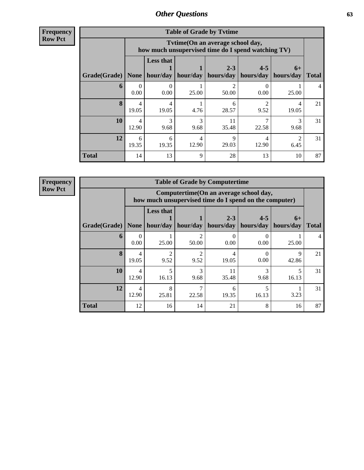**Frequency Row Pct**

| <b>Table of Grade by Tvtime</b> |                         |                                                                                        |             |                      |                      |                   |              |  |  |
|---------------------------------|-------------------------|----------------------------------------------------------------------------------------|-------------|----------------------|----------------------|-------------------|--------------|--|--|
|                                 |                         | Tvtime(On an average school day,<br>how much unsupervised time do I spend watching TV) |             |                      |                      |                   |              |  |  |
| Grade(Grade)                    | None                    | <b>Less that</b><br>hour/day                                                           | hour/day    | $2 - 3$<br>hours/day | $4 - 5$<br>hours/day | $6+$<br>hours/day | <b>Total</b> |  |  |
| 6                               | 0.00                    | $\Omega$<br>0.00                                                                       | 25.00       | 50.00                | 0.00                 | 25.00             | 4            |  |  |
| 8                               | $\overline{4}$<br>19.05 | 4<br>19.05                                                                             | 4.76        | 6<br>28.57           | 9.52                 | 4<br>19.05        | 21           |  |  |
| 10                              | 12.90                   | 3<br>9.68                                                                              | 3<br>9.68   | 11<br>35.48          | 22.58                | 9.68              | 31           |  |  |
| 12                              | 6<br>19.35              | 6<br>19.35                                                                             | 4<br>12.90  | $\mathbf Q$<br>29.03 | 4<br>12.90           | 6.45              | 31           |  |  |
| <b>Total</b>                    | 14                      | 13                                                                                     | $\mathbf Q$ | 28                   | 13                   | 10                | 87           |  |  |

| <b>Table of Grade by Computertime</b> |                                                                                                                                 |                                                                                                  |                        |             |           |                      |              |
|---------------------------------------|---------------------------------------------------------------------------------------------------------------------------------|--------------------------------------------------------------------------------------------------|------------------------|-------------|-----------|----------------------|--------------|
|                                       |                                                                                                                                 | Computertime(On an average school day,<br>how much unsupervised time do I spend on the computer) |                        |             |           |                      |              |
| Grade(Grade)                          | <b>Less that</b><br>$2 - 3$<br>$4 - 5$<br>$6+$<br>hour/day   hour/day<br>  hours/day  <br>hours/day<br>hours/day<br><b>None</b> |                                                                                                  |                        |             |           |                      | <b>Total</b> |
| 6                                     | 0<br>0.00                                                                                                                       | 25.00                                                                                            | 50.00                  | 0.00        | 0.00      | 25.00                | 4            |
| 8                                     | 4<br>19.05                                                                                                                      | $\mathfrak{D}$<br>9.52                                                                           | $\mathfrak{D}$<br>9.52 | 4<br>19.05  | 0<br>0.00 | $\mathbf Q$<br>42.86 | 21           |
| 10                                    | $\overline{4}$<br>12.90                                                                                                         | 5<br>16.13                                                                                       | 3<br>9.68              | 11<br>35.48 | 3<br>9.68 | 16.13                | 31           |
| 12                                    | 4<br>12.90                                                                                                                      | $\mathbf{8}$<br>25.81                                                                            | 22.58                  | 6<br>19.35  | 16.13     | 3.23                 | 31           |
| <b>Total</b>                          | 12                                                                                                                              | 16                                                                                               | 14                     | 21          | 8         | 16                   | 87           |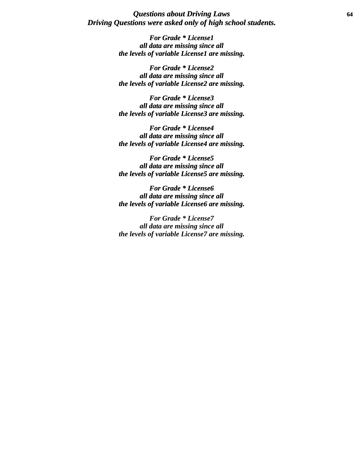### *Questions about Driving Laws* **64** *Driving Questions were asked only of high school students.*

*For Grade \* License1 all data are missing since all the levels of variable License1 are missing.*

*For Grade \* License2 all data are missing since all the levels of variable License2 are missing.*

*For Grade \* License3 all data are missing since all the levels of variable License3 are missing.*

*For Grade \* License4 all data are missing since all the levels of variable License4 are missing.*

*For Grade \* License5 all data are missing since all the levels of variable License5 are missing.*

*For Grade \* License6 all data are missing since all the levels of variable License6 are missing.*

*For Grade \* License7 all data are missing since all the levels of variable License7 are missing.*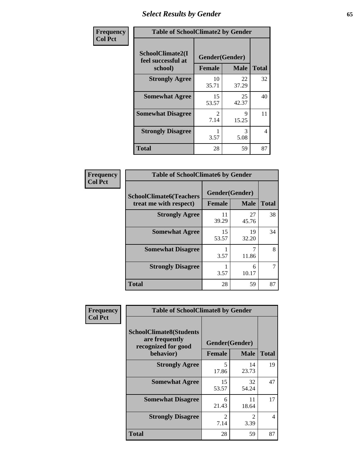# *Select Results by Gender* **65**

| Frequency      | <b>Table of SchoolClimate2 by Gender</b>          |                                 |             |                |
|----------------|---------------------------------------------------|---------------------------------|-------------|----------------|
| <b>Col Pct</b> | SchoolClimate2(I<br>feel successful at<br>school) | Gender(Gender)<br><b>Female</b> | <b>Male</b> | <b>Total</b>   |
|                | <b>Strongly Agree</b>                             | 10<br>35.71                     | 22<br>37.29 | 32             |
|                | <b>Somewhat Agree</b>                             | 15<br>53.57                     | 25<br>42.37 | 40             |
|                | <b>Somewhat Disagree</b>                          | $\mathcal{L}$<br>7.14           | 9<br>15.25  | 11             |
|                | <b>Strongly Disagree</b>                          | 3.57                            | 3<br>5.08   | $\overline{4}$ |
|                | <b>Total</b>                                      | 28                              | 59          | 87             |

| Frequency      | <b>Table of SchoolClimate6 by Gender</b>                 |                |             |              |  |
|----------------|----------------------------------------------------------|----------------|-------------|--------------|--|
| <b>Col Pct</b> | <b>SchoolClimate6(Teachers</b><br>treat me with respect) | Gender(Gender) |             |              |  |
|                |                                                          | <b>Female</b>  | <b>Male</b> | <b>Total</b> |  |
|                | <b>Strongly Agree</b>                                    | 11<br>39.29    | 27<br>45.76 | 38           |  |
|                | <b>Somewhat Agree</b>                                    | 15<br>53.57    | 19<br>32.20 | 34           |  |
|                | <b>Somewhat Disagree</b>                                 | 3.57           | 11.86       | 8            |  |
|                | <b>Strongly Disagree</b>                                 | 3.57           | 6<br>10.17  |              |  |
|                | <b>Total</b>                                             | 28             | 59          | 87           |  |

| Frequency      | <b>Table of SchoolClimate8 by Gender</b>                                             |                                 |                        |              |
|----------------|--------------------------------------------------------------------------------------|---------------------------------|------------------------|--------------|
| <b>Col Pct</b> | <b>SchoolClimate8(Students</b><br>are frequently<br>recognized for good<br>behavior) | Gender(Gender)<br><b>Female</b> | <b>Male</b>            | <b>Total</b> |
|                | <b>Strongly Agree</b>                                                                | 5<br>17.86                      | 14<br>23.73            | 19           |
|                | <b>Somewhat Agree</b>                                                                | 15<br>53.57                     | 32<br>54.24            | 47           |
|                | <b>Somewhat Disagree</b>                                                             | 6<br>21.43                      | 11<br>18.64            | 17           |
|                | <b>Strongly Disagree</b>                                                             | $\mathfrak{D}$<br>7.14          | $\mathfrak{D}$<br>3.39 | 4            |
|                | <b>Total</b>                                                                         | 28                              | 59                     | 87           |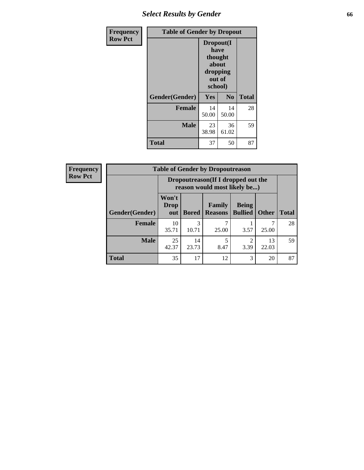## *Select Results by Gender* **66**

| <b>Frequency</b> | <b>Table of Gender by Dropout</b> |                                                                        |                |              |
|------------------|-----------------------------------|------------------------------------------------------------------------|----------------|--------------|
| <b>Row Pct</b>   |                                   | Dropout(I<br>have<br>thought<br>about<br>dropping<br>out of<br>school) |                |              |
|                  | Gender(Gender)                    | Yes                                                                    | N <sub>0</sub> | <b>Total</b> |
|                  | <b>Female</b>                     | 14<br>50.00                                                            | 14<br>50.00    | 28           |
|                  | <b>Male</b>                       | 23<br>38.98                                                            | 36<br>61.02    | 59           |
|                  | <b>Total</b>                      | 37                                                                     | 50             | 87           |

| <b>Frequency</b> | <b>Table of Gender by Dropoutreason</b> |                                                                    |              |                          |                                |              |              |
|------------------|-----------------------------------------|--------------------------------------------------------------------|--------------|--------------------------|--------------------------------|--------------|--------------|
| <b>Row Pct</b>   |                                         | Dropoutreason(If I dropped out the<br>reason would most likely be) |              |                          |                                |              |              |
|                  | Gender(Gender)                          | Won't<br><b>Drop</b><br>out                                        | <b>Bored</b> | Family<br><b>Reasons</b> | <b>Being</b><br><b>Bullied</b> | <b>Other</b> | <b>Total</b> |
|                  | <b>Female</b>                           | 10<br>35.71                                                        | 3<br>10.71   | 25.00                    | 3.57                           | 25.00        | 28           |
|                  | <b>Male</b>                             | 25<br>42.37                                                        | 14<br>23.73  | 8.47                     | ∍<br>3.39                      | 13<br>22.03  | 59           |
|                  | <b>Total</b>                            | 35                                                                 | 17           | 12                       | 3                              | 20           | 87           |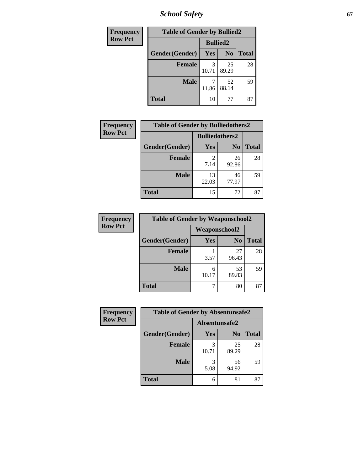*School Safety* **67**

| Frequency      | <b>Table of Gender by Bullied2</b> |                 |                |              |  |
|----------------|------------------------------------|-----------------|----------------|--------------|--|
| <b>Row Pct</b> |                                    | <b>Bullied2</b> |                |              |  |
|                | Gender(Gender)                     | Yes             | N <sub>0</sub> | <b>Total</b> |  |
|                | <b>Female</b>                      | 3<br>10.71      | 25<br>89.29    | 28           |  |
|                | <b>Male</b>                        | 11.86           | 52<br>88.14    | 59           |  |
|                | Total                              | 10              | 77             | 87           |  |

| <b>Frequency</b> | <b>Table of Gender by Bulliedothers2</b> |                       |                |              |
|------------------|------------------------------------------|-----------------------|----------------|--------------|
| <b>Row Pct</b>   |                                          | <b>Bulliedothers2</b> |                |              |
|                  | Gender(Gender)                           | <b>Yes</b>            | N <sub>0</sub> | <b>Total</b> |
|                  | <b>Female</b>                            | $\mathcal{L}$<br>7.14 | 26<br>92.86    | 28           |
|                  | <b>Male</b>                              | 13<br>22.03           | 46<br>77.97    | 59           |
|                  | <b>Total</b>                             | 15                    | 72             | 87           |

| Frequency      | <b>Table of Gender by Weaponschool2</b> |                      |                |              |  |
|----------------|-----------------------------------------|----------------------|----------------|--------------|--|
| <b>Row Pct</b> |                                         | <b>Weaponschool2</b> |                |              |  |
|                | Gender(Gender)                          | Yes                  | N <sub>0</sub> | <b>Total</b> |  |
|                | <b>Female</b>                           | 3.57                 | 27<br>96.43    | 28           |  |
|                | <b>Male</b>                             | 6<br>10.17           | 53<br>89.83    | 59           |  |
|                | <b>Total</b>                            |                      | 80             | 87           |  |

| Frequency      | <b>Table of Gender by Absentunsafe2</b> |               |                |              |
|----------------|-----------------------------------------|---------------|----------------|--------------|
| <b>Row Pct</b> |                                         | Absentunsafe2 |                |              |
|                | Gender(Gender)                          | Yes           | N <sub>0</sub> | <b>Total</b> |
|                | <b>Female</b>                           | 10.71         | 25<br>89.29    | 28           |
|                | <b>Male</b>                             | 5.08          | 56<br>94.92    | 59           |
|                | <b>Total</b>                            | 6             | 81             | 87           |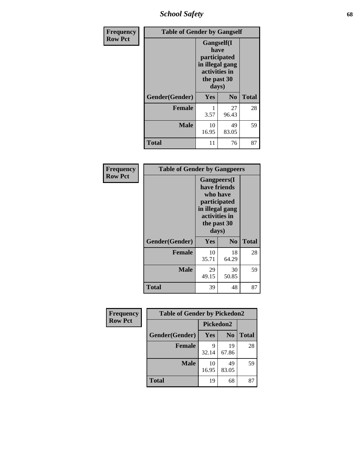*School Safety* **68**

| Frequency      | <b>Table of Gender by Gangself</b> |                                                                                                        |                |              |
|----------------|------------------------------------|--------------------------------------------------------------------------------------------------------|----------------|--------------|
| <b>Row Pct</b> |                                    | <b>Gangself</b> (I<br>have<br>participated<br>in illegal gang<br>activities in<br>the past 30<br>days) |                |              |
|                | Gender(Gender)                     | Yes                                                                                                    | N <sub>0</sub> | <b>Total</b> |
|                | <b>Female</b>                      | 3.57                                                                                                   | 27<br>96.43    | 28           |
|                | <b>Male</b>                        | 10<br>16.95                                                                                            | 49<br>83.05    | 59           |
|                | <b>Total</b>                       | 11                                                                                                     | 76             | 87           |

| Frequency      | <b>Table of Gender by Gangpeers</b> |                                                                                                                    |                |              |
|----------------|-------------------------------------|--------------------------------------------------------------------------------------------------------------------|----------------|--------------|
| <b>Row Pct</b> |                                     | <b>Gangpeers</b> (I<br>have friends<br>who have<br>participated<br>in illegal gang<br>activities in<br>the past 30 |                |              |
|                |                                     | days)                                                                                                              |                |              |
|                | Gender(Gender)                      | Yes                                                                                                                | N <sub>0</sub> | <b>Total</b> |
|                | <b>Female</b>                       | 10<br>35.71                                                                                                        | 18<br>64.29    | 28           |
|                | <b>Male</b>                         | 29<br>49.15                                                                                                        | 30<br>50.85    | 59           |
|                | Total                               | 39                                                                                                                 | 48             | 87           |

| Frequency      | <b>Table of Gender by Pickedon2</b> |             |                |              |
|----------------|-------------------------------------|-------------|----------------|--------------|
| <b>Row Pct</b> |                                     | Pickedon2   |                |              |
|                | Gender(Gender)                      | <b>Yes</b>  | N <sub>0</sub> | <b>Total</b> |
|                | <b>Female</b>                       | 9<br>32.14  | 19<br>67.86    | 28           |
|                | <b>Male</b>                         | 10<br>16.95 | 49<br>83.05    | 59           |
|                | <b>Total</b>                        | 19          | 68             | 87           |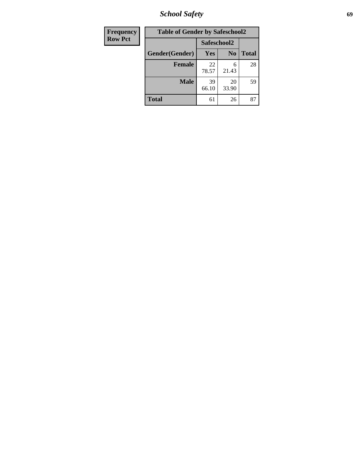*School Safety* **69**

| <b>Frequency</b> | <b>Table of Gender by Safeschool2</b> |             |                |              |  |
|------------------|---------------------------------------|-------------|----------------|--------------|--|
| <b>Row Pct</b>   |                                       | Safeschool2 |                |              |  |
|                  | Gender(Gender)                        | Yes         | N <sub>0</sub> | <b>Total</b> |  |
|                  | <b>Female</b>                         | 22<br>78.57 | 6<br>21.43     | 28           |  |
|                  | <b>Male</b>                           | 39<br>66.10 | 20<br>33.90    | 59           |  |
|                  | <b>Total</b>                          | 61          | 26             | 87           |  |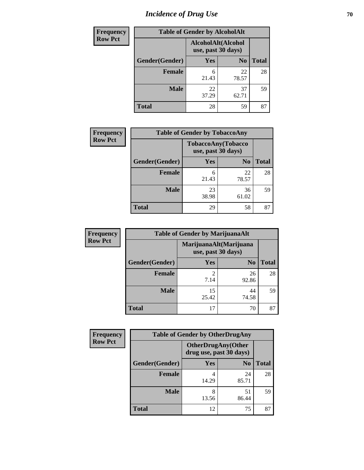# *Incidence of Drug Use* <sup>70</sup>

| <b>Frequency</b> | <b>Table of Gender by AlcoholAlt</b> |                                          |                |              |
|------------------|--------------------------------------|------------------------------------------|----------------|--------------|
| <b>Row Pct</b>   |                                      | AlcoholAlt(Alcohol<br>use, past 30 days) |                |              |
|                  | Gender(Gender)                       | Yes                                      | N <sub>0</sub> | <b>Total</b> |
|                  | <b>Female</b>                        | 6<br>21.43                               | 22<br>78.57    | 28           |
|                  | <b>Male</b>                          | 22<br>37.29                              | 37<br>62.71    | 59           |
|                  | <b>Total</b>                         | 28                                       | 59             | 87           |

| <b>Frequency</b> | <b>Table of Gender by TobaccoAny</b> |                                          |                |              |  |
|------------------|--------------------------------------|------------------------------------------|----------------|--------------|--|
| <b>Row Pct</b>   |                                      | TobaccoAny(Tobacco<br>use, past 30 days) |                |              |  |
|                  | Gender(Gender)                       | Yes                                      | N <sub>0</sub> | <b>Total</b> |  |
|                  | <b>Female</b>                        | 6<br>21.43                               | 22<br>78.57    | 28           |  |
|                  | <b>Male</b>                          | 23<br>38.98                              | 36<br>61.02    | 59           |  |
|                  | <b>Total</b>                         | 29                                       | 58             | 87           |  |

| <b>Frequency</b> | <b>Table of Gender by MarijuanaAlt</b> |                                              |                |              |
|------------------|----------------------------------------|----------------------------------------------|----------------|--------------|
| <b>Row Pct</b>   |                                        | MarijuanaAlt(Marijuana<br>use, past 30 days) |                |              |
|                  | Gender(Gender)                         | <b>Yes</b>                                   | N <sub>0</sub> | <b>Total</b> |
|                  | Female                                 | $\mathfrak{D}$<br>7.14                       | 26<br>92.86    | 28           |
|                  | <b>Male</b>                            | 15<br>25.42                                  | 44<br>74.58    | 59           |
|                  | <b>Total</b>                           | 17                                           | 70             | 87           |

| <b>Frequency</b> | <b>Table of Gender by OtherDrugAny</b> |                                                      |                |              |
|------------------|----------------------------------------|------------------------------------------------------|----------------|--------------|
| <b>Row Pct</b>   |                                        | <b>OtherDrugAny(Other</b><br>drug use, past 30 days) |                |              |
|                  | Gender(Gender)                         | <b>Yes</b>                                           | N <sub>0</sub> | <b>Total</b> |
|                  | <b>Female</b>                          | 14.29                                                | 24<br>85.71    | 28           |
|                  | <b>Male</b>                            | 8<br>13.56                                           | 51<br>86.44    | 59           |
|                  | <b>Total</b>                           | 12                                                   | 75             | 87           |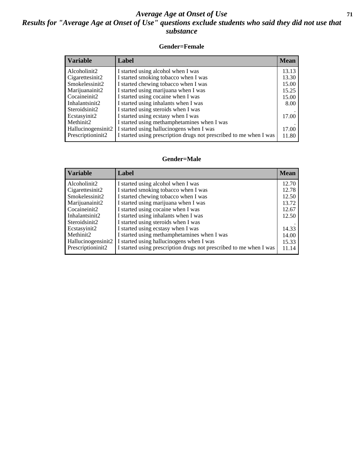## *Average Age at Onset of Use* **71** *Results for "Average Age at Onset of Use" questions exclude students who said they did not use that substance*

### **Gender=Female**

| <i><b>Variable</b></i> | Label                                                              | <b>Mean</b> |
|------------------------|--------------------------------------------------------------------|-------------|
| Alcoholinit2           | I started using alcohol when I was                                 | 13.13       |
| Cigarettesinit2        | I started smoking tobacco when I was                               | 13.30       |
| Smokelessinit2         | I started chewing tobacco when I was                               | 15.00       |
| Marijuanainit2         | I started using marijuana when I was                               | 15.25       |
| Cocaineinit2           | I started using cocaine when I was                                 | 15.00       |
| Inhalantsinit2         | I started using inhalants when I was                               | 8.00        |
| Steroidsinit2          | I started using steroids when I was                                |             |
| Ecstasyinit2           | I started using ecstasy when I was                                 | 17.00       |
| Methinit2              | I started using methamphetamines when I was                        |             |
| Hallucinogensinit2     | I started using hallucinogens when I was                           | 17.00       |
| Prescription in t2     | I started using prescription drugs not prescribed to me when I was | 11.80       |

### **Gender=Male**

| <b>Variable</b>                 | Label                                                              | <b>Mean</b> |
|---------------------------------|--------------------------------------------------------------------|-------------|
| Alcoholinit2                    | I started using alcohol when I was                                 | 12.70       |
| Cigarettesinit2                 | I started smoking tobacco when I was                               | 12.78       |
| Smokelessinit2                  | I started chewing tobacco when I was                               | 12.50       |
| Marijuanainit2                  | I started using marijuana when I was                               | 13.72       |
| Cocaineinit2                    | I started using cocaine when I was                                 | 12.67       |
| Inhalantsinit2                  | I started using inhalants when I was                               | 12.50       |
| Steroidsinit2                   | I started using steroids when I was                                |             |
| Ecstasyinit2                    | I started using ecstasy when I was                                 | 14.33       |
| Methinit2                       | I started using methamphetamines when I was                        | 14.00       |
| Hallucinogensinit2              | I started using hallucinogens when I was                           | 15.33       |
| Prescription in it <sub>2</sub> | I started using prescription drugs not prescribed to me when I was | 11.14       |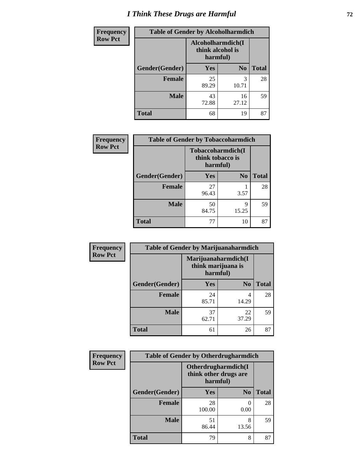# *I Think These Drugs are Harmful* **72**

| Frequency      | <b>Table of Gender by Alcoholharmdich</b> |                                                   |                |              |
|----------------|-------------------------------------------|---------------------------------------------------|----------------|--------------|
| <b>Row Pct</b> |                                           | Alcoholharmdich(I<br>think alcohol is<br>harmful) |                |              |
|                | Gender(Gender)                            | Yes                                               | N <sub>0</sub> | <b>Total</b> |
|                | <b>Female</b>                             | 25<br>89.29                                       | 3<br>10.71     | 28           |
|                | <b>Male</b>                               | 43<br>72.88                                       | 16<br>27.12    | 59           |
|                | <b>Total</b>                              | 68                                                | 19             | 87           |

| Frequency      | <b>Table of Gender by Tobaccoharmdich</b> |                  |                               |              |
|----------------|-------------------------------------------|------------------|-------------------------------|--------------|
| <b>Row Pct</b> |                                           | think tobacco is | Tobaccoharmdich(I<br>harmful) |              |
|                | Gender(Gender)                            | Yes              | N <sub>0</sub>                | <b>Total</b> |
|                | <b>Female</b>                             | 27<br>96.43      | 3.57                          | 28           |
|                | <b>Male</b>                               | 50<br>84.75      | 9<br>15.25                    | 59           |
|                | Total                                     | 77               | 10                            | 87           |

| Frequency      | <b>Table of Gender by Marijuanaharmdich</b> |                                |                     |              |  |
|----------------|---------------------------------------------|--------------------------------|---------------------|--------------|--|
| <b>Row Pct</b> |                                             | think marijuana is<br>harmful) | Marijuanaharmdich(I |              |  |
|                | Gender(Gender)                              | <b>Yes</b>                     | N <sub>0</sub>      | <b>Total</b> |  |
|                | <b>Female</b>                               | 24<br>85.71                    | 4<br>14.29          | 28           |  |
|                | <b>Male</b>                                 | 37<br>62.71                    | 22<br>37.29         | 59           |  |
|                | <b>Total</b>                                | 61                             | 26                  | 87           |  |

| Frequency      | <b>Table of Gender by Otherdrugharmdich</b> |                                                          |                |              |
|----------------|---------------------------------------------|----------------------------------------------------------|----------------|--------------|
| <b>Row Pct</b> |                                             | Otherdrugharmdich(I<br>think other drugs are<br>harmful) |                |              |
|                | Gender(Gender)                              | <b>Yes</b>                                               | N <sub>0</sub> | <b>Total</b> |
|                | <b>Female</b>                               | 28<br>100.00                                             | 0<br>0.00      | 28           |
|                | <b>Male</b>                                 | 51<br>86.44                                              | 8<br>13.56     | 59           |
|                | <b>Total</b>                                | 79                                                       | 8              | 87           |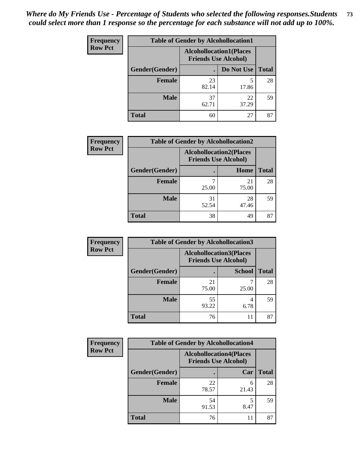| <b>Frequency</b> | <b>Table of Gender by Alcohollocation1</b> |                                                               |             |              |
|------------------|--------------------------------------------|---------------------------------------------------------------|-------------|--------------|
| <b>Row Pct</b>   |                                            | <b>Alcohollocation1(Places</b><br><b>Friends Use Alcohol)</b> |             |              |
|                  | Gender(Gender)                             |                                                               | Do Not Use  | <b>Total</b> |
|                  | <b>Female</b>                              | 23<br>82.14                                                   | 17.86       | 28           |
|                  | <b>Male</b>                                | 37<br>62.71                                                   | 22<br>37.29 | 59           |
|                  | <b>Total</b>                               | 60                                                            | 27          | 87           |

| <b>Frequency</b> | <b>Table of Gender by Alcohollocation2</b> |             |                                                               |              |
|------------------|--------------------------------------------|-------------|---------------------------------------------------------------|--------------|
| <b>Row Pct</b>   |                                            |             | <b>Alcohollocation2(Places</b><br><b>Friends Use Alcohol)</b> |              |
|                  | Gender(Gender)                             |             | Home                                                          | <b>Total</b> |
|                  | Female                                     | 25.00       | 21<br>75.00                                                   | 28           |
|                  | <b>Male</b>                                | 31<br>52.54 | 28<br>47.46                                                   | 59           |
|                  | <b>Total</b>                               | 38          | 49                                                            | 87           |

| Frequency      | <b>Table of Gender by Alcohollocation3</b> |                                                               |               |              |
|----------------|--------------------------------------------|---------------------------------------------------------------|---------------|--------------|
| <b>Row Pct</b> |                                            | <b>Alcohollocation3(Places</b><br><b>Friends Use Alcohol)</b> |               |              |
|                | Gender(Gender)                             |                                                               | <b>School</b> | <b>Total</b> |
|                | <b>Female</b>                              | 21<br>75.00                                                   | 25.00         | 28           |
|                | <b>Male</b>                                | 55<br>93.22                                                   | 4<br>6.78     | 59           |
|                | <b>Total</b>                               | 76                                                            | 11            | 87           |

| <b>Frequency</b> | <b>Table of Gender by Alcohollocation4</b> |                                                               |            |              |
|------------------|--------------------------------------------|---------------------------------------------------------------|------------|--------------|
| <b>Row Pct</b>   |                                            | <b>Alcohollocation4(Places</b><br><b>Friends Use Alcohol)</b> |            |              |
|                  | Gender(Gender)                             |                                                               | Car        | <b>Total</b> |
|                  | <b>Female</b>                              | 22<br>78.57                                                   | 6<br>21.43 | 28           |
|                  | <b>Male</b>                                | 54<br>91.53                                                   | 8.47       | 59           |
|                  | <b>Total</b>                               | 76                                                            | 11         | 87           |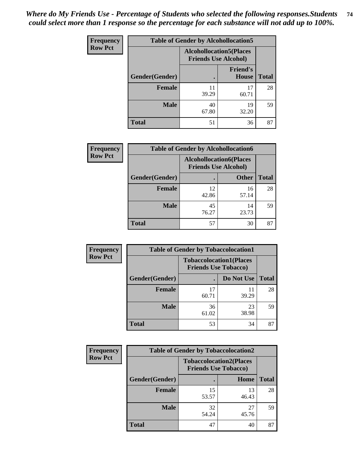| <b>Frequency</b> | <b>Table of Gender by Alcohollocation5</b> |                                                                |                                 |              |
|------------------|--------------------------------------------|----------------------------------------------------------------|---------------------------------|--------------|
| <b>Row Pct</b>   |                                            | <b>Alcohollocation5</b> (Places<br><b>Friends Use Alcohol)</b> |                                 |              |
|                  | Gender(Gender)                             |                                                                | <b>Friend's</b><br><b>House</b> | <b>Total</b> |
|                  | <b>Female</b>                              | 11<br>39.29                                                    | 17<br>60.71                     | 28           |
|                  | <b>Male</b>                                | 40<br>67.80                                                    | 19<br>32.20                     | 59           |
|                  | <b>Total</b>                               | 51                                                             | 36                              | 87           |

| <b>Frequency</b> | <b>Table of Gender by Alcohollocation6</b> |                                                               |              |              |
|------------------|--------------------------------------------|---------------------------------------------------------------|--------------|--------------|
| <b>Row Pct</b>   |                                            | <b>Alcohollocation6(Places</b><br><b>Friends Use Alcohol)</b> |              |              |
|                  | Gender(Gender)                             |                                                               | <b>Other</b> | <b>Total</b> |
|                  | Female                                     | 12<br>42.86                                                   | 16<br>57.14  | 28           |
|                  | <b>Male</b>                                | 45<br>76.27                                                   | 14<br>23.73  | 59           |
|                  | <b>Total</b>                               | 57                                                            | 30           | 87           |

| Frequency      | <b>Table of Gender by Tobaccolocation1</b> |                                                               |             |              |  |
|----------------|--------------------------------------------|---------------------------------------------------------------|-------------|--------------|--|
| <b>Row Pct</b> |                                            | <b>Tobaccolocation1(Places</b><br><b>Friends Use Tobacco)</b> |             |              |  |
|                | Gender(Gender)                             |                                                               | Do Not Use  | <b>Total</b> |  |
|                | Female                                     | 17<br>60.71                                                   | 11<br>39.29 | 28           |  |
|                | <b>Male</b>                                | 36<br>61.02                                                   | 23<br>38.98 | 59           |  |
|                | <b>Total</b>                               | 53                                                            | 34          | 87           |  |

| <b>Frequency</b> | <b>Table of Gender by Tobaccolocation2</b> |                                                               |             |              |
|------------------|--------------------------------------------|---------------------------------------------------------------|-------------|--------------|
| <b>Row Pct</b>   |                                            | <b>Tobaccolocation2(Places</b><br><b>Friends Use Tobacco)</b> |             |              |
|                  | Gender(Gender)                             |                                                               | Home        | <b>Total</b> |
|                  | Female                                     | 15<br>53.57                                                   | 13<br>46.43 | 28           |
|                  | <b>Male</b>                                | 32<br>54.24                                                   | 27<br>45.76 | 59           |
|                  | <b>Total</b>                               | 47                                                            | 40          | 87           |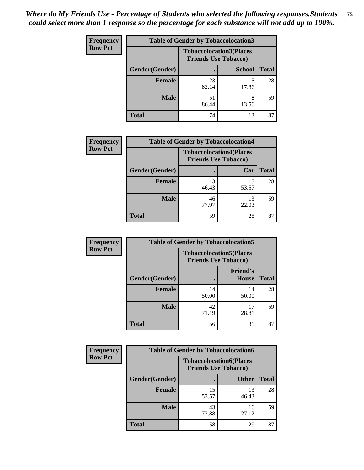| <b>Frequency</b> | <b>Table of Gender by Tobaccolocation3</b> |                                                               |               |              |
|------------------|--------------------------------------------|---------------------------------------------------------------|---------------|--------------|
| <b>Row Pct</b>   |                                            | <b>Tobaccolocation3(Places</b><br><b>Friends Use Tobacco)</b> |               |              |
|                  | Gender(Gender)                             |                                                               | <b>School</b> | <b>Total</b> |
|                  | <b>Female</b>                              | 23<br>82.14                                                   | 17.86         | 28           |
|                  | <b>Male</b>                                | 51<br>86.44                                                   | 8<br>13.56    | 59           |
|                  | Total                                      | 74                                                            | 13            | 87           |

| <b>Frequency</b> | <b>Table of Gender by Tobaccolocation4</b> |                                                               |             |              |
|------------------|--------------------------------------------|---------------------------------------------------------------|-------------|--------------|
| <b>Row Pct</b>   |                                            | <b>Tobaccolocation4(Places</b><br><b>Friends Use Tobacco)</b> |             |              |
|                  | Gender(Gender)                             |                                                               | Car         | <b>Total</b> |
|                  | Female                                     | 13<br>46.43                                                   | 15<br>53.57 | 28           |
|                  | <b>Male</b>                                | 46<br>77.97                                                   | 13<br>22.03 | 59           |
|                  | <b>Total</b>                               | 59                                                            | 28          | 87           |

| <b>Frequency</b> | <b>Table of Gender by Tobaccolocation5</b> |                                                               |                                 |              |
|------------------|--------------------------------------------|---------------------------------------------------------------|---------------------------------|--------------|
| <b>Row Pct</b>   |                                            | <b>Tobaccolocation5(Places</b><br><b>Friends Use Tobacco)</b> |                                 |              |
|                  | Gender(Gender)                             |                                                               | <b>Friend's</b><br><b>House</b> | <b>Total</b> |
|                  | <b>Female</b>                              | 14<br>50.00                                                   | 14<br>50.00                     | 28           |
|                  | <b>Male</b>                                | 42<br>71.19                                                   | 17<br>28.81                     | 59           |
|                  | <b>Total</b>                               | 56                                                            | 31                              | 87           |

| <b>Frequency</b> | <b>Table of Gender by Tobaccolocation6</b> |                                                               |              |              |
|------------------|--------------------------------------------|---------------------------------------------------------------|--------------|--------------|
| <b>Row Pct</b>   |                                            | <b>Tobaccolocation6(Places</b><br><b>Friends Use Tobacco)</b> |              |              |
|                  | Gender(Gender)                             |                                                               | <b>Other</b> | <b>Total</b> |
|                  | Female                                     | 15<br>53.57                                                   | 13<br>46.43  | 28           |
|                  | <b>Male</b>                                | 43<br>72.88                                                   | 16<br>27.12  | 59           |
|                  | <b>Total</b>                               | 58                                                            | 29           | 87           |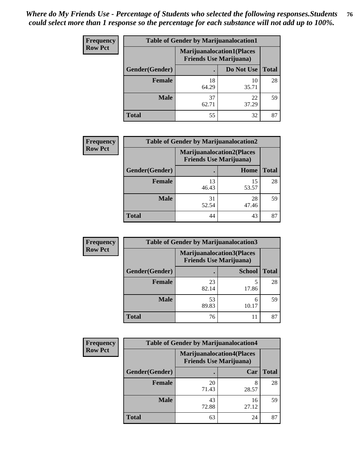| <b>Frequency</b> | <b>Table of Gender by Marijuanalocation1</b> |             |                                                                    |              |  |
|------------------|----------------------------------------------|-------------|--------------------------------------------------------------------|--------------|--|
| <b>Row Pct</b>   |                                              |             | <b>Marijuanalocation1(Places</b><br><b>Friends Use Marijuana</b> ) |              |  |
|                  | Gender(Gender)                               |             | Do Not Use                                                         | <b>Total</b> |  |
|                  | <b>Female</b>                                | 18<br>64.29 | 10<br>35.71                                                        | 28           |  |
|                  | <b>Male</b>                                  | 37<br>62.71 | 22<br>37.29                                                        | 59           |  |
|                  | <b>Total</b>                                 | 55          | 32                                                                 | 87           |  |

| <b>Frequency</b> | <b>Table of Gender by Marijuanalocation2</b> |                                                                    |             |              |  |
|------------------|----------------------------------------------|--------------------------------------------------------------------|-------------|--------------|--|
| <b>Row Pct</b>   |                                              | <b>Marijuanalocation2(Places</b><br><b>Friends Use Marijuana</b> ) |             |              |  |
|                  | Gender(Gender)                               |                                                                    | Home        | <b>Total</b> |  |
|                  | Female                                       | 13<br>46.43                                                        | 15<br>53.57 | 28           |  |
|                  | <b>Male</b>                                  | 31<br>52.54                                                        | 28<br>47.46 | 59           |  |
|                  | <b>Total</b>                                 | 44                                                                 | 43          | 87           |  |

| Frequency      | <b>Table of Gender by Marijuanalocation3</b> |                                |                                  |              |  |
|----------------|----------------------------------------------|--------------------------------|----------------------------------|--------------|--|
| <b>Row Pct</b> |                                              | <b>Friends Use Marijuana</b> ) | <b>Marijuanalocation3(Places</b> |              |  |
|                | Gender(Gender)                               |                                | <b>School</b>                    | <b>Total</b> |  |
|                | Female                                       | 23<br>82.14                    | 5<br>17.86                       | 28           |  |
|                | <b>Male</b>                                  | 53<br>89.83                    | 6<br>10.17                       | 59           |  |
|                | <b>Total</b>                                 | 76                             | 11                               | 87           |  |

| Frequency      | <b>Table of Gender by Marijuanalocation4</b> |                                |                                  |              |  |
|----------------|----------------------------------------------|--------------------------------|----------------------------------|--------------|--|
| <b>Row Pct</b> |                                              | <b>Friends Use Marijuana</b> ) | <b>Marijuanalocation4(Places</b> |              |  |
|                | Gender(Gender)                               |                                | Car                              | <b>Total</b> |  |
|                | <b>Female</b>                                | 20<br>71.43                    | 28.57                            | 28           |  |
|                | <b>Male</b>                                  | 43<br>72.88                    | 16<br>27.12                      | 59           |  |
|                | <b>Total</b>                                 | 63                             | 24                               | 87           |  |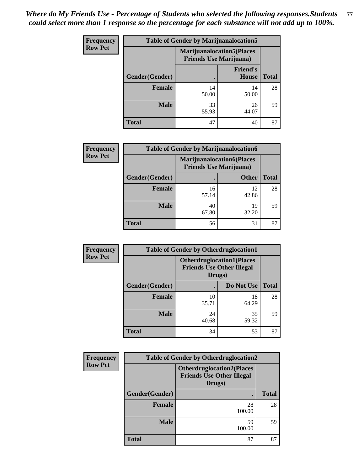| <b>Frequency</b> | <b>Table of Gender by Marijuanalocation5</b> |                                                                     |                          |              |
|------------------|----------------------------------------------|---------------------------------------------------------------------|--------------------------|--------------|
| <b>Row Pct</b>   |                                              | <b>Marijuanalocation5</b> (Places<br><b>Friends Use Marijuana</b> ) |                          |              |
|                  | Gender(Gender)                               |                                                                     | <b>Friend's</b><br>House | <b>Total</b> |
|                  | Female                                       | 14<br>50.00                                                         | 14<br>50.00              | 28           |
|                  | <b>Male</b>                                  | 33<br>55.93                                                         | 26<br>44.07              | 59           |
|                  | <b>Total</b>                                 | 47                                                                  | 40                       | 87           |

| <b>Frequency</b> | <b>Table of Gender by Marijuanalocation6</b> |                                |                                  |              |  |
|------------------|----------------------------------------------|--------------------------------|----------------------------------|--------------|--|
| <b>Row Pct</b>   |                                              | <b>Friends Use Marijuana</b> ) | <b>Marijuanalocation6(Places</b> |              |  |
|                  | <b>Gender</b> (Gender)                       |                                | <b>Other</b>                     | <b>Total</b> |  |
|                  | <b>Female</b>                                | 16<br>57.14                    | 12<br>42.86                      | 28           |  |
|                  | <b>Male</b>                                  | 40<br>67.80                    | 19<br>32.20                      | 59           |  |
|                  | <b>Total</b>                                 | 56                             | 31                               | 87           |  |

| Frequency      | <b>Table of Gender by Otherdruglocation1</b> |                                                                                |             |              |
|----------------|----------------------------------------------|--------------------------------------------------------------------------------|-------------|--------------|
| <b>Row Pct</b> |                                              | <b>Otherdruglocation1(Places</b><br><b>Friends Use Other Illegal</b><br>Drugs) |             |              |
|                | Gender(Gender)                               |                                                                                | Do Not Use  | <b>Total</b> |
|                | <b>Female</b>                                | 10<br>35.71                                                                    | 18<br>64.29 | 28           |
|                | <b>Male</b>                                  | 24<br>40.68                                                                    | 35<br>59.32 | 59           |
|                | <b>Total</b>                                 | 34                                                                             | 53          | 87           |

| Frequency                                                                                        | <b>Table of Gender by Otherdruglocation2</b> |              |              |  |
|--------------------------------------------------------------------------------------------------|----------------------------------------------|--------------|--------------|--|
| <b>Row Pct</b><br><b>Otherdruglocation2(Places</b><br><b>Friends Use Other Illegal</b><br>Drugs) |                                              |              |              |  |
|                                                                                                  | Gender(Gender)                               |              | <b>Total</b> |  |
|                                                                                                  | Female                                       | 28<br>100.00 | 28           |  |
|                                                                                                  | <b>Male</b>                                  | 59<br>100.00 | 59           |  |
|                                                                                                  | <b>Total</b>                                 | 87           | 87           |  |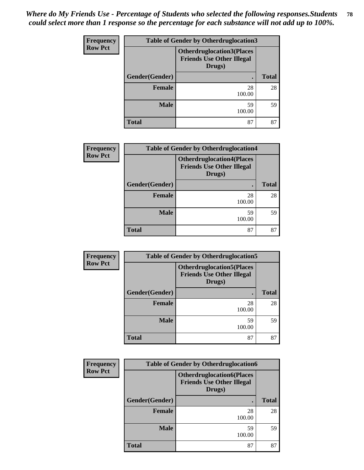| <b>Frequency</b> | <b>Table of Gender by Otherdruglocation3</b>                                   |              |              |  |
|------------------|--------------------------------------------------------------------------------|--------------|--------------|--|
| <b>Row Pct</b>   | <b>Otherdruglocation3(Places</b><br><b>Friends Use Other Illegal</b><br>Drugs) |              |              |  |
|                  | Gender(Gender)                                                                 | ٠            | <b>Total</b> |  |
|                  | Female                                                                         | 28<br>100.00 | 28           |  |
|                  | <b>Male</b>                                                                    | 59<br>100.00 | 59           |  |
|                  | <b>Total</b>                                                                   | 87           | 87           |  |

| Frequency      | <b>Table of Gender by Otherdruglocation4</b> |                                                                                |              |  |
|----------------|----------------------------------------------|--------------------------------------------------------------------------------|--------------|--|
| <b>Row Pct</b> |                                              | <b>Otherdruglocation4(Places</b><br><b>Friends Use Other Illegal</b><br>Drugs) |              |  |
|                | Gender(Gender)                               |                                                                                | <b>Total</b> |  |
|                | Female                                       | 28<br>100.00                                                                   | 28           |  |
|                | <b>Male</b>                                  | 59<br>100.00                                                                   | 59           |  |
|                | <b>Total</b>                                 | 87                                                                             | 87           |  |

| Frequency      | <b>Table of Gender by Otherdruglocation5</b> |                                                                                |              |  |
|----------------|----------------------------------------------|--------------------------------------------------------------------------------|--------------|--|
| <b>Row Pct</b> |                                              | <b>Otherdruglocation5(Places</b><br><b>Friends Use Other Illegal</b><br>Drugs) |              |  |
|                | Gender(Gender)                               |                                                                                | <b>Total</b> |  |
|                | <b>Female</b>                                | 28<br>100.00                                                                   | 28           |  |
|                | <b>Male</b>                                  | 59<br>100.00                                                                   | 59           |  |
|                | <b>Total</b>                                 | 87                                                                             | 87           |  |

| Frequency      | <b>Table of Gender by Otherdruglocation6</b> |                                                                                |              |  |  |
|----------------|----------------------------------------------|--------------------------------------------------------------------------------|--------------|--|--|
| <b>Row Pct</b> |                                              | <b>Otherdruglocation6(Places</b><br><b>Friends Use Other Illegal</b><br>Drugs) |              |  |  |
|                | Gender(Gender)                               |                                                                                | <b>Total</b> |  |  |
|                | <b>Female</b>                                | 28<br>100.00                                                                   | 28           |  |  |
|                | <b>Male</b>                                  | 59<br>100.00                                                                   | 59           |  |  |
|                | <b>Total</b>                                 | 87                                                                             | 87           |  |  |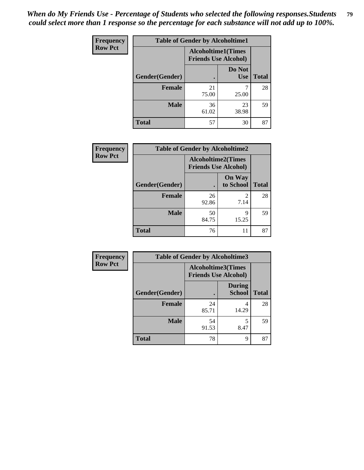*When do My Friends Use - Percentage of Students who selected the following responses.Students could select more than 1 response so the percentage for each substance will not add up to 100%.* **79**

| <b>Frequency</b> | <b>Table of Gender by Alcoholtime1</b> |                                                   |                      |              |
|------------------|----------------------------------------|---------------------------------------------------|----------------------|--------------|
| <b>Row Pct</b>   |                                        | Alcoholtime1(Times<br><b>Friends Use Alcohol)</b> |                      |              |
|                  | Gender(Gender)                         |                                                   | Do Not<br><b>Use</b> | <b>Total</b> |
|                  | <b>Female</b>                          | 21<br>75.00                                       | 25.00                | 28           |
|                  | <b>Male</b>                            | 36<br>61.02                                       | 23<br>38.98          | 59           |
|                  | <b>Total</b>                           | 57                                                | 30                   | 87           |

| Frequency      | <b>Table of Gender by Alcoholtime2</b> |                                                          |                            |              |
|----------------|----------------------------------------|----------------------------------------------------------|----------------------------|--------------|
| <b>Row Pct</b> |                                        | <b>Alcoholtime2(Times</b><br><b>Friends Use Alcohol)</b> |                            |              |
|                | Gender(Gender)                         |                                                          | <b>On Way</b><br>to School | <b>Total</b> |
|                | <b>Female</b>                          | 26<br>92.86                                              | 2<br>7.14                  | 28           |
|                | <b>Male</b>                            | 50<br>84.75                                              | 9<br>15.25                 | 59           |
|                | <b>Total</b>                           | 76                                                       | 11                         | 87           |

| Frequency      | <b>Table of Gender by Alcoholtime3</b> |                                                          |                                |              |
|----------------|----------------------------------------|----------------------------------------------------------|--------------------------------|--------------|
| <b>Row Pct</b> |                                        | <b>Alcoholtime3(Times</b><br><b>Friends Use Alcohol)</b> |                                |              |
|                | Gender(Gender)                         |                                                          | <b>During</b><br><b>School</b> | <b>Total</b> |
|                | Female                                 | 24<br>85.71                                              | 4<br>14.29                     | 28           |
|                | <b>Male</b>                            | 54<br>91.53                                              | 5<br>8.47                      | 59           |
|                | <b>Total</b>                           | 78                                                       | 9                              | 87           |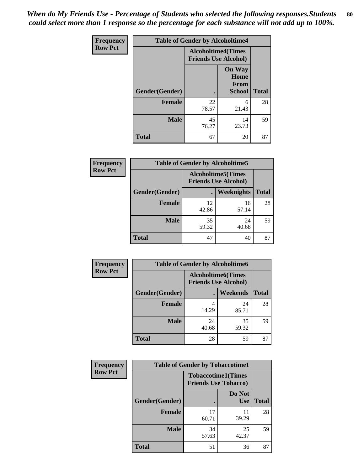*When do My Friends Use - Percentage of Students who selected the following responses.Students could select more than 1 response so the percentage for each substance will not add up to 100%.* **80**

| <b>Frequency</b> | <b>Table of Gender by Alcoholtime4</b> |                                                          |                                         |              |
|------------------|----------------------------------------|----------------------------------------------------------|-----------------------------------------|--------------|
| <b>Row Pct</b>   |                                        | <b>Alcoholtime4(Times</b><br><b>Friends Use Alcohol)</b> |                                         |              |
|                  | Gender(Gender)                         | $\bullet$                                                | <b>On Way</b><br>Home<br>From<br>School | <b>Total</b> |
|                  | <b>Female</b>                          | 22<br>78.57                                              | 6<br>21.43                              | 28           |
|                  | <b>Male</b>                            | 45<br>76.27                                              | 14<br>23.73                             | 59           |
|                  | <b>Total</b>                           | 67                                                       | 20                                      | 87           |

| <b>Frequency</b> | <b>Table of Gender by Alcoholtime5</b> |                                                           |                   |              |
|------------------|----------------------------------------|-----------------------------------------------------------|-------------------|--------------|
| <b>Row Pct</b>   |                                        | <b>Alcoholtime5</b> (Times<br><b>Friends Use Alcohol)</b> |                   |              |
|                  | Gender(Gender)                         |                                                           | <b>Weeknights</b> | <b>Total</b> |
|                  | <b>Female</b>                          | 12<br>42.86                                               | 16<br>57.14       | 28           |
|                  | <b>Male</b>                            | 35<br>59.32                                               | 24<br>40.68       | 59           |
|                  | <b>Total</b>                           | 47                                                        | 40                | 87           |

| <b>Frequency</b> | <b>Table of Gender by Alcoholtime6</b> |                                                           |                 |              |
|------------------|----------------------------------------|-----------------------------------------------------------|-----------------|--------------|
| <b>Row Pct</b>   |                                        | <b>Alcoholtime6</b> (Times<br><b>Friends Use Alcohol)</b> |                 |              |
|                  | Gender(Gender)                         |                                                           | <b>Weekends</b> | <b>Total</b> |
|                  | <b>Female</b>                          | 4<br>14.29                                                | 24<br>85.71     | 28           |
|                  | <b>Male</b>                            | 24<br>40.68                                               | 35<br>59.32     | 59           |
|                  | Total                                  | 28                                                        | 59              | 87           |

| <b>Frequency</b> | <b>Table of Gender by Tobaccotime1</b> |                                                          |                      |              |
|------------------|----------------------------------------|----------------------------------------------------------|----------------------|--------------|
| <b>Row Pct</b>   |                                        | <b>Tobaccotime1(Times</b><br><b>Friends Use Tobacco)</b> |                      |              |
|                  | Gender(Gender)                         |                                                          | Do Not<br><b>Use</b> | <b>Total</b> |
|                  | <b>Female</b>                          | 17<br>60.71                                              | 11<br>39.29          | 28           |
|                  | <b>Male</b>                            | 34<br>57.63                                              | 25<br>42.37          | 59           |
|                  | <b>Total</b>                           | 51                                                       | 36                   | 87           |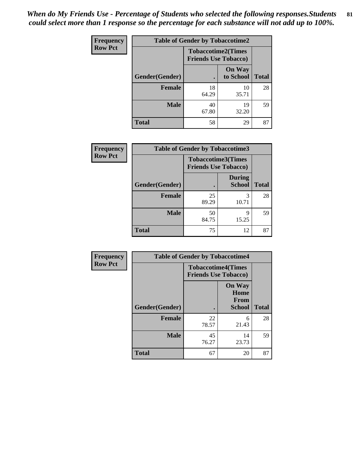*When do My Friends Use - Percentage of Students who selected the following responses.Students could select more than 1 response so the percentage for each substance will not add up to 100%.* **81**

| <b>Frequency</b> | <b>Table of Gender by Tobaccotime2</b> |                                                          |                            |              |
|------------------|----------------------------------------|----------------------------------------------------------|----------------------------|--------------|
| <b>Row Pct</b>   |                                        | <b>Tobaccotime2(Times</b><br><b>Friends Use Tobacco)</b> |                            |              |
|                  | Gender(Gender)                         | $\bullet$                                                | <b>On Way</b><br>to School | <b>Total</b> |
|                  | Female                                 | 18<br>64.29                                              | 10<br>35.71                | 28           |
|                  | <b>Male</b>                            | 40<br>67.80                                              | 19<br>32.20                | 59           |
|                  | <b>Total</b>                           | 58                                                       | 29                         | 87           |

| Frequency      | <b>Table of Gender by Tobaccotime3</b> |                             |                                |              |
|----------------|----------------------------------------|-----------------------------|--------------------------------|--------------|
| <b>Row Pct</b> |                                        | <b>Friends Use Tobacco)</b> | <b>Tobaccotime3(Times</b>      |              |
|                | Gender(Gender)                         |                             | <b>During</b><br><b>School</b> | <b>Total</b> |
|                | <b>Female</b>                          | 25<br>89.29                 | 3<br>10.71                     | 28           |
|                | <b>Male</b>                            | 50<br>84.75                 | q<br>15.25                     | 59           |
|                | <b>Total</b>                           | 75                          | 12                             | 87           |

| <b>Frequency</b> | <b>Table of Gender by Tobaccotime4</b> |                                                          |                                                |              |
|------------------|----------------------------------------|----------------------------------------------------------|------------------------------------------------|--------------|
| <b>Row Pct</b>   |                                        | <b>Tobaccotime4(Times</b><br><b>Friends Use Tobacco)</b> |                                                |              |
|                  | Gender(Gender)                         |                                                          | <b>On Way</b><br>Home<br>From<br><b>School</b> | <b>Total</b> |
|                  | <b>Female</b>                          | 22<br>78.57                                              | 6<br>21.43                                     | 28           |
|                  | <b>Male</b>                            | 45<br>76.27                                              | 14<br>23.73                                    | 59           |
|                  | <b>Total</b>                           | 67                                                       | 20                                             | 87           |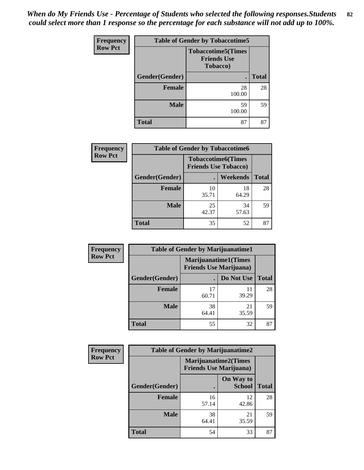*When do My Friends Use - Percentage of Students who selected the following responses.Students could select more than 1 response so the percentage for each substance will not add up to 100%.* **82**

| Frequency      | <b>Table of Gender by Tobaccotime5</b> |                                                              |              |  |
|----------------|----------------------------------------|--------------------------------------------------------------|--------------|--|
| <b>Row Pct</b> |                                        | <b>Tobaccotime5</b> (Times<br><b>Friends Use</b><br>Tobacco) |              |  |
|                | Gender(Gender)                         |                                                              | <b>Total</b> |  |
|                | <b>Female</b>                          | 28<br>100.00                                                 | 28           |  |
|                | <b>Male</b>                            | 59<br>100.00                                                 | 59           |  |
|                | <b>Total</b>                           | 87                                                           | 87           |  |

| <b>Frequency</b> | <b>Table of Gender by Tobaccotime6</b> |                             |                           |              |
|------------------|----------------------------------------|-----------------------------|---------------------------|--------------|
| <b>Row Pct</b>   |                                        | <b>Friends Use Tobacco)</b> | <b>Tobaccotime6(Times</b> |              |
|                  | Gender(Gender)                         |                             | Weekends                  | <b>Total</b> |
|                  | Female                                 | 10<br>35.71                 | 18<br>64.29               | 28           |
|                  | <b>Male</b>                            | 25<br>42.37                 | 34<br>57.63               | 59           |
|                  | <b>Total</b>                           | 35                          | 52                        | 87           |

| Frequency      | <b>Table of Gender by Marijuanatime1</b> |                                                               |             |              |
|----------------|------------------------------------------|---------------------------------------------------------------|-------------|--------------|
| <b>Row Pct</b> |                                          | <b>Marijuanatime1(Times</b><br><b>Friends Use Marijuana</b> ) |             |              |
|                | Gender(Gender)                           |                                                               | Do Not Use  | <b>Total</b> |
|                | <b>Female</b>                            | 17<br>60.71                                                   | 11<br>39.29 | 28           |
|                | <b>Male</b>                              | 38<br>64.41                                                   | 21<br>35.59 | 59           |
|                | <b>Total</b>                             | 55                                                            | 32          | 87           |

| <b>Frequency</b> | <b>Table of Gender by Marijuanatime2</b> |                                                               |                            |              |
|------------------|------------------------------------------|---------------------------------------------------------------|----------------------------|--------------|
| <b>Row Pct</b>   |                                          | <b>Marijuanatime2(Times</b><br><b>Friends Use Marijuana</b> ) |                            |              |
|                  | Gender(Gender)                           |                                                               | On Way to<br><b>School</b> | <b>Total</b> |
|                  | <b>Female</b>                            | 16<br>57.14                                                   | 12<br>42.86                | 28           |
|                  | <b>Male</b>                              | 38<br>64.41                                                   | 21<br>35.59                | 59           |
|                  | <b>Total</b>                             | 54                                                            | 33                         | 87           |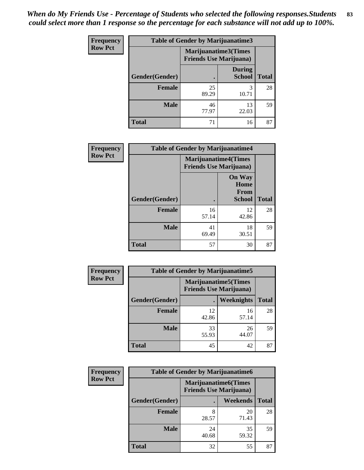*When do My Friends Use - Percentage of Students who selected the following responses.Students could select more than 1 response so the percentage for each substance will not add up to 100%.* **83**

| <b>Frequency</b> | Table of Gender by Marijuanatime3 |                                                        |                                |              |
|------------------|-----------------------------------|--------------------------------------------------------|--------------------------------|--------------|
| <b>Row Pct</b>   |                                   | Marijuanatime3(Times<br><b>Friends Use Marijuana</b> ) |                                |              |
|                  | Gender(Gender)                    |                                                        | <b>During</b><br><b>School</b> | <b>Total</b> |
|                  | <b>Female</b>                     | 25<br>89.29                                            | 3<br>10.71                     | 28           |
|                  | <b>Male</b>                       | 46<br>77.97                                            | 13<br>22.03                    | 59           |
|                  | <b>Total</b>                      | 71                                                     | 16                             | 87           |

| Frequency      | <b>Table of Gender by Marijuanatime4</b> |                                                                |                                                       |              |  |
|----------------|------------------------------------------|----------------------------------------------------------------|-------------------------------------------------------|--------------|--|
| <b>Row Pct</b> |                                          | <b>Marijuanatime4</b> (Times<br><b>Friends Use Marijuana</b> ) |                                                       |              |  |
|                | Gender(Gender)                           |                                                                | <b>On Way</b><br>Home<br><b>From</b><br><b>School</b> | <b>Total</b> |  |
|                | <b>Female</b>                            | 16<br>57.14                                                    | 12<br>42.86                                           | 28           |  |
|                | <b>Male</b>                              | 41<br>69.49                                                    | 18<br>30.51                                           | 59           |  |
|                | <b>Total</b>                             | 57                                                             | 30                                                    | 87           |  |

| Frequency      | <b>Table of Gender by Marijuanatime5</b> |             |                                                                |              |
|----------------|------------------------------------------|-------------|----------------------------------------------------------------|--------------|
| <b>Row Pct</b> |                                          |             | <b>Marijuanatime5</b> (Times<br><b>Friends Use Marijuana</b> ) |              |
|                | Gender(Gender)                           | ٠           | Weeknights                                                     | <b>Total</b> |
|                | <b>Female</b>                            | 12<br>42.86 | 16<br>57.14                                                    | 28           |
|                | <b>Male</b>                              | 33<br>55.93 | 26<br>44.07                                                    | 59           |
|                | <b>Total</b>                             | 45          | 42                                                             | 87           |

| <b>Frequency</b> | <b>Table of Gender by Marijuanatime6</b> |                                                               |             |              |
|------------------|------------------------------------------|---------------------------------------------------------------|-------------|--------------|
| <b>Row Pct</b>   |                                          | <b>Marijuanatime6(Times</b><br><b>Friends Use Marijuana</b> ) |             |              |
|                  | Gender(Gender)                           |                                                               | Weekends    | <b>Total</b> |
|                  | <b>Female</b>                            | 8<br>28.57                                                    | 20<br>71.43 | 28           |
|                  | <b>Male</b>                              | 24<br>40.68                                                   | 35<br>59.32 | 59           |
|                  | <b>Total</b>                             | 32                                                            | 55          | 87           |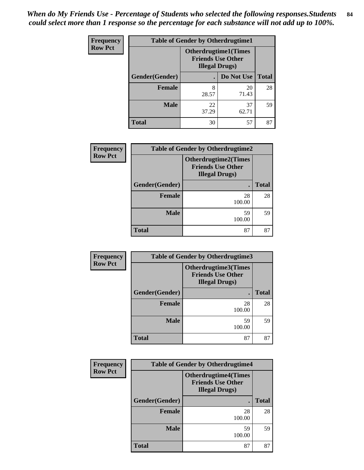| Frequency      | <b>Table of Gender by Otherdrugtime1</b> |                                                    |                             |              |
|----------------|------------------------------------------|----------------------------------------------------|-----------------------------|--------------|
| <b>Row Pct</b> |                                          | <b>Friends Use Other</b><br><b>Illegal Drugs</b> ) | <b>Otherdrugtime1(Times</b> |              |
|                | Gender(Gender)                           |                                                    | Do Not Use                  | <b>Total</b> |
|                | <b>Female</b>                            | 8<br>28.57                                         | 20<br>71.43                 | 28           |
|                | <b>Male</b>                              | 22<br>37.29                                        | 37<br>62.71                 | 59           |
|                | <b>Total</b>                             | 30                                                 | 57                          | 87           |

| <b>Frequency</b> | <b>Table of Gender by Otherdrugtime2</b> |                                                                                   |              |  |
|------------------|------------------------------------------|-----------------------------------------------------------------------------------|--------------|--|
| <b>Row Pct</b>   |                                          | <b>Otherdrugtime2(Times</b><br><b>Friends Use Other</b><br><b>Illegal Drugs</b> ) |              |  |
|                  | Gender(Gender)                           |                                                                                   | <b>Total</b> |  |
|                  | <b>Female</b>                            | 28<br>100.00                                                                      | 28           |  |
|                  | <b>Male</b>                              | 59<br>100.00                                                                      | 59           |  |
|                  | <b>Total</b>                             | 87                                                                                | 87           |  |

| Frequency      |                | <b>Table of Gender by Otherdrugtime3</b>                                          |              |
|----------------|----------------|-----------------------------------------------------------------------------------|--------------|
| <b>Row Pct</b> |                | <b>Otherdrugtime3(Times</b><br><b>Friends Use Other</b><br><b>Illegal Drugs</b> ) |              |
|                | Gender(Gender) | $\blacksquare$                                                                    | <b>Total</b> |
|                | <b>Female</b>  | 28<br>100.00                                                                      | 28           |
|                | <b>Male</b>    | 59<br>100.00                                                                      | 59           |
|                | <b>Total</b>   | 87                                                                                | 87           |

| Frequency      | <b>Table of Gender by Otherdrugtime4</b> |                                                                                   |              |  |
|----------------|------------------------------------------|-----------------------------------------------------------------------------------|--------------|--|
| <b>Row Pct</b> |                                          | <b>Otherdrugtime4(Times</b><br><b>Friends Use Other</b><br><b>Illegal Drugs</b> ) |              |  |
|                | Gender(Gender)                           |                                                                                   | <b>Total</b> |  |
|                | <b>Female</b>                            | 28<br>100.00                                                                      | 28           |  |
|                | <b>Male</b>                              | 59<br>100.00                                                                      | 59           |  |
|                | <b>Total</b>                             | 87                                                                                | 87           |  |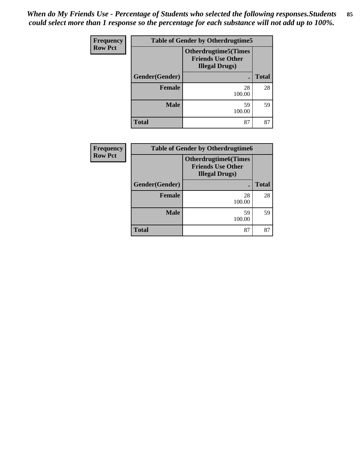| Frequency      | <b>Table of Gender by Otherdrugtime5</b> |                                                                                   |              |  |
|----------------|------------------------------------------|-----------------------------------------------------------------------------------|--------------|--|
| <b>Row Pct</b> |                                          | <b>Otherdrugtime5(Times</b><br><b>Friends Use Other</b><br><b>Illegal Drugs</b> ) |              |  |
|                | Gender(Gender)                           | $\bullet$                                                                         | <b>Total</b> |  |
|                | <b>Female</b>                            | 28<br>100.00                                                                      | 28           |  |
|                | <b>Male</b>                              | 59<br>100.00                                                                      | 59           |  |
|                | <b>Total</b>                             | 87                                                                                | 87           |  |

| <b>Frequency</b> | <b>Table of Gender by Otherdrugtime6</b> |                                                                                    |              |  |
|------------------|------------------------------------------|------------------------------------------------------------------------------------|--------------|--|
| <b>Row Pct</b>   |                                          | <b>Otherdrugtime6</b> (Times<br><b>Friends Use Other</b><br><b>Illegal Drugs</b> ) |              |  |
|                  | Gender(Gender)                           |                                                                                    | <b>Total</b> |  |
|                  | <b>Female</b>                            | 28<br>100.00                                                                       | 28           |  |
|                  | <b>Male</b>                              | 59<br>100.00                                                                       | 59           |  |
|                  | <b>Total</b>                             | 87                                                                                 | 87           |  |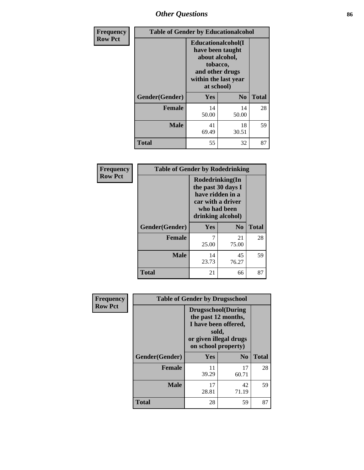# *Other Questions* **86**

| Frequency      | <b>Table of Gender by Educationalcohol</b> |                                                                                                                                       |                |              |
|----------------|--------------------------------------------|---------------------------------------------------------------------------------------------------------------------------------------|----------------|--------------|
| <b>Row Pct</b> |                                            | <b>Educationalcohol</b> (I<br>have been taught<br>about alcohol,<br>tobacco,<br>and other drugs<br>within the last year<br>at school) |                |              |
|                | Gender(Gender)                             | <b>Yes</b>                                                                                                                            | N <sub>0</sub> | <b>Total</b> |
|                | Female                                     | 14<br>50.00                                                                                                                           | 14<br>50.00    | 28           |
|                | <b>Male</b>                                | 41<br>69.49                                                                                                                           | 18<br>30.51    | 59           |
|                | Total                                      | 55                                                                                                                                    | 32             | 87           |

| Frequency      | <b>Table of Gender by Rodedrinking</b> |                                                                                                                     |                |              |  |
|----------------|----------------------------------------|---------------------------------------------------------------------------------------------------------------------|----------------|--------------|--|
| <b>Row Pct</b> |                                        | Rodedrinking(In<br>the past 30 days I<br>have ridden in a<br>car with a driver<br>who had been<br>drinking alcohol) |                |              |  |
|                | Gender(Gender)                         | Yes                                                                                                                 | N <sub>0</sub> | <b>Total</b> |  |
|                | <b>Female</b>                          | 25.00                                                                                                               | 21<br>75.00    | 28           |  |
|                | <b>Male</b>                            | 14<br>23.73                                                                                                         | 45<br>76.27    | 59           |  |
|                | <b>Total</b>                           | 21                                                                                                                  | 66             | 87           |  |

| Frequency      | <b>Table of Gender by Drugsschool</b> |                                                                                                                                     |                |              |  |
|----------------|---------------------------------------|-------------------------------------------------------------------------------------------------------------------------------------|----------------|--------------|--|
| <b>Row Pct</b> |                                       | <b>Drugsschool</b> (During<br>the past 12 months,<br>I have been offered,<br>sold,<br>or given illegal drugs<br>on school property) |                |              |  |
|                | Gender(Gender)                        | <b>Yes</b>                                                                                                                          | N <sub>0</sub> | <b>Total</b> |  |
|                | <b>Female</b>                         | 11<br>39.29                                                                                                                         | 17<br>60.71    | 28           |  |
|                | <b>Male</b>                           | 17<br>28.81                                                                                                                         | 42<br>71.19    | 59           |  |
|                | <b>Total</b>                          | 28                                                                                                                                  | 59             | 87           |  |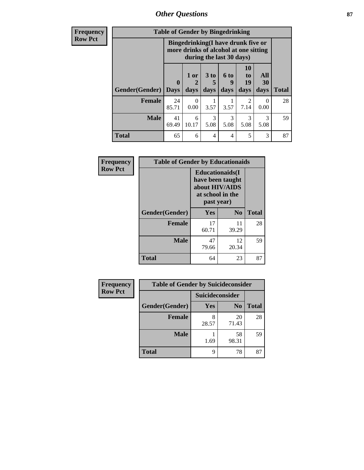### *Other Questions* **87**

**Frequency Row Pct**

| <b>Table of Gender by Bingedrinking</b> |                            |                                                                                                         |                   |                   |                        |                       |              |
|-----------------------------------------|----------------------------|---------------------------------------------------------------------------------------------------------|-------------------|-------------------|------------------------|-----------------------|--------------|
|                                         |                            | Bingedrinking(I have drunk five or<br>more drinks of alcohol at one sitting<br>during the last 30 days) |                   |                   |                        |                       |              |
| <b>Gender</b> (Gender)                  | $\mathbf 0$<br><b>Days</b> | $1$ or<br>days                                                                                          | 3 to<br>5<br>days | 6 to<br>9<br>days | 10<br>to<br>19<br>days | All<br>30<br>days     | <b>Total</b> |
| Female                                  | 24<br>85.71                | $\Omega$<br>0.00                                                                                        | 3.57              | 3.57              | $\mathfrak{D}$<br>7.14 | $\Omega$<br>0.00      | 28           |
| <b>Male</b>                             | 41<br>69.49                | 6<br>10.17                                                                                              | 3<br>5.08         | 3<br>5.08         | 3<br>5.08              | $\mathcal{R}$<br>5.08 | 59           |
| <b>Total</b>                            | 65                         | 6                                                                                                       | 4                 | 4                 | 5                      | 3                     | 87           |

| Frequency      | <b>Table of Gender by Educationaids</b> |                                                                                                 |                |              |
|----------------|-----------------------------------------|-------------------------------------------------------------------------------------------------|----------------|--------------|
| <b>Row Pct</b> |                                         | <b>Educationaids</b> (I<br>have been taught<br>about HIV/AIDS<br>at school in the<br>past year) |                |              |
|                | Gender(Gender)                          | Yes                                                                                             | N <sub>0</sub> | <b>Total</b> |
|                | <b>Female</b>                           | 17<br>60.71                                                                                     | 11<br>39.29    | 28           |
|                | <b>Male</b>                             | 47<br>79.66                                                                                     | 12<br>20.34    | 59           |
|                | <b>Total</b>                            | 64                                                                                              | 23             | 87           |

| <b>Frequency</b> | <b>Table of Gender by Suicideconsider</b> |                 |                |              |  |
|------------------|-------------------------------------------|-----------------|----------------|--------------|--|
| <b>Row Pct</b>   |                                           | Suicideconsider |                |              |  |
|                  | Gender(Gender)                            | Yes             | N <sub>0</sub> | <b>Total</b> |  |
|                  | <b>Female</b>                             | 8<br>28.57      | 20<br>71.43    | 28           |  |
|                  | <b>Male</b>                               | 1.69            | 58<br>98.31    | 59           |  |
|                  | Total                                     | q               | 78             | 87           |  |